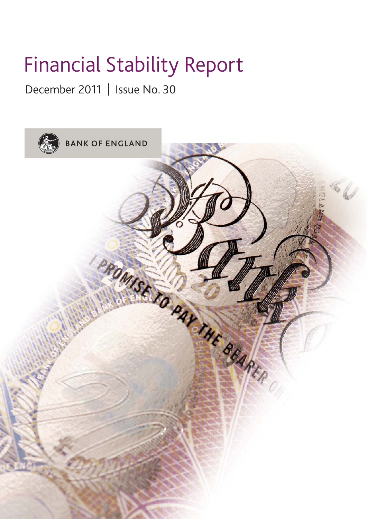# Financial Stability Report

December 2011 | Issue No. 30

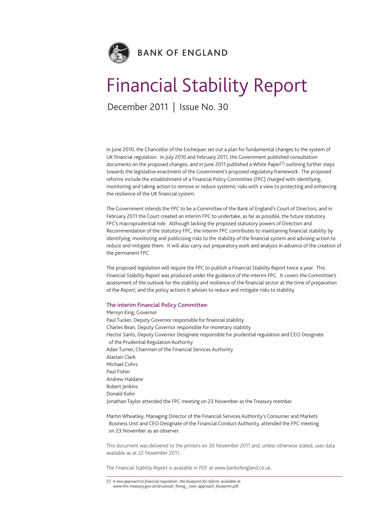

# Financial Stability Report

December 2011 | Issue No. 30

In June 2010, the Chancellor of the Exchequer set out a plan for fundamental changes to the system of UK financial regulation. In July 2010 and February 2011, the Government published consultation documents on the proposed changes, and in June 2011 published a White Paper<sup>(1)</sup> outlining further steps towards the legislative enactment of the Government's proposed regulatory framework. The proposed reforms include the establishment of a Financial Policy Committee (FPC) charged with identifying, monitoring and taking action to remove or reduce systemic risks with a view to protecting and enhancing the resilience of the UK financial system.

The Government intends the FPC to be a Committee of the Bank of England's Court of Directors, and in February 2011 the Court created an interim FPC to undertake, as far as possible, the future statutory FPC's macroprudential role. Although lacking the proposed statutory powers of Direction and Recommendation of the statutory FPC, the interim FPC contributes to maintaining financial stability by identifying, monitoring and publicising risks to the stability of the financial system and advising action to reduce and mitigate them. It will also carry out preparatory work and analysis in advance of the creation of the permanent FPC.

The proposed legislation will require the FPC to publish a *Financial Stability Report* twice a year. This *Financial Stability Report* was produced under the guidance of the interim FPC. It covers the Committee's assessment of the outlook for the stability and resilience of the financial sector at the time of preparation of the *Report*, and the policy actions it advises to reduce and mitigate risks to stability.

#### **The interim Financial Policy Committee:**

Mervyn King, Governor Paul Tucker, Deputy Governor responsible for financial stability Charles Bean, Deputy Governor responsible for monetary stability Hector Sants, Deputy Governor Designate responsible for prudential regulation and CEO Designate of the Prudential Regulation Authority Adair Turner, Chairman of the Financial Services Authority Alastair Clark Michael Cohrs Paul Fisher Andrew Haldane Robert Ienkins Donald Kohn Jonathan Taylor attended the FPC meeting on 23 November as the Treasury member.

Martin Wheatley, Managing Director of the Financial Services Authority's Consumer and Markets Business Unit and CEO Designate of the Financial Conduct Authority, attended the FPC meeting on 23 November as an observer.

This document was delivered to the printers on 30 November 2011 and, unless otherwise stated, uses data available as at 22 November 2011.

The *Financial Stability Report* is available in PDF at www.bankofengland.co.uk.

<sup>(1)</sup> *A new approach to financial regulation: the blueprint for reform*, available at www.hm-treasury.gov.uk/d/consult\_finreg\_\_new\_approach\_blueprint.pdf.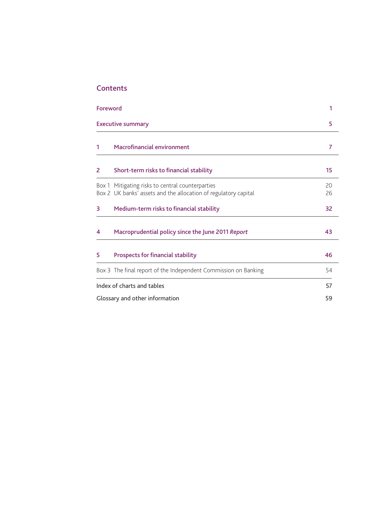## **Contents**

| Foreword |                                                                                                                     | 1        |
|----------|---------------------------------------------------------------------------------------------------------------------|----------|
|          | <b>Executive summary</b>                                                                                            | 5        |
| 1        | <b>Macrofinancial environment</b>                                                                                   | 7        |
| 2        | Short-term risks to financial stability                                                                             | 15       |
|          | Box 1 Mitigating risks to central counterparties<br>Box 2 UK banks' assets and the allocation of regulatory capital | 20<br>26 |
| 3        | Medium-term risks to financial stability                                                                            | 32       |
| 4        | Macroprudential policy since the June 2011 Report                                                                   | 43       |
| 5        | <b>Prospects for financial stability</b>                                                                            | 46       |
|          | Box 3 The final report of the Independent Commission on Banking                                                     | 54       |
|          | Index of charts and tables                                                                                          | 57       |
|          | Glossary and other information                                                                                      | 59       |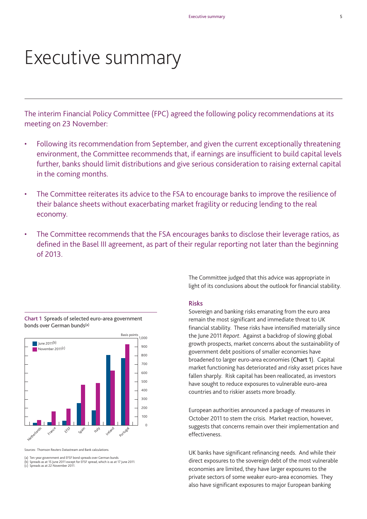# Executive summary

The interim Financial Policy Committee (FPC) agreed the following policy recommendations at its meeting on 23 November:

- Following its recommendation from September, and given the current exceptionally threatening environment, the Committee recommends that, if earnings are insufficient to build capital levels further, banks should limit distributions and give serious consideration to raising external capital in the coming months.
- The Committee reiterates its advice to the FSA to encourage banks to improve the resilience of their balance sheets without exacerbating market fragility or reducing lending to the real economy.
- The Committee recommends that the FSA encourages banks to disclose their leverage ratios, as defined in the Basel III agreement, as part of their regular reporting not later than the beginning of 2013.



**Chart 1** Spreads of selected euro-area government bonds over German bunds(a)

rces: Thomson Reuters Datastream and Bank calculations

(a) Ten-year government and EFSF bond spreads over German bunds.

(b) Spreads as at 15 June 2011 except for EFSF spread, which is as at 17 June 2011. (c) Spreads as at 22 November 2011.

The Committee judged that this advice was appropriate in light of its conclusions about the outlook for financial stability.

#### **Risks**

Sovereign and banking risks emanating from the euro area remain the most significant and immediate threat to UK financial stability. These risks have intensified materially since the June 2011 *Report*. Against a backdrop of slowing global growth prospects, market concerns about the sustainability of government debt positions of smaller economies have broadened to larger euro-area economies (**Chart 1**). Capital market functioning has deteriorated and risky asset prices have fallen sharply. Risk capital has been reallocated, as investors have sought to reduce exposures to vulnerable euro-area countries and to riskier assets more broadly.

European authorities announced a package of measures in October 2011 to stem the crisis. Market reaction, however, suggests that concerns remain over their implementation and effectiveness.

UK banks have significant refinancing needs. And while their direct exposures to the sovereign debt of the most vulnerable economies are limited, they have larger exposures to the private sectors of some weaker euro-area economies. They also have significant exposures to major European banking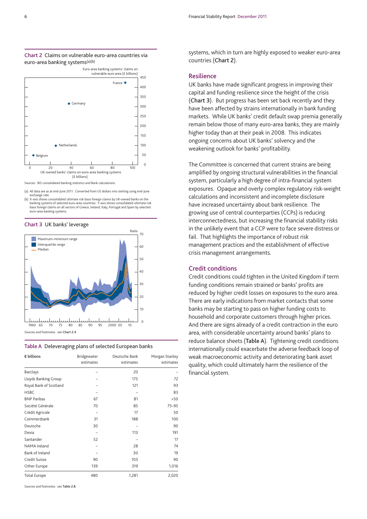

#### **Chart 2** Claims on vulnerable euro-area countries via euro-area banking systems(a)(b)

Sources: BIS consolidated banking statistics and Bank calculations.

- (a) All data are as at end-June 2011. Converted from US dollars into sterling using end-June exchange rate.
- (b) X-axis shows consolidated ultimate risk basis foreign claims by UK-owned banks on the banking systems of selected euro-area countries. Y-axis shows consolidated ultimate risk basis for extended the Californian component conservatives considering the eign claims on all sectors of Greece, Ireland, Italy, Portugal and Spain by selected euro-area banking systems.





#### **Table A** Deleveraging plans of selected European banks

| € billions             | Bridgewater<br>estimates | Deutsche Bank<br>estimates | Morgan Stanley<br>estimates |
|------------------------|--------------------------|----------------------------|-----------------------------|
| <b>Barclays</b>        |                          | 20                         |                             |
| Lloyds Banking Group   |                          | 175                        | 72                          |
| Royal Bank of Scotland |                          | 121                        | 93                          |
| <b>HSBC</b>            |                          |                            | 83                          |
| <b>BNP Paribas</b>     | 67                       | 81                         | >50                         |
| Société Générale       | 70                       | 85                         | $75 - 95$                   |
| Crédit Agricole        |                          | 17                         | 50                          |
| Commerzbank            | 31                       | 188                        | 100                         |
| Deutsche               | 30                       |                            | 90                          |
| Dexia                  |                          | 113                        | 191                         |
| Santander              | 52                       |                            | 17                          |
| NAMA Ireland           |                          | 28                         | 74                          |
| Bank of Ireland        |                          | 30                         | 19                          |
| Credit Suisse          | 90                       | 103                        | 90                          |
| Other Europe           | 139                      | 319                        | 1,016                       |
| <b>Total Europe</b>    | 480                      | 1,281                      | 2,020                       |

Sources and footnotes: see **Table 2.B**.

systems, which in turn are highly exposed to weaker euro-area countries (**Chart 2**).

#### **Resilience**

UK banks have made significant progress in improving their capital and funding resilience since the height of the crisis (**Chart 3**). But progress has been set back recently and they have been affected by strains internationally in bank funding markets. While UK banks' credit default swap premia generally remain below those of many euro-area banks, they are mainly higher today than at their peak in 2008. This indicates ongoing concerns about UK banks' solvency and the weakening outlook for banks' profitability.

The Committee is concerned that current strains are being amplified by ongoing structural vulnerabilities in the financial system, particularly a high degree of intra-financial system exposures. Opaque and overly complex regulatory risk-weight calculations and inconsistent and incomplete disclosure have increased uncertainty about bank resilience. The growing use of central counterparties (CCPs) is reducing interconnectedness, but increasing the financial stability risks in the unlikely event that a CCP were to face severe distress or fail. That highlights the importance of robust risk management practices and the establishment of effective crisis management arrangements.

#### **Credit conditions**

Credit conditions could tighten in the United Kingdom if term funding conditions remain strained or banks' profits are reduced by higher credit losses on exposures to the euro area. There are early indications from market contacts that some banks may be starting to pass on higher funding costs to household and corporate customers through higher prices. And there are signs already of a credit contraction in the euro area, with considerable uncertainty around banks' plans to reduce balance sheets (**Table A**). Tightening credit conditions internationally could exacerbate the adverse feedback loop of weak macroeconomic activity and deteriorating bank asset quality, which could ultimately harm the resilience of the financial system.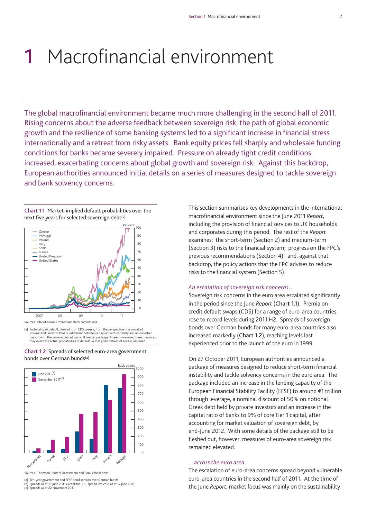# **1** Macrofinancial environment

The global macrofinancial environment became much more challenging in the second half of 2011. Rising concerns about the adverse feedback between sovereign risk, the path of global economic growth and the resilience of some banking systems led to a significant increase in financial stress internationally and a retreat from risky assets. Bank equity prices fell sharply and wholesale funding conditions for banks became severely impaired. Pressure on already tight credit conditions increased, exacerbating concerns about global growth and sovereign risk. Against this backdrop, European authorities announced initial details on a series of measures designed to tackle sovereign and bank solvency concerns.

**Chart 1.1** Market-implied default probabilities over the next five years for selected sovereign debt<sup>(a)</sup>



(a) Probability of default, derived from CDS premia, from the perspective of a so-called 'risk-neutral' investor that is indifferent between a pay-off with certainty and an uncertain<br>pay-off with the same expected value. If market participants are risk-averse, these measures<br>may overstate actual probabilities





Sources: Thomson Reuters Datastream and Bank calculations.

(a) Ten-year government and EFSF bond spreads over German bunds.

(b) Spreads as at 15 June 2011 except for EFSF spread, which is as at 17 June 2011. (c) Spreads as at 22 November 2011.

This section summarises key developments in the international macrofinancial environment since the June 2011 *Report*, including the provision of financial services to UK households and corporates during this period. The rest of the *Report* examines: the short-term (Section 2) and medium-term (Section 3) risks to the financial system; progress on the FPC's previous recommendations (Section 4); and, against that backdrop, the policy actions that the FPC advises to reduce risks to the financial system (Section 5).

#### *An escalation of sovereign risk concerns*…

Sovereign risk concerns in the euro area escalated significantly in the period since the June *Report* (**Chart 1.1**). Premia on credit default swaps (CDS) for a range of euro-area countries rose to record levels during 2011 H2. Spreads of sovereign bonds over German bunds for many euro-area countries also increased markedly (**Chart 1.2**), reaching levels last experienced prior to the launch of the euro in 1999.

On 27 October 2011, European authorities announced a package of measures designed to reduce short-term financial instability and tackle solvency concerns in the euro area. The package included an increase in the lending capacity of the European Financial Stability Facility (EFSF) to around €1 trillion through leverage, a nominal discount of 50% on notional Greek debt held by private investors and an increase in the capital ratio of banks to 9% of core Tier 1 capital, after accounting for market valuation of sovereign debt, by end-June 2012. With some details of the package still to be fleshed out, however, measures of euro-area sovereign risk remained elevated.

#### ...across the euro area...

*…across the euro area…* The escalation of euro-area concerns spread beyond vulnerable euro-area countries in the second half of 2011. At the time of the June *Report*, market focus was mainly on the sustainability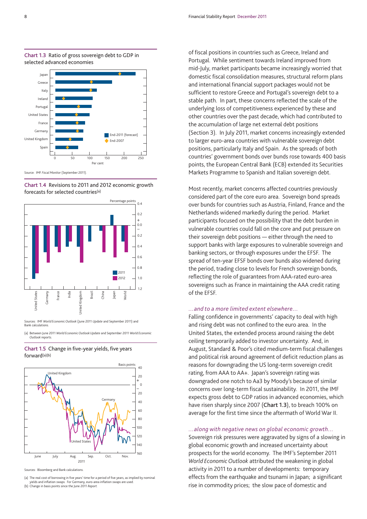

#### **Chart 1.3** Ratio of gross sovereign debt to GDP in selected advanced economies

Source: IMF *Fiscal Monitor* (September 2011).

**Chart 1.4** Revisions to 2011 and 2012 economic growth forecasts for selected countries(a)



Sources: IMF *World Economic Outlook* (June 2011 *Update* and September 2011) and Bank calculations.

(a) Between June 2011 *World Economic Outlook Update* and September 2011 *World Economic Outlook* reports.

**Chart 1.5** Change in five-year yields, five years forward(a)(b)



rces: Bloomberg and Bank calculations

(a) The real cost of borrowing in five years' time for a period of five years, as implied by nominal yields and inflation swaps. For Germany, euro-area inflation swaps are used. (b) Change in basis points since the June 2011 *Report*.

of fiscal positions in countries such as Greece, Ireland and Portugal. While sentiment towards Ireland improved from mid-July, market participants became increasingly worried that domestic fiscal consolidation measures, structural reform plans and international financial support packages would not be sufficient to restore Greece and Portugal's sovereign debt to a stable path. In part, these concerns reflected the scale of the underlying loss of competitiveness experienced by these and other countries over the past decade, which had contributed to the accumulation of large net external debt positions (Section 3). In July 2011, market concerns increasingly extended to larger euro-area countries with vulnerable sovereign debt positions, particularly Italy and Spain. As the spreads of both countries' government bonds over bunds rose towards 400 basis points, the European Central Bank (ECB) extended its Securities Markets Programme to Spanish and Italian sovereign debt.

Most recently, market concerns affected countries previously considered part of the core euro area. Sovereign bond spreads over bunds for countries such as Austria, Finland, France and the Netherlands widened markedly during the period. Market participants focused on the possibility that the debt burden in vulnerable countries could fall on the core and put pressure on their sovereign debt positions — either through the need to support banks with large exposures to vulnerable sovereign and banking sectors, or through exposures under the EFSF. The spread of ten-year EFSF bonds over bunds also widened during the period, trading close to levels for French sovereign bonds, reflecting the role of guarantees from AAA-rated euro-area sovereigns such as France in maintaining the AAA credit rating of the EFSF.

*…and to a more limited extent elsewhere…* Falling confidence in governments' capacity to deal with high and rising debt was not confined to the euro area. In the United States, the extended process around raising the debt ceiling temporarily added to investor uncertainty. And, in August, Standard & Poor's cited medium-term fiscal challenges and political risk around agreement of deficit reduction plans as reasons for downgrading the US long-term sovereign credit rating, from AAA to AA+. Japan's sovereign rating was downgraded one notch to Aa3 by Moody's because of similar concerns over long-term fiscal sustainability. In 2011, the IMF expects gross debt to GDP ratios in advanced economies, which have risen sharply since 2007 (**Chart 1.3**), to breach 100% on average for the first time since the aftermath of World War II.

*…along with negative news on global economic growth…* Sovereign risk pressures were aggravated by signs of a slowing in global economic growth and increased uncertainty about prospects for the world economy. The IMF's September 2011 *World Economic Outlook* attributed the weakening in global activity in 2011 to a number of developments: temporary effects from the earthquake and tsunami in Japan; a significant rise in commodity prices; the slow pace of domestic and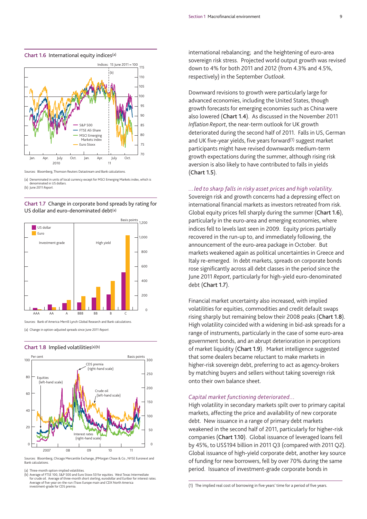

#### **Chart 1.6** International equity indices(a)

Sources: Bloomberg, Thomson Reuters Datastream and Bank calculations.

(a) Denominated in units of local currency except for MSCI Emerging Markets index, which is denominated in US dollars. (b) June 2011 *Report*.

**Chart 1.7** Change in corporate bond spreads by rating for US dollar and euro-denominated debt<sup>(a)</sup>



rces: Bank of America Merrill Lynch Global Research and Bank calculations (a) Change in option-adjusted spreads since June 2011 *Report*.

#### **Chart 1.8** Implied volatilities(a)(b)



Sources: Bloomberg, Chicago Mercantile Exchange, JPMorgan Chase & Co., NYSE Euronext and Bank calculations.

Three-month option-implied volatilities

(b) Average of FTSE 100, S&P 500 and Euro Stoxx 50 for equities. West Texas Intermediate<br>for crude oil. Average of three-month short sterling, eurodollar and Euribor for interest rates.<br>Average of five-year on-the-run iTra investment-grade for CDS premia.

international rebalancing; and the heightening of euro-area sovereign risk stress. Projected world output growth was revised down to 4% for both 2011 and 2012 (from 4.3% and 4.5%, respectively) in the September *Outlook*.

Downward revisions to growth were particularly large for advanced economies, including the United States, though growth forecasts for emerging economies such as China were also lowered (**Chart 1.4**). As discussed in the November 2011 *Inflation Report*, the near-term outlook for UK growth deteriorated during the second half of 2011. Falls in US, German and UK five-year yields, five years forward<sup>(1)</sup> suggest market participants might have revised downwards medium-term growth expectations during the summer, although rising risk aversion is also likely to have contributed to falls in yields (**Chart 1.5**).

*…led to sharp falls in risky asset prices and high volatility.* Sovereign risk and growth concerns had a depressing effect on international financial markets as investors retreated from risk. Global equity prices fell sharply during the summer (**Chart 1.6**), particularly in the euro-area and emerging economies, where indices fell to levels last seen in 2009. Equity prices partially recovered in the run-up to, and immediately following, the announcement of the euro-area package in October. But markets weakened again as political uncertainties in Greece and Italy re-emerged. In debt markets, spreads on corporate bonds rose significantly across all debt classes in the period since the June 2011 *Report*, particularly for high-yield euro-denominated debt (**Chart 1.7**).

Financial market uncertainty also increased, with implied volatilities for equities, commodities and credit default swaps rising sharply but remaining below their 2008 peaks (**Chart 1.8**). High volatility coincided with a widening in bid-ask spreads for a range of instruments, particularly in the case of some euro-area government bonds, and an abrupt deterioration in perceptions of market liquidity (**Chart 1.9**). Market intelligence suggested that some dealers became reluctant to make markets in higher-risk sovereign debt, preferring to act as agency-brokers by matching buyers and sellers without taking sovereign risk onto their own balance sheet.

*Capital market functioning deteriorated…* High volatility in secondary markets spilt over to primary capital markets, affecting the price and availability of new corporate debt. New issuance in a range of primary debt markets weakened in the second half of 2011, particularly for higher-risk companies (**Chart 1.10**). Global issuance of leveraged loans fell by 45%, to US\$194 billion in 2011 Q3 (compared with 2011 Q2). Global issuance of high-yield corporate debt, another key source of funding for new borrowers, fell by over 70% during the same period. Issuance of investment-grade corporate bonds in

<sup>(1)</sup> The implied real cost of borrowing in five years' time for a period of five years.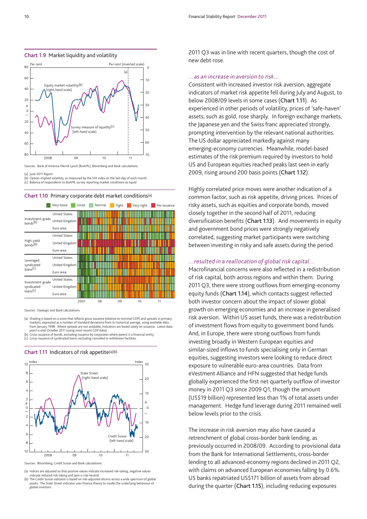



Sources: Bank of America Merrill Lynch (BoAML), Bloomberg and Bank calculations.

(a) June 2011 *Report*. (b) Option-implied volatility, as measured by the VIX index on the last day of each month. (c) Balance of respondents to BoAML survey reporting market conditions as liquid.





Sources: Dealogic and Bank calculations.

- (a) Shading is based on a score that reflects gross issuance (relative to nominal GDP) and spreads in primary markets, expressed as a number of standard deviations from its historical average, using available data from January 1998. Where spreads are not available, indicators are based solely on issuance. Latest data
- point is end-October 2011 (using most recent GDP data). (b) Gross issuance of bonds, excluding issuance by corporates where parent is a financial entity. (c) Gross issuance of syndicated loans, excluding cancelled or withdrawn facilities.

#### **Chart 1.11** Indicators of risk appetite(a)(b)



Sources: Bloomberg, Credit Suisse and Bank calculations.

(a) Indices are adjusted so that positive values indicate increased risk-taking, negative values

2011 Q3 was in line with recent quarters, though the cost of new debt rose.

*…as an increase in aversion to risk…*  Consistent with increased investor risk aversion, aggregate indicators of market risk appetite fell during July and August, to below 2008/09 levels in some cases (**Chart 1.11**). As experienced in other periods of volatility, prices of 'safe-haven' assets, such as gold, rose sharply. In foreign exchange markets, the Japanese yen and the Swiss franc appreciated strongly, prompting intervention by the relevant national authorities. The US dollar appreciated markedly against many emerging-economy currencies. Meanwhile, model-based estimates of the risk premium required by investors to hold US and European equities reached peaks last seen in early 2009, rising around 200 basis points (**Chart 1.12**).

Highly correlated price moves were another indication of a common factor, such as risk appetite, driving prices. Prices of risky assets, such as equities and corporate bonds, moved closely together in the second half of 2011, reducing diversification benefits (**Chart 1.13**). And movements in equity and government bond prices were strongly negatively correlated, suggesting market participants were switching between investing in risky and safe assets during the period.

*…resulted in a reallocation of global risk capital…* Macrofinancial concerns were also reflected in a redistribution of risk capital, both across regions and within them. During 2011 Q3, there were strong outflows from emerging-economy equity funds (**Chart 1.14**), which contacts suggest reflected both investor concern about the impact of slower global growth on emerging economies and an increase in generalised risk aversion. Within US asset funds, there was a redistribution of investment flows from equity to government bond funds. And, in Europe, there were strong outflows from funds investing broadly in Western European equities and similar-sized inflows to funds specialising only in German equities, suggesting investors were looking to reduce direct exposure to vulnerable euro-area countries. Data from eVestment Alliance and HFN suggested that hedge funds globally experienced the first net quarterly outflow of investor money in 2011 Q3 since 2009 Q1, though the amount (US\$19 billion) represented less than 1% of total assets under management. Hedge fund leverage during 2011 remained well below levels prior to the crisis.

The increase in risk aversion may also have caused a retrenchment of global cross-border bank lending, as previously occurred in 2008/09. According to provisional data from the Bank for International Settlements, cross-border lending to all advanced-economy regions declined in 2011 Q2, with claims on advanced European economies falling by 0.6%. US banks repatriated US\$171 billion of assets from abroad during the quarter (**Chart 1.15**), including reducing exposures

indicate reduced risk-taking and zero is risk-neutral. (b) The Credit Suisse indicator is based on risk-adjusted returns across a wide spectrum of global assets. The State Street indicator uses finance theory to model the underlying behaviour of global investors.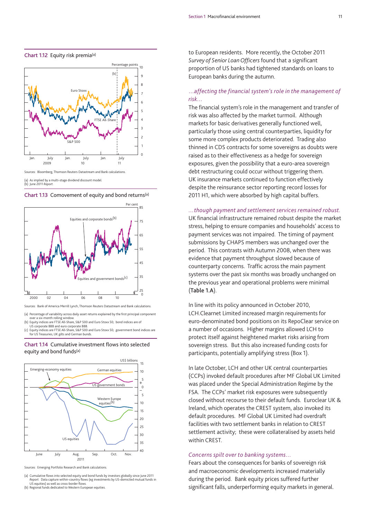

#### **Chart 1.12** Equity risk premia(a)



(a) As implied by a multi-stage dividend discount model.

(b) June 2011 *Report*.



Sources: Bank of America Merrill Lynch, Thomson Reuters Datastream and Bank calculations.

- (a) Percentage of variability across daily asset returns explained by the first principal component over a six-month rolling window.
- (b) Equity indices are FTSE All-Share, S&P 500 and Euro Stoxx 50; bond indices are of
- US corporate BBB and euro corporate BBB<br>(c) Equity indices are FTSE All-Share, S&P 500 porace 555 and care corporace 555.<br>indices are FTSE All-Share, S&P 500 and Euro Stoxx 50; government bond indices are for US Treasuries, UK gilts and German bunds.

#### **Chart 1.14** Cumulative investment flows into selected equity and bond funds(a)



Sources: Emerging Portfolio Research and Bank calculations.

(a) Cumulative flows into selected equity and bond funds by investors globally since June 2011<br>*Report. D*ata capture within-country flows (eg investments by US-domiciled mutual funds in<br>IS equities) as well as cross-borde US equities) as well as cross-border flows.

(b) Regional funds dedicated to Western European equities.

to European residents. More recently, the October 2011 *Survey of Senior Loan Officers* found that a significant proportion of US banks had tightened standards on loans to European banks during the autumn.

## …*affecting the financial system's role in the management of*

*risk…*  The financial system's role in the management and transfer of risk was also affected by the market turmoil. Although markets for basic derivatives generally functioned well, particularly those using central counterparties, liquidity for some more complex products deteriorated. Trading also thinned in CDS contracts for some sovereigns as doubts were raised as to their effectiveness as a hedge for sovereign exposures, given the possibility that a euro-area sovereign debt restructuring could occur without triggering them. UK insurance markets continued to function effectively despite the reinsurance sector reporting record losses for 2011 H1, which were absorbed by high capital buffers.

## *…though payment and settlement services remained robust.* UK financial infrastructure remained robust despite the market stress, helping to ensure companies and households' access to payment services was not impaired. The timing of payment submissions by CHAPS members was unchanged over the period. This contrasts with Autumn 2008, when there was evidence that payment throughput slowed because of

counterparty concerns. Traffic across the main payment systems over the past six months was broadly unchanged on the previous year and operational problems were minimal (**Table 1.A**).

In line with its policy announced in October 2010, LCH.Clearnet Limited increased margin requirements for euro-denominated bond positions on its RepoClear service on a number of occasions. Higher margins allowed LCH to protect itself against heightened market risks arising from sovereign stress. But this also increased funding costs for participants, potentially amplifying stress (Box 1).

In late October, LCH and other UK central counterparties (CCPs) invoked default procedures after MF Global UK Limited was placed under the Special Administration Regime by the FSA. The CCPs' market risk exposures were subsequently closed without recourse to their default funds. Euroclear UK & Ireland, which operates the CREST system, also invoked its default procedures. MF Global UK Limited had overdraft facilities with two settlement banks in relation to CREST settlement activity; these were collateralised by assets held within CREST.

*Concerns spilt over to banking systems…* Fears about the consequences for banks of sovereign risk and macroeconomic developments increased materially during the period. Bank equity prices suffered further significant falls, underperforming equity markets in general.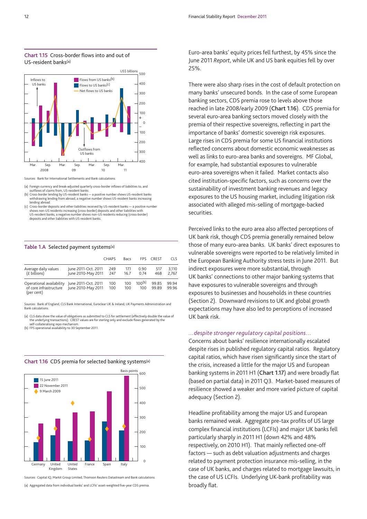

**Chart 1.15** Cross-border flows into and out of US-resident banks(a)

Sources: Bank for International Settlements and Bank calculations.

(a) Foreign currency and break-adjusted quarterly cross-border inflows of liabilities to, and outflows of claims from, US-resident banks.

- (b) Cross-border lending by US-resident banks a positive number shows US-resident banks withdrawing lending from abroad, a negative number shows US-resident banks increasing lending abroad.
- (c) Cross-border deposits and other liabilities received by US-resident banks a positive number shows non-US residents increasing (cross-border) deposits and other liabilities with US-resident banks, a negative number shows non-US residents reducing (cross-border) deposits and other liabilities with US-resident banks.

#### **Table 1.A** Selected payment systems(a)

|                                                                  |                                           | <b>CHAPS</b> | Bacs         | <b>FPS</b>         | <b>CREST</b>   | <b>CLS</b>     |
|------------------------------------------------------------------|-------------------------------------------|--------------|--------------|--------------------|----------------|----------------|
| Average daily values<br>(£ billions)                             | June 2011-Oct. 2011<br>June 2010-May 2011 | 249<br>247   | 17.1<br>16.7 | 0.90<br>0.74       | 517<br>468     | 3.110<br>2.767 |
| Operational availability<br>of core infrastructure<br>(per cent) | June 2011-Oct. 2011<br>June 2010-May 2011 | 100<br>100   | 100<br>100   | $100^{(b)}$<br>100 | 99.85<br>99.89 | 99 94<br>99.96 |

Sources: Bank of England, CLS Bank International, Euroclear UK & Ireland, UK Payments Administration and Bank calculations.

(a) CLS data show the value of obligations as submitted to CLS for settlement (effectively double the value of the underlying transactions). CREST values are for sterling only and exclude flows generated by the self-collateralising repo mechanism.

(b) FPS operational availability to 30 September 2011.



#### **Chart 1.16** CDS premia for selected banking systems(a)

Sources: Capital IQ, Markit Group Limited, Thomson Reuters Datastream and Bank calculations.

(a) Aggregated data from individual banks' and LCFIs' asset-weighted five-year CDS premia.

Euro-area banks' equity prices fell furthest, by 45% since the June 2011 *Report*, while UK and US bank equities fell by over 25%.

There were also sharp rises in the cost of default protection on many banks' unsecured bonds. In the case of some European banking sectors, CDS premia rose to levels above those reached in late 2008/early 2009 (**Chart 1.16**). CDS premia for several euro-area banking sectors moved closely with the premia of their respective sovereigns, reflecting in part the importance of banks' domestic sovereign risk exposures. Large rises in CDS premia for some US financial institutions reflected concerns about domestic economic weaknesses as well as links to euro-area banks and sovereigns. MF Global, for example, had substantial exposures to vulnerable euro-area sovereigns when it failed. Market contacts also cited institution-specific factors, such as concerns over the sustainability of investment banking revenues and legacy exposures to the US housing market, including litigation risk associated with alleged mis-selling of mortgage-backed securities.

Perceived links to the euro area also affected perceptions of UK bank risk, though CDS premia generally remained below those of many euro-area banks. UK banks' direct exposures to vulnerable sovereigns were reported to be relatively limited in the European Banking Authority stress tests in June 2011. But indirect exposures were more substantial, through UK banks' connections to other major banking systems that have exposures to vulnerable sovereigns and through exposures to businesses and households in these countries (Section 2). Downward revisions to UK and global growth expectations may have also led to perceptions of increased UK bank risk.

*…despite stronger regulatory capital positions…* Concerns about banks' resilience internationally escalated despite rises in published regulatory capital ratios. Regulatory capital ratios, which have risen significantly since the start of the crisis, increased a little for the major US and European banking systems in 2011 H1 (**Chart 1.17**) and were broadly flat (based on partial data) in 2011 Q3. Market-based measures of resilience showed a weaker and more varied picture of capital adequacy (Section 2).

Headline profitability among the major US and European banks remained weak. Aggregate pre-tax profits of US large complex financial institutions (LCFIs) and major UK banks fell particularly sharply in 2011 H1 (down 42% and 48% respectively, on 2010 H1). That mainly reflected one-off factors — such as debt valuation adjustments and charges related to payment protection insurance mis-selling, in the case of UK banks, and charges related to mortgage lawsuits, in the case of US LCFIs. Underlying UK-bank profitability was broadly flat.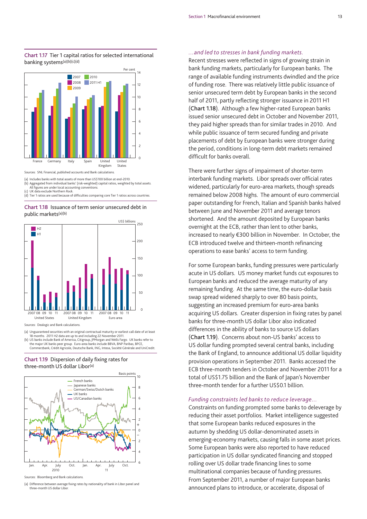#### **Chart 1.17** Tier 1 capital ratios for selected international banking systems(a)(b)(c)(d)



(a) Includes banks with total assets of more than US\$100 billion at end-2010. (b) Aggregated from individual banks' (risk-weighted) capital ratios, weighted by total assets.

All figures are under local accounting conventions.

(c) UK data exclude Northern Rock. (d) Tier 1 ratios are used because of difficulties comparing core Tier 1 ratios across countries.

#### **Chart 1.18** Issuance of term senior unsecured debt in public markets(a)(b)



Sources: Dealogic and Bank calculations.

(a) Unguaranteed securities with an original contractual maturity or earliest call date of at least 18 months. 2011 H2 data are up to and including 22 November 2011.

b) US banks include Bank of America, Citigroup, JPMorgan and Wells Fargo. UK banks refer to)<br>the major UK banks peer group. Euro-area banks include BBVA, BNP Paribas, BPCE,<br>Commerzbank, Crédit Agricole, Deutsche Bank, IN





(a) Difference between average fixing rates by nationality of bank in Libor panel and three-month US dollar Libor.

*…and led to stresses in bank funding markets.* Recent stresses were reflected in signs of growing strain in bank funding markets, particularly for European banks. The range of available funding instruments dwindled and the price of funding rose. There was relatively little public issuance of senior unsecured term debt by European banks in the second half of 2011, partly reflecting stronger issuance in 2011 H1 (**Chart 1.18**). Although a few higher-rated European banks issued senior unsecured debt in October and November 2011, they paid higher spreads than for similar trades in 2010. And while public issuance of term secured funding and private placements of debt by European banks were stronger during the period, conditions in long-term debt markets remained difficult for banks overall.

There were further signs of impairment of shorter-term interbank funding markets. Libor spreads over official rates widened, particularly for euro-area markets, though spreads remained below 2008 highs. The amount of euro commercial paper outstanding for French, Italian and Spanish banks halved between June and November 2011 and average tenors shortened. And the amount deposited by European banks overnight at the ECB, rather than lent to other banks, increased to nearly €300 billion in November. In October, the ECB introduced twelve and thirteen-month refinancing operations to ease banks' access to term funding.

For some European banks, funding pressures were particularly acute in US dollars. US money market funds cut exposures to European banks and reduced the average maturity of any remaining funding. At the same time, the euro-dollar basis swap spread widened sharply to over 80 basis points, suggesting an increased premium for euro-area banks acquiring US dollars. Greater dispersion in fixing rates by panel banks for three-month US dollar Libor also indicated differences in the ability of banks to source US dollars (**Chart 1.19**). Concerns about non-US banks' access to US dollar funding prompted several central banks, including the Bank of England, to announce additional US dollar liquidity provision operations in September 2011. Banks accessed the ECB three-month tenders in October and November 2011 for a total of US\$1.75 billion and the Bank of Japan's November three-month tender for a further US\$0.1 billion.

*Funding constraints led banks to reduce leverage…* Constraints on funding prompted some banks to deleverage by reducing their asset portfolios. Market intelligence suggested that some European banks reduced exposures in the autumn by shedding US dollar-denominated assets in emerging-economy markets, causing falls in some asset prices. Some European banks were also reported to have reduced participation in US dollar syndicated financing and stopped rolling over US dollar trade financing lines to some multinational companies because of funding pressures. From September 2011, a number of major European banks announced plans to introduce, or accelerate, disposal of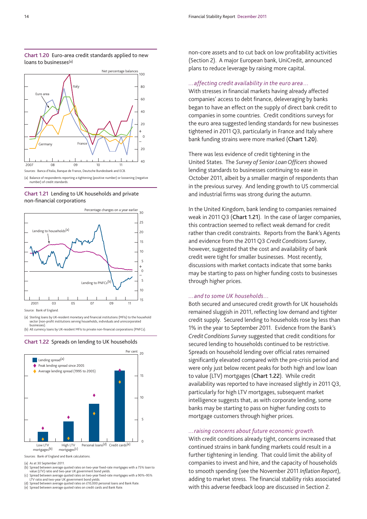



<sup>(</sup>a) Balance of respondents reporting a tightening (positive number) or loosening (negative number) of credit standards.





(a) Sterling loans by UK-resident monetary and financial institutions (MFIs) to the household sector (non-profit institutions serving households, individuals and unincorporated

businesses). (b) All currency loans by UK-resident MFIs to private non-financial corporations (PNFCs).





Sources: Bank of England and Bank calculations.

As at 30 September 2011.

- (b) Spread between average quoted rates on two-year fixed-rate mortgages with a 75% loan to
- value (LTV) ratio and two-year UK government bond yields. (c) Spread between average quoted rates on two-year fixed-rate mortgages with a 90%–95% LTV ratio and two-year UK government bond yields.
- Spread between average quoted rates on £10,000 personal loans and Bank Rate (e) Spread between average quoted rates on credit cards and Bank Rate.

non-core assets and to cut back on low profitability activities (Section 2). A major European bank, UniCredit, announced plans to reduce leverage by raising more capital.

#### *…affecting credit availability in the euro area*…

With stresses in financial markets having already affected companies' access to debt finance, deleveraging by banks began to have an effect on the supply of direct bank credit to companies in some countries. Credit conditions surveys for the euro area suggested lending standards for new businesses tightened in 2011 Q3, particularly in France and Italy where bank funding strains were more marked (**Chart 1.20**).

There was less evidence of credit tightening in the United States. The *Survey of Senior Loan Officers* showed lending standards to businesses continuing to ease in October 2011, albeit by a smaller margin of respondents than in the previous survey. And lending growth to US commercial and industrial firms was strong during the autumn.

In the United Kingdom, bank lending to companies remained weak in 2011 Q3 (**Chart 1.21**). In the case of larger companies, this contraction seemed to reflect weak demand for credit rather than credit constraints. Reports from the Bank's Agents and evidence from the 2011 Q3 *Credit Conditions Survey*, however, suggested that the cost and availability of bank credit were tight for smaller businesses. Most recently, discussions with market contacts indicate that some banks may be starting to pass on higher funding costs to businesses through higher prices.

*…and to some UK households…* Both secured and unsecured credit growth for UK households remained sluggish in 2011, reflecting low demand and tighter credit supply. Secured lending to households rose by less than 1% in the year to September 2011. Evidence from the Bank's *Credit Conditions Survey* suggested that credit conditions for secured lending to households continued to be restrictive. Spreads on household lending over official rates remained significantly elevated compared with the pre-crisis period and were only just below recent peaks for both high and low loan to value (LTV) mortgages (**Chart 1.22**). While credit availability was reported to have increased slightly in 2011 Q3, particularly for high LTV mortgages, subsequent market intelligence suggests that, as with corporate lending, some banks may be starting to pass on higher funding costs to mortgage customers through higher prices.

*…raising concerns about future economic growth.* With credit conditions already tight, concerns increased that continued strains in bank funding markets could result in a further tightening in lending. That could limit the ability of companies to invest and hire, and the capacity of households to smooth spending (see the November 2011 *Inflation Report*), adding to market stress. The financial stability risks associated with this adverse feedback loop are discussed in Section 2.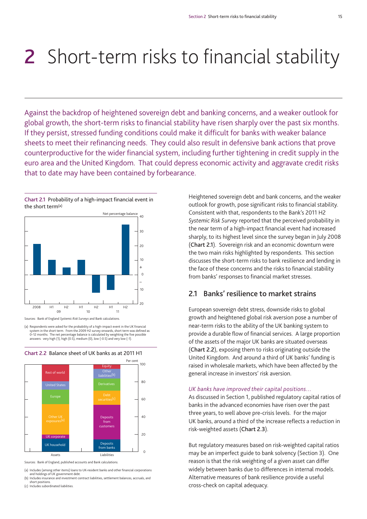# **2** Short-term risks to financial stability

Against the backdrop of heightened sovereign debt and banking concerns, and a weaker outlook for global growth, the short-term risks to financial stability have risen sharply over the past six months. If they persist, stressed funding conditions could make it difficult for banks with weaker balance sheets to meet their refinancing needs. They could also result in defensive bank actions that prove counterproductive for the wider financial system, including further tightening in credit supply in the euro area and the United Kingdom. That could depress economic activity and aggravate credit risks that to date may have been contained by forbearance.



Sources: Bank of England *Systemic Risk Surveys* and Bank calculations.

(a) Respondents were asked for the probability of a high-impact event in the UK financial system in the short term. From the 2009 H2 survey onwards, short term was defined as 0–12 months. The net percentage balance is calculated by weighting the five possible answers: very high (1), high (0.5), medium (0), low (-0.5) and very low (-1).



**Chart 2.2** Balance sheet of UK banks as at 2011 H1

(a) Includes (among other items) loans to UK-resident banks and other financial corporations and holdings of UK government debt.

(b) Includes insurance and investment contract liabilities, settlement balances, accruals, and short positions. (c) Includes subordinated liabilities.

Heightened sovereign debt and bank concerns, and the weaker outlook for growth, pose significant risks to financial stability. Consistent with that, respondents to the Bank's 2011 H2 *Systemic Risk Survey* reported that the perceived probability in the near term of a high-impact financial event had increased sharply, to its highest level since the survey began in July 2008 (**Chart 2.1**). Sovereign risk and an economic downturn were the two main risks highlighted by respondents. This section discusses the short-term risks to bank resilience and lending in the face of these concerns and the risks to financial stability from banks' responses to financial market stresses.

## **2.1 Banks' resilience to market strains**

European sovereign debt stress, downside risks to global growth and heightened global risk aversion pose a number of near-term risks to the ability of the UK banking system to provide a durable flow of financial services. A large proportion of the assets of the major UK banks are situated overseas (**Chart 2.2**), exposing them to risks originating outside the United Kingdom. And around a third of UK banks' funding is raised in wholesale markets, which have been affected by the general increase in investors' risk aversion.

#### *UK banks have improved their capital positions…*

As discussed in Section 1, published regulatory capital ratios of banks in the advanced economies have risen over the past three years, to well above pre-crisis levels. For the major UK banks, around a third of the increase reflects a reduction in risk-weighted assets (**Chart 2.3**).

But regulatory measures based on risk-weighted capital ratios may be an imperfect guide to bank solvency (Section 3). One reason is that the risk weighting of a given asset can differ widely between banks due to differences in internal models. Alternative measures of bank resilience provide a useful cross-check on capital adequacy.

Sources: Bank of England, published accounts and Bank calculations.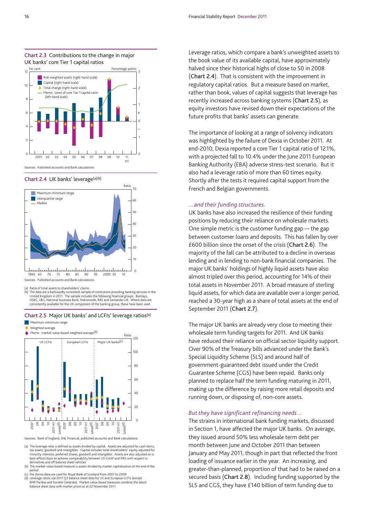

#### **Chart 2.4** UK banks' leverage(a)(b)



(a) Ratio of total assets to shareholders' claims.

(b) The data are a backwardly consistent sample of institutions providing banking services in the United Kingdom in 2011. The sample includes the following financial groups: Barclays, HSBC, LBG, National Australia Bank, Nationwide, RBS and Santander UK. Where data are consistently available for the UK component of the banking group, these have been used.

### **Chart 2.5** Major UK banks' and LCFIs' leverage ratios(a)

Maximum-minimum range



Sources: Bank of England, SNL Financial, published accounts and Bank calculations.

(a) The leverage ratio is defined as assets divided by capital. Assets are adjusted for cash items, tax assets, goodwill and intangibles. Capital includes total shareholders' equity adjusted for minority interests, preferred shares, goodwill and intangibles. Assets are also adjusted on a best-efforts basis to achieve comparability between US GAAP and IFRS with respect to derivatives and off balance sheet vehicles.

(b) The market-value based measure is assets divided by market capitalisation at the end of the period. (c) *Pro-forma* data are used for Royal Bank of Scotland from 2007 to 2009.

(d) Leverage ratios use 2011 Q3 balance sheet data for US and European LCFIs (except BNP Paribas and Société Générale). Market-value based measures combine the latest balance sheet data with market prices as at 22 November 2011.

Leverage ratios, which compare a bank's unweighted assets to the book value of its available capital, have approximately halved since their historical highs of close to 50 in 2008 (**Chart 2.4**). That is consistent with the improvement in regulatory capital ratios. But a measure based on market, rather than book, values of capital suggests that leverage has recently increased across banking systems (**Chart 2.5**), as equity investors have revised down their expectations of the future profits that banks' assets can generate.

The importance of looking at a range of solvency indicators was highlighted by the failure of Dexia in October 2011. At end-2010, Dexia reported a core Tier 1 capital ratio of 12.1%, with a projected fall to 10.4% under the June 2011 European Banking Authority (EBA) adverse stress-test scenario. But it also had a leverage ratio of more than 60 times equity. Shortly after the tests it required capital support from the French and Belgian governments.

#### *…and their funding structures.*

UK banks have also increased the resilience of their funding positions by reducing their reliance on wholesale markets. One simple metric is the customer funding gap — the gap between customer loans and deposits. This has fallen by over £600 billion since the onset of the crisis (**Chart 2.6**). The majority of the fall can be attributed to a decline in overseas lending and in lending to non-bank financial companies. The major UK banks' holdings of highly liquid assets have also almost tripled over this period, accounting for 14% of their total assets in November 2011. A broad measure of sterling liquid assets, for which data are available over a longer period, reached a 30-year high as a share of total assets at the end of September 2011 (**Chart 2.7**).

The major UK banks are already very close to meeting their wholesale term funding targets for 2011. And UK banks have reduced their reliance on official sector liquidity support. Over 90% of the Treasury bills advanced under the Bank's Special Liquidity Scheme (SLS) and around half of government-guaranteed debt issued under the Credit Guarantee Scheme (CGS) have been repaid. Banks only planned to replace half the term funding maturing in 2011, making up the difference by raising more retail deposits and running down, or disposing of, non-core assets.

#### *But they have significant refinancing needs…*

The strains in international bank funding markets, discussed in Section 1, have affected the major UK banks. On average, they issued around 50% less wholesale term debt per month between June and October 2011 than between January and May 2011, though in part that reflected the front loading of issuance earlier in the year. An increasing, and greater-than-planned, proportion of that had to be raised on a secured basis (**Chart 2.8**). Including funding supported by the SLS and CGS, they have £140 billion of term funding due to

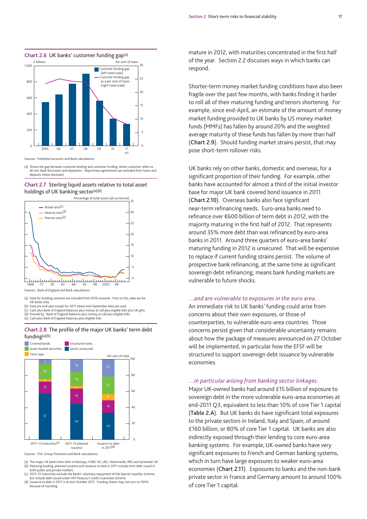

Sources: Published accounts and Bank calculations.

(a) Shows the gap between customer lending and customer funding, where customer refers to all non-bank borrowers and depositors. Repurchase agreements are excluded from loans and deposits where disclosed

#### **Chart 2.7** Sterling liquid assets relative to total asset holdings of UK banking sector<sup>(a)(b)</sup>



(a) Data for building societies are included from 2010 onwards. Prior to this, data are for

UK banks only. (b) Data are end-year except for 2011 where end-September data are used.

(c) Cash plus Bank of England balances plus money at call plus eligible bills plus UK gilts.<br>(d) Proxied by: Bank of England balances plus money at call plus eligible bills.<br>(e) Cash plus Bank of England balances plus

#### **Chart 2.8** The profile of the major UK banks' term debt funding(a)(b)



Sources: FSA, Group Treasurers and Bank calculations.

- (a) The major UK banks here refer to Barclays, HSBC UK, LBG, Nationwide, RBS and Santander UK. (b) Maturing funding, planned issuance and issuance to date in 2011 include term debt issued in
- both public and private markets. (c) 2011–13 maturities exclude the banks' voluntary repayment of the Special Liquidity Scheme
- but include debt issued under HM Treasury's Credit Guarantee Scheme. (d) Issuance to date in 2011 is at end-October 2011. Funding shares may not sum to 100% because of rounding.

mature in 2012, with maturities concentrated in the first half of the year. Section 2.2 discusses ways in which banks can respond.

Shorter-term money market funding conditions have also been fragile over the past few months, with banks finding it harder to roll all of their maturing funding and tenors shortening. For example, since end-April, an estimate of the amount of money market funding provided to UK banks by US money market funds (MMFs) has fallen by around 20% and the weighted average maturity of these funds has fallen by more than half (**Chart 2.9**). Should funding market strains persist, that may pose short-term rollover risks.

UK banks rely on other banks, domestic and overseas, for a significant proportion of their funding. For example, other banks have accounted for almost a third of the initial investor base for major UK bank covered bond issuance in 2011 (**Chart 2.10**). Overseas banks also face significant near-term refinancing needs. Euro-area banks need to refinance over €600 billion of term debt in 2012, with the majority maturing in the first half of 2012. That represents around 35% more debt than was refinanced by euro-area banks in 2011. Around three quarters of euro-area banks' maturing funding in 2012 is unsecured. That will be expensive to replace if current funding strains persist. The volume of prospective bank refinancing, at the same time as significant sovereign debt refinancing, means bank funding markets are vulnerable to future shocks.

#### *…and are vulnerable to exposures in the euro area…*

An immediate risk to UK banks' funding could arise from concerns about their own exposures, or those of counterparties, to vulnerable euro-area countries. Those concerns persist given that considerable uncertainty remains about how the package of measures announced on 27 October will be implemented, in particular how the EFSF will be structured to support sovereign debt issuance by vulnerable economies.

#### *…in particular arising from banking sector linkages.*

Major UK-owned banks had around £15 billion of exposure to sovereign debt in the more vulnerable euro-area economies at end-2011 Q3, equivalent to less than 10% of core Tier 1 capital (**Table 2.A**). But UK banks do have significant total exposures to the private sectors in Ireland, Italy and Spain, of around £160 billion, or 80% of core Tier 1 capital. UK banks are also indirectly exposed through their lending to core euro-area banking systems. For example, UK-owned banks have very significant exposures to French and German banking systems, which in turn have large exposures to weaker euro-area economies (**Chart 2.11**). Exposures to banks and the non-bank private sector in France and Germany amount to around 100% of core Tier 1 capital.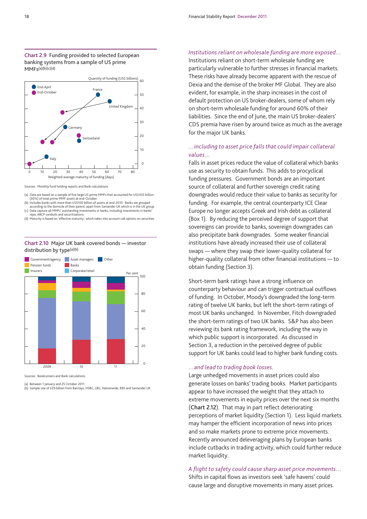



Sources: Monthly fund holding reports and Bank calculations.

(a) Data are based on a sample of five large US prime MMFs that accounted for US\$435 billion<br>(30%) of total prime MMF assets at end-October.<br>(b) Includes banks with more than US\$100 billion of assets at end-2010. Banks are

according to the domicile of their parent, apart from Santander UK which is in the UK group<br>(c) Data capture all MMFs' outstanding investments in banks, including investments in banks'<br>repo, ABCP conduits and securitisatio

(d) Maturity is based on 'effective maturity', which takes into account call options on securities.

#### **Chart 2.10** Major UK bank covered bonds — investor distribution by type<sup>(a)(b)</sup>



Sources: Bookrunners and Bank calculations.

(a) Between 1 January and 25 October 2011. (b) Sample size of £29 billion from Barclays, HSBC, LBG, Nationwide, RBS and Santander UK.

### *Institutions reliant on wholesale funding are more exposed…*

Institutions reliant on short-term wholesale funding are particularly vulnerable to further stresses in financial markets. These risks have already become apparent with the rescue of Dexia and the demise of the broker MF Global. They are also evident, for example, in the sharp increases in the cost of default protection on US broker-dealers, some of whom rely on short-term wholesale funding for around 60% of their liabilities. Since the end of June, the main US broker-dealers' CDS premia have risen by around twice as much as the average for the major UK banks.

#### *…including to asset price falls that could impair collateral values…*

Falls in asset prices reduce the value of collateral which banks use as security to obtain funds. This adds to procyclical funding pressures. Government bonds are an important source of collateral and further sovereign credit rating downgrades would reduce their value to banks as security for funding. For example, the central counterparty ICE Clear Europe no longer accepts Greek and Irish debt as collateral (Box 1). By reducing the perceived degree of support that sovereigns can provide to banks, sovereign downgrades can also precipitate bank downgrades. Some weaker financial institutions have already increased their use of collateral swaps — where they swap their lower-quality collateral for higher-quality collateral from other financial institutions — to obtain funding (Section 3).

Short-term bank ratings have a strong influence on counterparty behaviour and can trigger contractual outflows of funding. In October, Moody's downgraded the long-term rating of twelve UK banks, but left the short-term ratings of most UK banks unchanged. In November, Fitch downgraded the short-term ratings of two UK banks. S&P has also been reviewing its bank rating framework, including the way in which public support is incorporated. As discussed in Section 3, a reduction in the perceived degree of public support for UK banks could lead to higher bank funding costs.

#### *…and lead to trading book losses.*

Large unhedged movements in asset prices could also generate losses on banks' trading books. Market participants appear to have increased the weight that they attach to extreme movements in equity prices over the next six months (**Chart 2.12**). That may in part reflect deteriorating perceptions of market liquidity (Section 1). Less liquid markets may hamper the efficient incorporation of news into prices and so make markets prone to extreme price movements. Recently announced deleveraging plans by European banks include cutbacks in trading activity, which could further reduce market liquidity.

### *A flight to safety could cause sharp asset price movements…*

Shifts in capital flows as investors seek 'safe havens' could cause large and disruptive movements in many asset prices.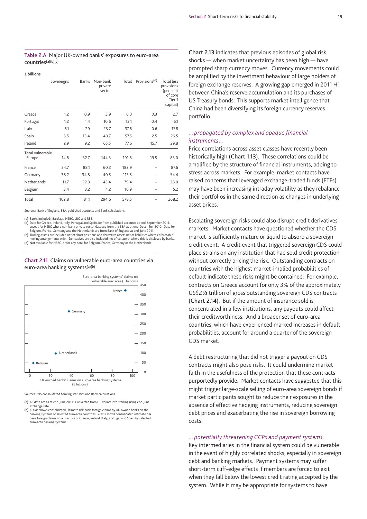#### **Table 2.A** Major UK-owned banks' exposures to euro-area countries(a)(b)(c)

#### **£ billions**

|                            | Sovereigns | Banks | Non-bank<br>private<br>sector | Total | Provisions <sup>(d)</sup> | <b>Total less</b><br>provisions<br>(per cent<br>of core<br>Tier <sub>1</sub><br>capital) |
|----------------------------|------------|-------|-------------------------------|-------|---------------------------|------------------------------------------------------------------------------------------|
| Greece                     | 1.2        | 0.9   | 3.9                           | 6.0   | 0.3                       | 2.7                                                                                      |
| Portugal                   | 1.2        | 1.4   | 10.6                          | 13.1  | 0.4                       | 6.1                                                                                      |
| Italy                      | 6.1        | 7.9   | 23.7                          | 37.6  | 0.6                       | 17.8                                                                                     |
| Spain                      | 3.5        | 13.4  | 40.7                          | 57.5  | 2.5                       | 26.5                                                                                     |
| Ireland                    | 2.9        | 9.2   | 65.5                          | 77.6  | 15.7                      | 29.8                                                                                     |
| Total vulnerable<br>Europe | 14.8       | 32.7  | 144.3                         | 191.8 | 19.5                      | 83.0                                                                                     |
| France                     | 34.7       | 88.1  | 60.2                          | 182.9 |                           | 87.6                                                                                     |
| Germany                    | 38.2       | 34.8  | 40.5                          | 113.5 |                           | 54.4                                                                                     |
| Netherlands                | 11.7       | 22.3  | 45.4                          | 79.4  |                           | 38.0                                                                                     |
| Belgium                    | 3.4        | 3.2   | 4.2                           | 10.9  |                           | 5.2                                                                                      |
| Total                      | 102.8      | 181.1 | 294.6                         | 578.5 |                           | 268.2                                                                                    |

Sources: Bank of England, EBA, published accounts and Bank calculations.

(a) Banks included: Barclays, HSBC, LBG and RBS.

(b) Data for Greece, Ireland, Italy, Portugal and Spain are from published accounts at end-September 2011, except for HSBC where non-bank private sector data are from the EBA as at end-December 2010. Data for Belgium, France, Germany and the Netherlands are from Bank of England at end-June 2011.

(c) Trading assets are included net of short positions and derivative assets net of liabilities where enforceable netting arrangements exist. Derivatives are also included net of collateral where this is disclosed by banks.

(d) Not available for HSBC, or for any bank for Belgium, France, Germany or the Netherlands.

**Chart 2.11** Claims on vulnerable euro-area countries via euro-area banking systems(a)(b)



Sources: BIS consolidated banking statistics and Bank calculations.

(a) All data are as at end-June 2011. Converted from US dollars into sterling using end-June exchange rate. (b) X-axis shows consolidated ultimate risk basis foreign claims by UK-owned banks on the

**Chart 2.13** indicates that previous episodes of global risk shocks — when market uncertainty has been high — have prompted sharp currency moves. Currency movements could be amplified by the investment behaviour of large holders of foreign exchange reserves. A growing gap emerged in 2011 H1 between China's reserve accumulation and its purchases of US Treasury bonds. This supports market intelligence that China had been diversifying its foreign currency reserves portfolio.

#### *…propagated by complex and opaque financial instruments…*

Price correlations across asset classes have recently been historically high (**Chart 1.13**). These correlations could be amplified by the structure of financial instruments, adding to stress across markets. For example, market contacts have raised concerns that leveraged exchange-traded funds (ETFs) may have been increasing intraday volatility as they rebalance their portfolios in the same direction as changes in underlying asset prices.

Escalating sovereign risks could also disrupt credit derivatives markets. Market contacts have questioned whether the CDS market is sufficiently mature or liquid to absorb a sovereign credit event. A credit event that triggered sovereign CDS could place strains on any institution that had sold credit protection without correctly pricing the risk. Outstanding contracts on countries with the highest market-implied probabilities of default indicate these risks might be contained. For example, contracts on Greece account for only 3% of the approximately US\$21/2 trillion of gross outstanding sovereign CDS contracts (**Chart 2.14**). But if the amount of insurance sold is concentrated in a few institutions, any payouts could affect their creditworthiness. And a broader set of euro-area countries, which have experienced marked increases in default probabilities, account for around a quarter of the sovereign CDS market.

A debt restructuring that did not trigger a payout on CDS contracts might also pose risks. It could undermine market faith in the usefulness of the protection that these contracts purportedly provide. Market contacts have suggested that this might trigger large-scale selling of euro-area sovereign bonds if market participants sought to reduce their exposures in the absence of effective hedging instruments, reducing sovereign debt prices and exacerbating the rise in sovereign borrowing costs.

#### *…potentially threatening CCPs and payment systems.*

Key intermediaries in the financial system could be vulnerable in the event of highly correlated shocks, especially in sovereign debt and banking markets. Payment systems may suffer short-term cliff-edge effects if members are forced to exit when they fall below the lowest credit rating accepted by the system. While it may be appropriate for systems to have

banking systems of selected euro-area countries. Y-axis shows consolidated ultimate risk basis foreign claims on all sectors of Greece, Ireland, Italy, Portugal and Spain by selected euro-area banking systems.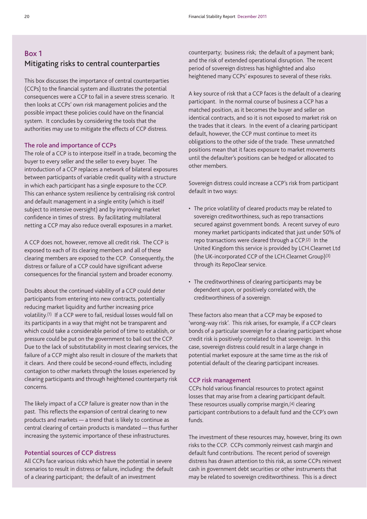## **Box 1 Mitigating risks to central counterparties**

This box discusses the importance of central counterparties (CCPs) to the financial system and illustrates the potential consequences were a CCP to fail in a severe stress scenario. It then looks at CCPs' own risk management policies and the possible impact these policies could have on the financial system. It concludes by considering the tools that the authorities may use to mitigate the effects of CCP distress.

#### **The role and importance of CCPs**

The role of a CCP is to interpose itself in a trade, becoming the buyer to every seller and the seller to every buyer. The introduction of a CCP replaces a network of bilateral exposures between participants of variable credit quality with a structure in which each participant has a single exposure to the CCP. This can enhance system resilience by centralising risk control and default management in a single entity (which is itself subject to intensive oversight) and by improving market confidence in times of stress. By facilitating multilateral netting a CCP may also reduce overall exposures in a market.

A CCP does not, however, remove all credit risk. The CCP is exposed to each of its clearing members and all of these clearing members are exposed to the CCP. Consequently, the distress or failure of a CCP could have significant adverse consequences for the financial system and broader economy.

Doubts about the continued viability of a CCP could deter participants from entering into new contracts, potentially reducing market liquidity and further increasing price volatility.(1) If a CCP were to fail, residual losses would fall on its participants in a way that might not be transparent and which could take a considerable period of time to establish, or pressure could be put on the government to bail out the CCP. Due to the lack of substitutability in most clearing services, the failure of a CCP might also result in closure of the markets that it clears. And there could be second-round effects, including contagion to other markets through the losses experienced by clearing participants and through heightened counterparty risk concerns.

The likely impact of a CCP failure is greater now than in the past. This reflects the expansion of central clearing to new products and markets — a trend that is likely to continue as central clearing of certain products is mandated — thus further increasing the systemic importance of these infrastructures.

#### **Potential sources of CCP distress**

All CCPs face various risks which have the potential in severe scenarios to result in distress or failure, including: the default of a clearing participant; the default of an investment

counterparty; business risk; the default of a payment bank; and the risk of extended operational disruption. The recent period of sovereign distress has highlighted and also heightened many CCPs' exposures to several of these risks.

A key source of risk that a CCP faces is the default of a clearing participant. In the normal course of business a CCP has a matched position, as it becomes the buyer and seller on identical contracts, and so it is not exposed to market risk on the trades that it clears. In the event of a clearing participant default, however, the CCP must continue to meet its obligations to the other side of the trade. These unmatched positions mean that it faces exposure to market movements until the defaulter's positions can be hedged or allocated to other members.

Sovereign distress could increase a CCP's risk from participant default in two ways:

- The price volatility of cleared products may be related to sovereign creditworthiness, such as repo transactions secured against government bonds. A recent survey of euro money market participants indicated that just under 50% of repo transactions were cleared through a CCP.(2) In the United Kingdom this service is provided by LCH.Clearnet Ltd (the UK-incorporated CCP of the LCH.Clearnet Group)(3) through its RepoClear service.
- The creditworthiness of clearing participants may be dependent upon, or positively correlated with, the creditworthiness of a sovereign.

These factors also mean that a CCP may be exposed to 'wrong-way risk'. This risk arises, for example, if a CCP clears bonds of a particular sovereign for a clearing participant whose credit risk is positively correlated to that sovereign. In this case, sovereign distress could result in a large change in potential market exposure at the same time as the risk of potential default of the clearing participant increases.

#### **CCP risk management**

CCPs hold various financial resources to protect against losses that may arise from a clearing participant default. These resources usually comprise margin,(4) clearing participant contributions to a default fund and the CCP's own funds.

The investment of these resources may, however, bring its own risks to the CCP. CCPs commonly reinvest cash margin and default fund contributions. The recent period of sovereign distress has drawn attention to this risk, as some CCPs reinvest cash in government debt securities or other instruments that may be related to sovereign creditworthiness. This is a direct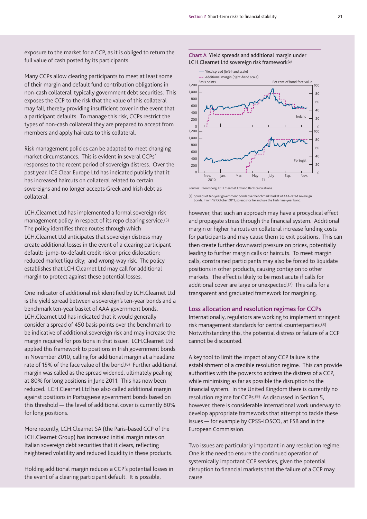Yield spread (left-hand scale)

exposure to the market for a CCP, as it is obliged to return the full value of cash posted by its participants.

Many CCPs allow clearing participants to meet at least some of their margin and default fund contribution obligations in non-cash collateral, typically government debt securities. This exposes the CCP to the risk that the value of this collateral may fall, thereby providing insufficient cover in the event that a participant defaults. To manage this risk, CCPs restrict the types of non-cash collateral they are prepared to accept from members and apply haircuts to this collateral.

Risk management policies can be adapted to meet changing market circumstances. This is evident in several CCPs' responses to the recent period of sovereign distress. Over the past year, ICE Clear Europe Ltd has indicated publicly that it has increased haircuts on collateral related to certain sovereigns and no longer accepts Greek and Irish debt as collateral.

LCH.Clearnet Ltd has implemented a formal sovereign risk management policy in respect of its repo clearing service.(5) The policy identifies three routes through which LCH.Clearnet Ltd anticipates that sovereign distress may create additional losses in the event of a clearing participant default: jump-to-default credit risk or price dislocation; reduced market liquidity; and wrong-way risk. The policy establishes that LCH.Clearnet Ltd may call for additional margin to protect against these potential losses.

One indicator of additional risk identified by LCH.Clearnet Ltd is the yield spread between a sovereign's ten-year bonds and a benchmark ten-year basket of AAA government bonds. LCH.Clearnet Ltd has indicated that it would generally consider a spread of 450 basis points over the benchmark to be indicative of additional sovereign risk and may increase the margin required for positions in that issuer. LCH.Clearnet Ltd applied this framework to positions in Irish government bonds in November 2010, calling for additional margin at a headline rate of 15% of the face value of the bond.(6) Further additional margin was called as the spread widened, ultimately peaking at 80% for long positions in June 2011. This has now been reduced. LCH.Clearnet Ltd has also called additional margin against positions in Portuguese government bonds based on this threshold — the level of additional cover is currently 80% for long positions.

More recently, LCH.Clearnet SA (the Paris-based CCP of the LCH.Clearnet Group) has increased initial margin rates on Italian sovereign debt securities that it clears, reflecting heightened volatility and reduced liquidity in these products.

Holding additional margin reduces a CCP's potential losses in the event of a clearing participant default. It is possible,



**Chart A** Yield spreads and additional margin under LCH.Clearnet Ltd sovereign risk framework(a)



Sources: Bloomberg, LCH.Clearnet Ltd and Bank calculations.

(a) Spreads of ten-year government bonds over benchmark basket of AAA-rated sovereign bonds. From 12 October 2011, spreads for Ireland use the Irish nine-year bond.

however, that such an approach may have a procyclical effect and propagate stress through the financial system. Additional margin or higher haircuts on collateral increase funding costs for participants and may cause them to exit positions. This can then create further downward pressure on prices, potentially leading to further margin calls or haircuts. To meet margin calls, constrained participants may also be forced to liquidate positions in other products, causing contagion to other markets. The effect is likely to be most acute if calls for additional cover are large or unexpected.(7) This calls for a transparent and graduated framework for margining.

#### **Loss allocation and resolution regimes for CCPs**

Internationally, regulators are working to implement stringent risk management standards for central counterparties.(8) Notwithstanding this, the potential distress or failure of a CCP cannot be discounted.

A key tool to limit the impact of any CCP failure is the establishment of a credible resolution regime. This can provide authorities with the powers to address the distress of a CCP, while minimising as far as possible the disruption to the financial system. In the United Kingdom there is currently no resolution regime for CCPs.(9) As discussed in Section 5, however, there is considerable international work underway to develop appropriate frameworks that attempt to tackle these issues — for example by CPSS-IOSCO, at FSB and in the European Commission.

Two issues are particularly important in any resolution regime. One is the need to ensure the continued operation of systemically important CCP services, given the potential disruption to financial markets that the failure of a CCP may cause.

 $80$ 100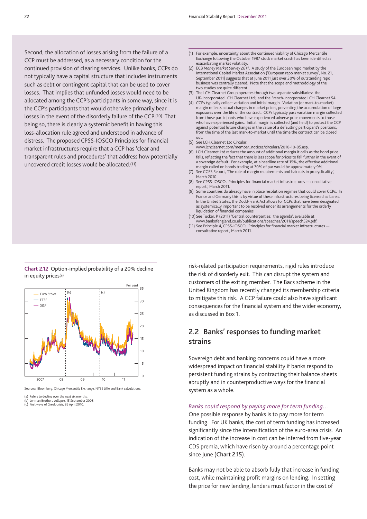Second, the allocation of losses arising from the failure of a CCP must be addressed, as a necessary condition for the continued provision of clearing services. Unlike banks, CCPs do not typically have a capital structure that includes instruments such as debt or contingent capital that can be used to cover losses. That implies that unfunded losses would need to be allocated among the CCP's participants in some way, since it is the CCP's participants that would otherwise primarily bear losses in the event of the disorderly failure of the CCP.(10) That being so, there is clearly a systemic benefit in having this loss-allocation rule agreed and understood in advance of distress. The proposed CPSS-IOSCO Principles for financial market infrastructures require that a CCP has 'clear and transparent rules and procedures' that address how potentially uncovered credit losses would be allocated.(11)

- (1) For example, uncertainty about the continued viability of Chicago Mercantile Exchange following the October 1987 stock market crash has been identified as exacerbating market volatility.
- (2) ECB *Money Market Survey 2011*. A study of the European repo market by the International Capital Market Association ('European repo market survey', No. 21, September 2011) suggests that at June 2011 just over 30% of outstanding repo business was centrally cleared. Note that the scope and methodology of the two studies are quite different.
- (3) The LCH.Clearnet Group operates through two separate subsidiaries: the UK-incorporated LCH.Clearnet Ltd; and the French-incorporated LCH.Clearnet SA.
- (4) CCPs typically collect variation and initial margin. Variation (or mark-to-market) margin reflects actual changes in market prices, preventing the accumulation of large exposures over the life of the contract. CCPs typically pass variation margin collected from those participants who have experienced adverse price movements to those who have experienced gains. Initial margin is collected (and held) to protect the CCP against potential future changes in the value of a defaulting participant's positions, from the time of the last mark-to-market until the time the contract can be closed out.
- (5) See LCH.Clearnet Ltd Circular:
- www.lchclearnet.com/member\_notices/circulars/2010-10-05.asp. (6) LCH.Clearnet Ltd reduces the amount of additional margin it calls as the bond price falls, reflecting the fact that there is less scope for prices to fall further in the event of a sovereign default. For example, at a headline rate of 15%, the effective additional margin called on bonds trading at 70% of par would be approximately 9%.
- (7) See CGFS Report, 'The role of margin requirements and haircuts in procyclicality', March 2010.
- (8) See CPSS-IOSCO, 'Principles for financial market infrastructures consultative report', March 2011.
- (9) Some countries do already have in place resolution regimes that could cover CCPs. In France and Germany this is by virtue of these infrastructures being licensed as banks. In the United States, the Dodd-Frank Act allows for CCPs that have been designated as systemically important to be resolved under its arrangements for the orderly liquidation of financial companies.
- (10) See Tucker, P (2011) 'Central counterparties: the agenda', available at www.bankofengland.co.uk/publications/speeches/2011/speech524.pdf.
- (11) See Principle 4, CPSS-IOSCO, 'Principles for financial market infrastructures consultative report', March 2011.

**Chart 2.12** Option-implied probability of a 20% decline in equity prices(a)



Sources: Bloomberg, Chicago Mercantile Exchange, NYSE Liffe and Bank calculations.

risk-related participation requirements, rigid rules introduce the risk of disorderly exit. This can disrupt the system and customers of the exiting member. The Bacs scheme in the United Kingdom has recently changed its membership criteria to mitigate this risk. A CCP failure could also have significant consequences for the financial system and the wider economy, as discussed in Box 1.

## **2.2 Banks' responses to funding market strains**

Sovereign debt and banking concerns could have a more widespread impact on financial stability if banks respond to persistent funding strains by contracting their balance sheets abruptly and in counterproductive ways for the financial system as a whole.

#### *Banks could respond by paying more for term funding…*

One possible response by banks is to pay more for term funding. For UK banks, the cost of term funding has increased significantly since the intensification of the euro-area crisis. An indication of the increase in cost can be inferred from five-year CDS premia, which have risen by around a percentage point since June (**Chart 2.15**).

Banks may not be able to absorb fully that increase in funding cost, while maintaining profit margins on lending. In setting the price for new lending, lenders must factor in the cost of

<sup>(</sup>a) Refers to decline over the next six months. (b) Lehman Brothers collapse, 15 September 2008.

<sup>(</sup>c) First wave of Greek crisis, 26 April 2010.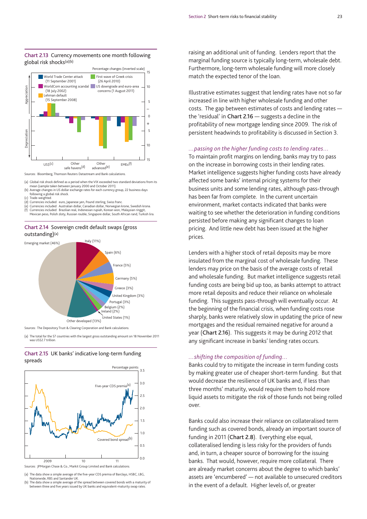

#### **Chart 2.13** Currency movements one month following global risk shocks(a)(b)

Sources: Bloomberg, Thomson Reuters Datastream and Bank calculations.

(a) Global risk shock defined as a period when the VIX exceeded two standard deviations from its mean (sample taken between January 2000 and October 2011).

(b) Average changes in US dollar exchange rates for each currency group, 22 business days following a global risk shock.

(c) Trade-weighted. (d) Currencies included: euro, Japanese yen, Pound sterling, Swiss franc. (e) Currencies included: Australian dollar, Canadian dollar, Norwegian krone, Swedish krona. (f) Currencies included: Brazilian real, Indonesian rupiah, Korean won, Malaysian ringgit, Mexican peso, Polish zloty, Russian rouble, Singapore dollar, South African rand, Turkish lira.

#### **Chart 2.14** Sovereign credit default swaps (gross outstanding)(a)



Sources: The Depository Trust & Clearing Corporation and Bank calculations.

(a) The total for the 57 countries with the largest gross outstanding amount on 18 November 2011 was US\$2.7 trillion

#### **Chart 2.15** UK banks' indicative long-term funding spreads



Sources: JPMorgan Chase & Co., Markit Group Limited and Bank calculations.

(a) The data show a simple average of the five-year CDS premia of Barclays, HSBC, LBG, Nationwide, RBS and Santander UK.

(b) The data show a simple average of the spread between covered bonds with a maturity of between three and five years issued by UK banks and equivalent-maturity swap rates.

raising an additional unit of funding. Lenders report that the marginal funding source is typically long-term, wholesale debt. Furthermore, long-term wholesale funding will more closely match the expected tenor of the loan.

Illustrative estimates suggest that lending rates have not so far increased in line with higher wholesale funding and other costs. The gap between estimates of costs and lending rates the 'residual' in **Chart 2.16** — suggests a decline in the profitability of new mortgage lending since 2009. The risk of persistent headwinds to profitability is discussed in Section 3.

#### *…passing on the higher funding costs to lending rates…*

To maintain profit margins on lending, banks may try to pass on the increase in borrowing costs in their lending rates. Market intelligence suggests higher funding costs have already affected some banks' internal pricing systems for their business units and some lending rates, although pass-through has been far from complete. In the current uncertain environment, market contacts indicated that banks were waiting to see whether the deterioration in funding conditions persisted before making any significant changes to loan pricing. And little new debt has been issued at the higher prices.

Lenders with a higher stock of retail deposits may be more insulated from the marginal cost of wholesale funding. These lenders may price on the basis of the average costs of retail and wholesale funding. But market intelligence suggests retail funding costs are being bid up too, as banks attempt to attract more retail deposits and reduce their reliance on wholesale funding. This suggests pass-through will eventually occur. At the beginning of the financial crisis, when funding costs rose sharply, banks were relatively slow in updating the price of new mortgages and the residual remained negative for around a year (**Chart 2.16**). This suggests it may be during 2012 that any significant increase in banks' lending rates occurs.

#### *…shifting the composition of funding…*

Banks could try to mitigate the increase in term funding costs by making greater use of cheaper short-term funding. But that would decrease the resilience of UK banks and, if less than three months' maturity, would require them to hold more liquid assets to mitigate the risk of those funds not being rolled over.

Banks could also increase their reliance on collateralised term funding such as covered bonds, already an important source of funding in 2011 (**Chart 2.8**). Everything else equal, collateralised lending is less risky for the providers of funds and, in turn, a cheaper source of borrowing for the issuing banks. That would, however, require more collateral. There are already market concerns about the degree to which banks' assets are 'encumbered' — not available to unsecured creditors in the event of a default. Higher levels of, or greater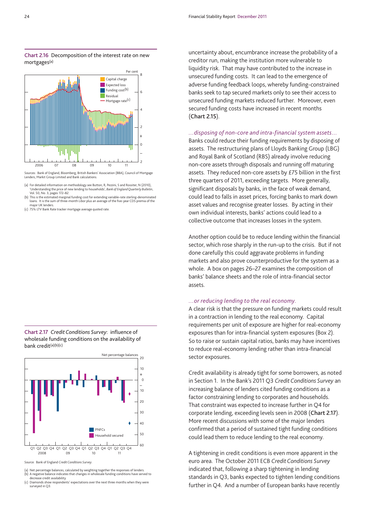

**Chart 2.16** Decomposition of the interest rate on new mortgages(a)

Sources: Bank of England, Bloomberg, British Bankers' Association (BBA), Council of Mortgage Lenders, Markit Group Limited and Bank calculations.

(a) For detailed information on methodology see Button, R, Pezzini, S and Rossiter, N (2010), 'Understanding the price of new lending to households', *Bank of England Quarterly Bulletin*,

Vol. 50, No. 3, pages 172–82. (b) This is the estimated marginal funding cost for extending variable-rate sterling-denominated loans. It is the sum of three-month Libor plus an average of the five-year CDS premia of the major UK lenders.

(c) 75% LTV Bank Rate tracker mortgage average quoted rate.

**Chart 2.17** *Credit Conditions Survey*: influence of wholesale funding conditions on the availability of bank credit(a)(b)(c)



Source: Bank of England *Credit Conditions Survey*.

(a) Net percentage balances, calculated by weighting together the responses of lenders. (b) A negative balance indicates that changes in wholesale funding conditions have served to

decrease credit availability. (c) Diamonds show respondents' expectations over the next three months when they were surveyed in Q3.

uncertainty about, encumbrance increase the probability of a creditor run, making the institution more vulnerable to liquidity risk. That may have contributed to the increase in unsecured funding costs. It can lead to the emergence of adverse funding feedback loops, whereby funding-constrained banks seek to tap secured markets only to see their access to unsecured funding markets reduced further. Moreover, even secured funding costs have increased in recent months (**Chart 2.15**).

#### *…disposing of non-core and intra-financial system assets…*

Banks could reduce their funding requirements by disposing of assets. The restructuring plans of Lloyds Banking Group (LBG) and Royal Bank of Scotland (RBS) already involve reducing non-core assets through disposals and running off maturing assets. They reduced non-core assets by £75 billion in the first three quarters of 2011, exceeding targets. More generally, significant disposals by banks, in the face of weak demand, could lead to falls in asset prices, forcing banks to mark down asset values and recognise greater losses. By acting in their own individual interests, banks' actions could lead to a collective outcome that increases losses in the system.

Another option could be to reduce lending within the financial sector, which rose sharply in the run-up to the crisis. But if not done carefully this could aggravate problems in funding markets and also prove counterproductive for the system as a whole. A box on pages 26–27 examines the composition of banks' balance sheets and the role of intra-financial sector assets.

#### *…or reducing lending to the real economy.*

A clear risk is that the pressure on funding markets could result in a contraction in lending to the real economy. Capital requirements per unit of exposure are higher for real-economy exposures than for intra-financial system exposures (Box 2). So to raise or sustain capital ratios, banks may have incentives to reduce real-economy lending rather than intra-financial sector exposures.

Credit availability is already tight for some borrowers, as noted in Section 1. In the Bank's 2011 Q3 *Credit Conditions Survey* an increasing balance of lenders cited funding conditions as a factor constraining lending to corporates and households. That constraint was expected to increase further in Q4 for corporate lending, exceeding levels seen in 2008 (**Chart 2.17**). More recent discussions with some of the major lenders confirmed that a period of sustained tight funding conditions could lead them to reduce lending to the real economy.

A tightening in credit conditions is even more apparent in the euro area. The October 2011 ECB *Credit Conditions Survey* indicated that, following a sharp tightening in lending standards in Q3, banks expected to tighten lending conditions further in Q4. And a number of European banks have recently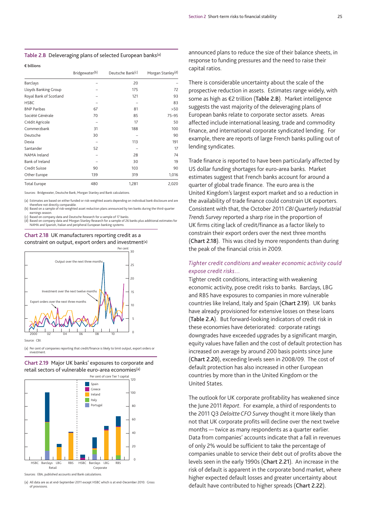**Table 2.B** Deleveraging plans of selected European banks(a)

#### **€ billions**

|                        | Bridgewater <sup>(b)</sup> | Deutsche Bank <sup>(c)</sup> | Morgan Stanley <sup>(d)</sup> |
|------------------------|----------------------------|------------------------------|-------------------------------|
| Barclays               |                            | 20                           |                               |
| Lloyds Banking Group   |                            | 175                          | 72                            |
| Royal Bank of Scotland |                            | 121                          | 93                            |
| <b>HSBC</b>            |                            |                              | 83                            |
| <b>BNP Paribas</b>     | 67                         | 81                           | >50                           |
| Société Générale       | 70                         | 85                           | $75 - 95$                     |
| Crédit Agricole        |                            | 17                           | 50                            |
| Commerzbank            | 31                         | 188                          | 100                           |
| Deutsche               | 30                         |                              | 90                            |
| Dexia                  |                            | 113                          | 191                           |
| Santander              | 52                         |                              | 17                            |
| NAMA Ireland           |                            | 28                           | 74                            |
| Bank of Ireland        |                            | 30                           | 19                            |
| Credit Suisse          | 90                         | 103                          | 90                            |
| Other Europe           | 139                        | 319                          | 1,016                         |
| <b>Total Europe</b>    | 480                        | 1.281                        | 2.020                         |

Sources: Bridgewater, Deutsche Bank, Morgan Stanley and Bank calculations.

(a) Estimates are based on either funded or risk-weighted assets depending on individual bank disclosure and are

therefore not directly comparable. (b) Based on a sample of risk-weighted asset reduction plans announced by ten banks during the third-quarter

earnings season.<br>Based on company data and Deutsche Research for a sample of 17 banks

(c) Based on company data and Deutsche Research for a sample of 17 banks.<br>(d) Based on company data and Morgan Stanley Research for a sample of 26 banks plus additional estimates for<br>NAMA and Spanish, Italian and periphera

**Chart 2.18** UK manufacturers reporting credit as a constraint on output, export orders and investment(a)



(a) Per cent of companies reporting that credit/finance is likely to limit output, export orders or investment.





(a) All data are as at end-September 2011 except HSBC which is at end-December 2010. Gross of provisions.

announced plans to reduce the size of their balance sheets, in response to funding pressures and the need to raise their capital ratios.

There is considerable uncertainty about the scale of the prospective reduction in assets. Estimates range widely, with some as high as €2 trillion (**Table 2.B**). Market intelligence suggests the vast majority of the deleveraging plans of European banks relate to corporate sector assets. Areas affected include international leasing, trade and commodity finance, and international corporate syndicated lending. For example, there are reports of large French banks pulling out of lending syndicates.

Trade finance is reported to have been particularly affected by US dollar funding shortages for euro-area banks. Market estimates suggest that French banks account for around a quarter of global trade finance. The euro area is the United Kingdom's largest export market and so a reduction in the availability of trade finance could constrain UK exporters. Consistent with that, the October 2011 *CBI Quarterly Industrial Trends Survey* reported a sharp rise in the proportion of UK firms citing lack of credit/finance as a factor likely to constrain their export orders over the next three months (**Chart 2.18**). This was cited by more respondents than during the peak of the financial crisis in 2009.

#### *Tighter credit conditions and weaker economic activity could expose credit risks…*

Tighter credit conditions, interacting with weakening economic activity, pose credit risks to banks. Barclays, LBG and RBS have exposures to companies in more vulnerable countries like Ireland, Italy and Spain (**Chart 2.19**). UK banks have already provisioned for extensive losses on these loans (**Table 2.A**). But forward-looking indicators of credit risk in these economies have deteriorated: corporate ratings downgrades have exceeded upgrades by a significant margin, equity values have fallen and the cost of default protection has increased on average by around 200 basis points since June (**Chart 2.20**), exceeding levels seen in 2008/09. The cost of default protection has also increased in other European countries by more than in the United Kingdom or the United States.

The outlook for UK corporate profitability has weakened since the June 2011 *Report*. For example, a third of respondents to the 2011 Q3 *Deloitte CFO Survey* thought it more likely than not that UK corporate profits will decline over the next twelve months — twice as many respondents as a quarter earlier. Data from companies' accounts indicate that a fall in revenues of only 2% would be sufficient to take the percentage of companies unable to service their debt out of profits above the levels seen in the early 1990s (**Chart 2.21**). An increase in the risk of default is apparent in the corporate bond market, where higher expected default losses and greater uncertainty about default have contributed to higher spreads (**Chart 2.22**).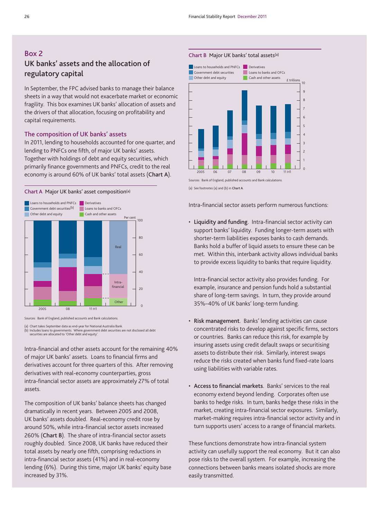## **Box 2 UK banks' assets and the allocation of regulatory capital**

In September, the FPC advised banks to manage their balance sheets in a way that would not exacerbate market or economic fragility. This box examines UK banks' allocation of assets and the drivers of that allocation, focusing on profitability and capital requirements.

#### **The composition of UK banks' assets**

In 2011, lending to households accounted for one quarter, and lending to PNFCs one fifth, of major UK banks' assets. Together with holdings of debt and equity securities, which primarily finance governments and PNFCs, credit to the real economy is around 60% of UK banks' total assets (**Chart A**).





Sources: Bank of England, published accounts and Bank calculations.

(a) Chart takes September data as end-year for National Australia Bank. (b) Includes loans to governments. Where government debt securities are not disclosed all debt securities are allocated to 'Other debt and equity'.

Intra-financial and other assets account for the remaining 40% of major UK banks' assets. Loans to financial firms and derivatives account for three quarters of this. After removing derivatives with real-economy counterparties, gross intra-financial sector assets are approximately 27% of total assets.

The composition of UK banks' balance sheets has changed dramatically in recent years. Between 2005 and 2008, UK banks' assets doubled. Real-economy credit rose by around 50%, while intra-financial sector assets increased 260% (**Chart B**). The share of intra-financial sector assets roughly doubled. Since 2008, UK banks have reduced their total assets by nearly one fifth, comprising reductions in intra-financial sector assets (41%) and in real-economy lending (6%). During this time, major UK banks' equity base increased by 31%.

#### **Chart B** Major UK banks' total assets(a)



Sources: Bank of England, published accounts and Bank calculations.

(a) See footnotes (a) and (b) in **Chart A**.

Intra-financial sector assets perform numerous functions:

• **Liquidity and funding**. Intra-financial sector activity can support banks' liquidity. Funding longer-term assets with shorter-term liabilities exposes banks to cash demands. Banks hold a buffer of liquid assets to ensure these can be met. Within this, interbank activity allows individual banks to provide excess liquidity to banks that require liquidity.

Intra-financial sector activity also provides funding. For example, insurance and pension funds hold a substantial share of long-term savings. In turn, they provide around 35%–40% of UK banks' long-term funding.

- **Risk management**. Banks' lending activities can cause concentrated risks to develop against specific firms, sectors or countries. Banks can reduce this risk, for example by insuring assets using credit default swaps or securitising assets to distribute their risk. Similarly, interest swaps reduce the risks created when banks fund fixed-rate loans using liabilities with variable rates.
- **Access to financial markets**. Banks' services to the real economy extend beyond lending. Corporates often use banks to hedge risks. In turn, banks hedge these risks in the market, creating intra-financial sector exposures. Similarly, market-making requires intra-financial sector activity and in turn supports users' access to a range of financial markets.

These functions demonstrate how intra-financial system activity can usefully support the real economy. But it can also pose risks to the overall system. For example, increasing the connections between banks means isolated shocks are more easily transmitted.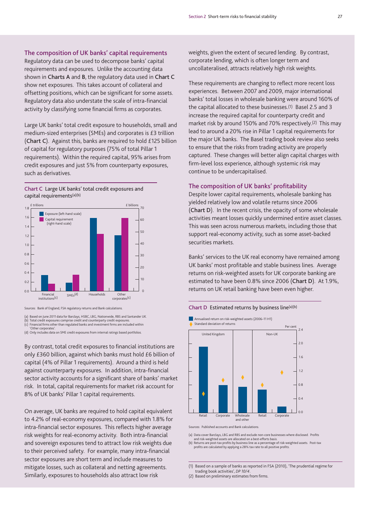**The composition of UK banks' capital requirements** Regulatory data can be used to decompose banks' capital requirements and exposures. Unlike the accounting data shown in **Charts A** and **B**, the regulatory data used in **Chart C** show net exposures. This takes account of collateral and offsetting positions, which can be significant for some assets. Regulatory data also understate the scale of intra-financial activity by classifying some financial firms as corporates.

Large UK banks' total credit exposure to households, small and medium-sized enterprises (SMEs) and corporates is £3 trillion (**Chart C**). Against this, banks are required to hold £125 billion of capital for regulatory purposes (75% of total Pillar 1 requirements). Within the required capital, 95% arises from credit exposures and just 5% from counterparty exposures, such as derivatives.

**Chart C** Large UK banks' total credit exposures and capital requirements(a)(b)



Sources: Bank of England, FSA regulatory returns and Bank calculations.

(a) Based on June 2011 data for Barclays, HSBC, LBG, Nationwide, RBS and Santander UK.

(b) Total credit exposures comprise credit and counterparty credit exposure (c) Financial firms other than regulated banks and investment firms are included within 'Other corporates'.

(d) Only includes data on SME credit exposures from internal ratings based portfolios.

By contrast, total credit exposures to financial institutions are only £360 billion, against which banks must hold £6 billion of capital (4% of Pillar 1 requirements). Around a third is held against counterparty exposures. In addition, intra-financial sector activity accounts for a significant share of banks' market risk. In total, capital requirements for market risk account for 8% of UK banks' Pillar 1 capital requirements.

On average, UK banks are required to hold capital equivalent to 4.2% of real-economy exposures, compared with 1.8% for intra-financial sector exposures. This reflects higher average risk weights for real-economy activity. Both intra-financial and sovereign exposures tend to attract low risk weights due to their perceived safety. For example, many intra-financial sector exposures are short term and include measures to mitigate losses, such as collateral and netting agreements. Similarly, exposures to households also attract low risk

weights, given the extent of secured lending. By contrast, corporate lending, which is often longer term and uncollateralised, attracts relatively high risk weights.

These requirements are changing to reflect more recent loss experiences. Between 2007 and 2009, major international banks' total losses in wholesale banking were around 160% of the capital allocated to these businesses.(1) Basel 2.5 and 3 increase the required capital for counterparty credit and market risk by around 150% and 70% respectively.(2) This may lead to around a 20% rise in Pillar 1 capital requirements for the major UK banks. The Basel trading book review also seeks to ensure that the risks from trading activity are properly captured. These changes will better align capital charges with firm-level loss experience, although systemic risk may continue to be undercapitalised.

#### **The composition of UK banks' profitability**

Despite lower capital requirements, wholesale banking has yielded relatively low and volatile returns since 2006 (**Chart D**). In the recent crisis, the opacity of some wholesale activities meant losses quickly undermined entire asset classes. This was seen across numerous markets, including those that support real-economy activity, such as some asset-backed securities markets.

Banks' services to the UK real economy have remained among UK banks' most profitable and stable business lines. Average returns on risk-weighted assets for UK corporate banking are estimated to have been 0.8% since 2006 (**Chart D**). At 1.9%, returns on UK retail banking have been even higher.





Sources: Published accounts and Bank calculations.

(a) Data cover Barclays, LBG and RBS and exclude non-core businesses where disclosed. Profits

and risk-weighted assets are allocated on a best-efforts basis. (b) Returns are post-tax profits by business line as a percentage of risk-weighted assets. Post-tax profits are calculated by applying a 28% tax rate to all positive profits.

(1) Based on a sample of banks as reported in FSA (2010), 'The prudential regime for trading book activities', *DP 10/4*.

(2) Based on preliminary estimates from firms.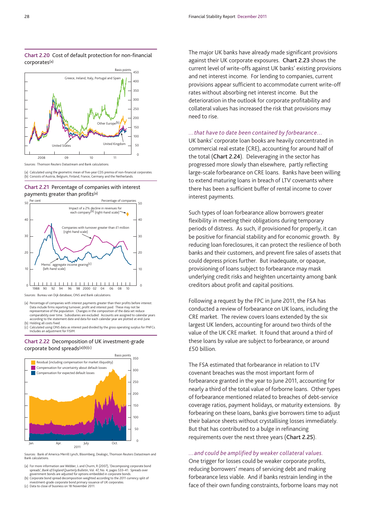#### **Chart 2.20** Cost of default protection for non-financial corporates(a)



(a) Calculated using the geometric mean of five-year CDS premia of non-financial corporates. (b) Consists of Austria, Belgium, Finland, France, Germany and the Netherlands.

#### **Chart 2.21** Percentage of companies with interest payments greater than profits(a)



Sources: Bureau van Dijk database, ONS and Bank calculations.

(a) Percentage of companies with interest payments greater than their profits before interest.<br>Data include firms reporting turnover, profit and interest paid. These may not be<br>representative of the population. Changes in comparability over time. Subsidiaries are excluded. Accounts are assigned to calendar years according to the statement date and data for each calendar year are plotted at end-June (b) Holding all costs fixed.

(c) Calculated using ONS data as interest paid divided by the gross operating surplus for PNFCs. Includes an adjustment for FISIM.

#### **Chart 2.22** Decomposition of UK investment-grade corporate bond spreads(a)(b)(c)



Sources: Bank of America Merrill Lynch, Bloomberg, Dealogic, Thomson Reuters Datastream and Bank calculations.

(a) For more information see Webber, L and Churm, R (2007), 'Decomposing corporate bond spreads', *Bank of England Quarterly Bulletin*, Vol. 47, No. 4, pages 533–41. Spreads over<br>government bonds are adjusted for options embedded in corporate bonds.

(b) Corporate bond spread decomposition weighted according to the 2011 currency split of investment-grade corporate bond primary issuance of UK corporates.

(c) Data to close of business on 18 November 2011.

The major UK banks have already made significant provisions against their UK corporate exposures. **Chart 2.23** shows the current level of write-offs against UK banks' existing provisions and net interest income. For lending to companies, current provisions appear sufficient to accommodate current write-off rates without absorbing net interest income. But the deterioration in the outlook for corporate profitability and collateral values has increased the risk that provisions may need to rise.

#### *…that have to date been contained by forbearance…*

UK banks' corporate loan books are heavily concentrated in commercial real estate (CRE), accounting for around half of the total (**Chart 2.24**). Deleveraging in the sector has progressed more slowly than elsewhere, partly reflecting large-scale forbearance on CRE loans. Banks have been willing to extend maturing loans in breach of LTV covenants where there has been a sufficient buffer of rental income to cover interest payments.

Such types of loan forbearance allow borrowers greater flexibility in meeting their obligations during temporary periods of distress. As such, if provisioned for properly, it can be positive for financial stability and for economic growth. By reducing loan foreclosures, it can protect the resilience of both banks and their customers, and prevent fire sales of assets that could depress prices further. But inadequate, or opaque, provisioning of loans subject to forbearance may mask underlying credit risks and heighten uncertainty among bank creditors about profit and capital positions.

Following a request by the FPC in June 2011, the FSA has conducted a review of forbearance on UK loans, including the CRE market. The review covers loans extended by the six largest UK lenders, accounting for around two thirds of the value of the UK CRE market. It found that around a third of these loans by value are subject to forbearance, or around £50 billion.

The FSA estimated that forbearance in relation to LTV covenant breaches was the most important form of forbearance granted in the year to June 2011, accounting for nearly a third of the total value of forborne loans. Other types of forbearance mentioned related to breaches of debt-service coverage ratios, payment holidays, or maturity extensions. By forbearing on these loans, banks give borrowers time to adjust their balance sheets without crystallising losses immediately. But that has contributed to a bulge in refinancing requirements over the next three years (**Chart 2.25**).

#### *…and could be amplified by weaker collateral values.*

One trigger for losses could be weaker corporate profits, reducing borrowers' means of servicing debt and making forbearance less viable. And if banks restrain lending in the face of their own funding constraints, forborne loans may not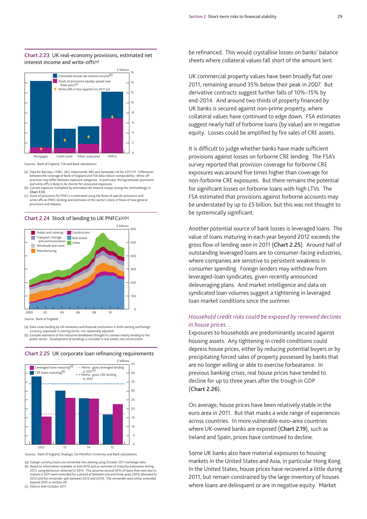#### **Chart 2.23** UK real-economy provisions, estimated net interest income and write-offs(a)



Sources: Bank of England, FSA and Bank calculations.

- (a) Data for Barclays, HSBC, LBG, Nationwide, RBS and Santander UK for 2011 H1. Differences between the coverage of Bank of England and FSA data reduce comparability. Write-off practices may differ between exposure categories. In particular, the lag between provisions and write-offs is likely to be shorter for unsecured exposures.
- (b) Current exposure multiplied by estimated net interest margin (using the methodology in **Chart 3.12**).
- (c) Stock of provisions for PNFCs is estimated using the flows of specific provisions and<br>write-offs on PNFC lending and estimates of the sector's share of flows of new general provisions and releases.

#### **Chart 2.24** Stock of lending to UK PNFCs(a)(b)



Source: Bank of England.

(a) Data cover lending by UK monetary and financial institutions in both sterling and foreign currency, expressed in sterling terms, non seasonally adjusted.

(b) Excludes elements of the industrial breakdown thought to contain mainly lending to the public sector. Development of buildings is included in real estate, not construction.

 $\overline{0}$ 5 10 15 20 25 30 35 40 45 2012 13 14 15 **Leveraged loans maturing**( $a$ ) CRE loans maturing<sup>(b)</sup> Memo: gross CRE lending in 2010 **-** Memo: gross leveraged lending<br>in  $2011<sup>[c]</sup>$  $in 2011$ <sup>(c)</sup> £ billions **Chart 2.25** UK corporate loan refinancing requirements

Sources: Bank of England, Dealogic, De Montfort University and Bank calculations.

(a) Foreign currency loans are converted into sterling using October 2011 exchange rates. (b) Based on information available at end-2010 and an estimate of maturity extensions during<br>2011, using behaviour observed in 2010. This assumes around 30% of loans that were due to<br>2011 mature in 2011 were extended for a 2012 and the remainder split between 2013 and 2014). The remainder were either extended beyond 2015 or written off. (c) Data to end-October 2011.

be refinanced. This would crystallise losses on banks' balance sheets where collateral values fall short of the amount lent.

UK commercial property values have been broadly flat over 2011, remaining around 35% below their peak in 2007. But derivative contracts suggest further falls of 10%–15% by end-2014. And around two thirds of property financed by UK banks is secured against non-prime property, where collateral values have continued to edge down. FSA estimates suggest nearly half of forborne loans (by value) are in negative equity. Losses could be amplified by fire sales of CRE assets.

It is difficult to judge whether banks have made sufficient provisions against losses on forborne CRE lending. The FSA's survey reported that provision coverage for forborne CRE exposures was around five times higher than coverage for non-forborne CRE exposures. But there remains the potential for significant losses on forborne loans with high LTVs. The FSA estimated that provisions against forborne accounts may be understated by up to £5 billion, but this was not thought to be systemically significant.

Another potential source of bank losses is leveraged loans. The value of loans maturing in each year beyond 2012 exceeds the gross flow of lending seen in 2011 (**Chart 2.25**). Around half of outstanding leveraged loans are to consumer-facing industries, where companies are sensitive to persistent weakness in consumer spending. Foreign lenders may withdraw from leveraged-loan syndicates, given recently announced deleveraging plans. And market intelligence and data on syndicated loan volumes suggest a tightening in leveraged loan market conditions since the summer.

#### *Household credit risks could be exposed by renewed declines in house prices…*

Exposures to households are predominantly secured against housing assets. Any tightening in credit conditions could depress house prices, either by reducing potential buyers or by precipitating forced sales of property possessed by banks that are no longer willing or able to exercise forbearance. In previous banking crises, real house prices have tended to decline for up to three years after the trough in GDP (**Chart 2.26**).

On average, house prices have been relatively stable in the euro area in 2011. But that masks a wide range of experiences across countries. In more vulnerable euro-area countries where UK-owned banks are exposed (**Chart 2.19**), such as Ireland and Spain, prices have continued to decline.

Some UK banks also have material exposures to housing markets in the United States and Asia, in particular Hong Kong. In the United States, house prices have recovered a little during 2011, but remain constrained by the large inventory of houses where loans are delinquent or are in negative equity. Market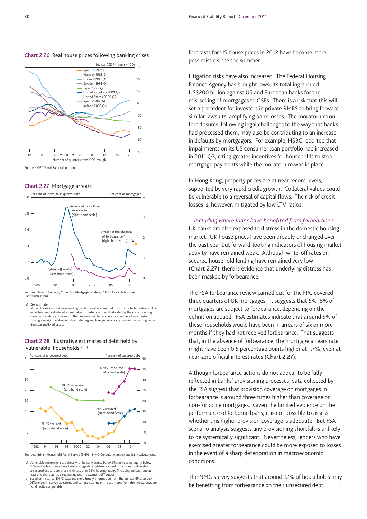



#### **Chart 2.27** Mortgage arrears



Sources: Bank of England, Council of Mortgage Lenders, FSA, FSA calculations and Bank calculations.

**FSA estimate** 

(b) Write-off rate on mortgage lending by UK monetary financial institutions to households. The series has been calculated as annualised quarterly write-offs divided by the corresponding<br>loans outstanding at the end of the previous quarter, and is expressed as a four-quarter<br>moving average. Lending is in both sterlin Non seasonally adjusted.

#### **Chart 2.28** Illustrative estimates of debt held by 'vulnerable' households(a)(b)



Sources: British Household Panel Survey (BHPS), NMG Consulting survey and Bank calculations.

(a) Vulnerable mortgagors are those with housing equity below 5%, or housing equity below 25% and at least one characteristic suggesting debt-repayment difficulties. Vulnerable<br>unsecured debtors are those with less than 25% housing equity (including renters) and at<br>least one characteristic suggesting debt-repay

(b) Based on historical BHPS data and more timely information from the annual NMG survey. Differences in survey questions and sample size mean the estimates from the two surveys are not directly comparable.

**Chart 2.26** Real house prices following banking crises for US house prices in 2012 have become more pessimistic since the summer.

> Litigation risks have also increased. The Federal Housing Finance Agency has brought lawsuits totalling around US\$200 billion against US and European banks for the mis-selling of mortgages to GSEs. There is a risk that this will set a precedent for investors in private RMBS to bring forward similar lawsuits, amplifying bank losses. The moratorium on foreclosures, following legal challenges to the way that banks had processed them, may also be contributing to an increase in defaults by mortgagors. For example, HSBC reported that impairments on its US consumer loan portfolio had increased in 2011 Q3, citing greater incentives for households to stop mortgage payments while the moratorium was in place.

In Hong Kong, property prices are at near record levels, supported by very rapid credit growth. Collateral values could be vulnerable to a reversal of capital flows. The risk of credit losses is, however, mitigated by low LTV ratios.

#### *…including where loans have benefited from forbearance…*

UK banks are also exposed to distress in the domestic housing market. UK house prices have been broadly unchanged over the past year but forward-looking indicators of housing market activity have remained weak. Although write-off rates on secured household lending have remained very low (**Chart 2.27**), there is evidence that underlying distress has been masked by forbearance.

The FSA forbearance review carried out for the FPC covered three quarters of UK mortgages. It suggests that 5%–8% of mortgages are subject to forbearance, depending on the definition applied. FSA estimates indicate that around 5% of these households would have been in arrears of six or more months if they had not received forbearance. That suggests that, in the absence of forbearance, the mortgage arrears rate might have been 0.5 percentage points higher at 1.7%, even at near-zero official interest rates (**Chart 2.27**).

Although forbearance actions do not appear to be fully reflected in banks' provisioning processes, data collected by the FSA suggest that provision coverage on mortgages in forbearance is around three times higher than coverage on non-forborne mortgages. Given the limited evidence on the performance of forborne loans, it is not possible to assess whether this higher provision coverage is adequate. But FSA scenario analysis suggests any provisioning shortfall is unlikely to be systemically significant. Nevertheless, lenders who have exercised greater forbearance could be more exposed to losses in the event of a sharp deterioration in macroeconomic conditions.

The NMG survey suggests that around 12% of households may be benefiting from forbearance on their unsecured debt.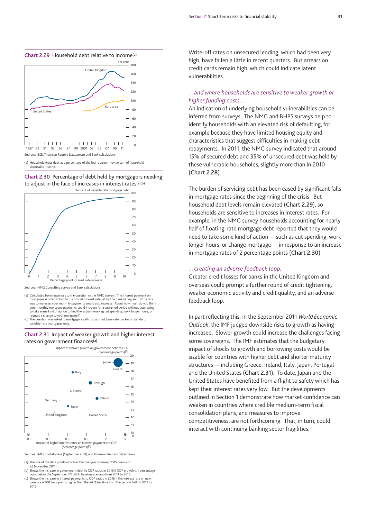



(a) Household gross debt as a percentage of the four-quarter moving sum of household disposable income.





Sources: NMG Consulting survey and Bank calculations.

- (a) Calculated from responses to the question in the NMG survey: 'The interest payment on mortgages is often linked to the official interest rate set by the Bank of England. If the rate was to increase, your monthly payments would also increase. About how much do you think your monthly mortgage payments could increase for a sustained period without you having to take some kind of action to find the extra money eg cut spending, work longer hours, or request a change to your mortgage?
- (b) The question was asked to mortgagors with discounted, base rate tracker or standard variable-rate mortgages only.

#### **Chart 2.31** Impact of weaker growth and higher interest rates on government finances(a)



Sources: IMF *Fiscal Monitor* (September 2011) and Thomson Reuters Datastream.

(a) The size of the data points indicates the five-year sovereign CDS premia on

22 November 2011. (b) Shows the increase in government debt to GDP ratios in 2016 if GDP growth is 1 percentage point below the September IMF *WEO* baseline scenario from 2011 to 2016.

(c) Shows the increase in interest payments to GDP ratios in 2016 if the interest rate on new issuance is 100 basis points higher than the *WEO* baseline from the second half of 2011 to 2016.

Write-off rates on unsecured lending, which had been very high, have fallen a little in recent quarters. But arrears on credit cards remain high, which could indicate latent vulnerabilities.

#### *…and where households are sensitive to weaker growth or higher funding costs…*

An indication of underlying household vulnerabilities can be inferred from surveys. The NMG and BHPS surveys help to identify households with an elevated risk of defaulting, for example because they have limited housing equity and characteristics that suggest difficulties in making debt repayments. In 2011, the NMG survey indicated that around 15% of secured debt and 35% of unsecured debt was held by these vulnerable households, slightly more than in 2010 (**Chart 2.28**).

The burden of servicing debt has been eased by significant falls in mortgage rates since the beginning of the crisis. But household debt levels remain elevated (**Chart 2.29**), so households are sensitive to increases in interest rates. For example, in the NMG survey households accounting for nearly half of floating-rate mortgage debt reported that they would need to take some kind of action — such as cut spending, work longer hours, or change mortgage — in response to an increase in mortgage rates of 2 percentage points (**Chart 2.30**).

#### *…creating an adverse feedback loop.*

Greater credit losses for banks in the United Kingdom and overseas could prompt a further round of credit tightening, weaker economic activity and credit quality, and an adverse feedback loop.

In part reflecting this, in the September 2011 *World Economic Outlook*, the IMF judged downside risks to growth as having increased. Slower growth could increase the challenges facing some sovereigns. The IMF estimates that the budgetary impact of shocks to growth and borrowing costs would be sizable for countries with higher debt and shorter maturity structures — including Greece, Ireland, Italy, Japan, Portugal and the United States (**Chart 2.31**). To date, Japan and the United States have benefited from a flight to safety which has kept their interest rates very low. But the developments outlined in Section 1 demonstrate how market confidence can weaken in countries where credible medium-term fiscal consolidation plans, and measures to improve competitiveness, are not forthcoming. That, in turn, could interact with continuing banking sector fragilities.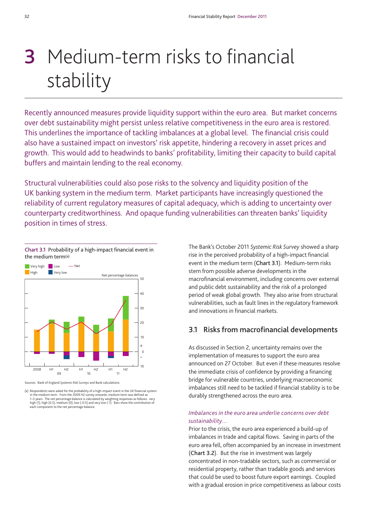# **3** Medium-term risks to financial stability

Recently announced measures provide liquidity support within the euro area. But market concerns over debt sustainability might persist unless relative competitiveness in the euro area is restored. This underlines the importance of tackling imbalances at a global level. The financial crisis could also have a sustained impact on investors' risk appetite, hindering a recovery in asset prices and growth. This would add to headwinds to banks' profitability, limiting their capacity to build capital buffers and maintain lending to the real economy.

Structural vulnerabilities could also pose risks to the solvency and liquidity position of the UK banking system in the medium term. Market participants have increasingly questioned the reliability of current regulatory measures of capital adequacy, which is adding to uncertainty over counterparty creditworthiness. And opaque funding vulnerabilities can threaten banks' liquidity position in times of stress.



Sources: Bank of England *Systemic Risk Surveys* and Bank calculations.

(a) Respondents were asked for the probability of a high-impact event in the UK financial system in the medium term. From the 2009 H2 survey onwards, medium term was defined as 1–3 years. The net percentage balance is calculated by weighting responses as follows: very<br>high (1), high (0.5), medium (0), low (-0.5) and very low (-1). Bars show the contribution of<br>each component to the net percentage

The Bank's October 2011 *Systemic Risk Survey* showed a sharp rise in the perceived probability of a high-impact financial event in the medium term (**Chart 3.1**). Medium-term risks stem from possible adverse developments in the macrofinancial environment, including concerns over external and public debt sustainability and the risk of a prolonged period of weak global growth. They also arise from structural vulnerabilities, such as fault lines in the regulatory framework and innovations in financial markets.

## **3.1 Risks from macrofinancial developments**

As discussed in Section 2, uncertainty remains over the implementation of measures to support the euro area announced on 27 October. But even if these measures resolve the immediate crisis of confidence by providing a financing bridge for vulnerable countries, underlying macroeconomic imbalances still need to be tackled if financial stability is to be durably strengthened across the euro area.

#### *Imbalances in the euro area underlie concerns over debt sustainability…*

Prior to the crisis, the euro area experienced a build-up of imbalances in trade and capital flows. Saving in parts of the euro area fell, often accompanied by an increase in investment (**Chart 3.2**). But the rise in investment was largely concentrated in non-tradable sectors, such as commercial or residential property, rather than tradable goods and services that could be used to boost future export earnings. Coupled with a gradual erosion in price competitiveness as labour costs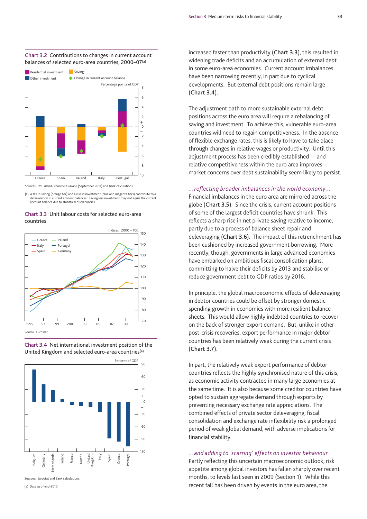#### **Chart 3.2** Contributions to changes in current account balances of selected euro-area countries, 2000–07(a)



Sources: IMF *World Economic Outlook* (September 2011) and Bank calculations.

(a) A fall in saving (orange bar) and a rise in investment (blue and magenta bars) contribute to a deterioration in current account balances. Saving less investment may not equal the current account balance due to statistical discrepancies.

#### **Chart 3.3** Unit labour costs for selected euro-area countries







Sources: Eurostat and Bank calculations.

(a) Data as of end-2010.

increased faster than productivity (**Chart 3.3**), this resulted in widening trade deficits and an accumulation of external debt in some euro-area economies. Current account imbalances have been narrowing recently, in part due to cyclical developments. But external debt positions remain large (**Chart 3.4**).

The adjustment path to more sustainable external debt positions across the euro area will require a rebalancing of saving and investment. To achieve this, vulnerable euro-area countries will need to regain competitiveness. In the absence of flexible exchange rates, this is likely to have to take place through changes in relative wages or productivity. Until this adjustment process has been credibly established — and relative competitiveness within the euro area improves market concerns over debt sustainability seem likely to persist.

#### *…reflecting broader imbalances in the world economy…*

Financial imbalances in the euro area are mirrored across the globe (**Chart 3.5**). Since the crisis, current account positions of some of the largest deficit countries have shrunk. This reflects a sharp rise in net private saving relative to income, partly due to a process of balance sheet repair and deleveraging (**Chart 3.6**). The impact of this retrenchment has been cushioned by increased government borrowing. More recently, though, governments in large advanced economies have embarked on ambitious fiscal consolidation plans, committing to halve their deficits by 2013 and stabilise or reduce government debt to GDP ratios by 2016.

In principle, the global macroeconomic effects of deleveraging in debtor countries could be offset by stronger domestic spending growth in economies with more resilient balance sheets. This would allow highly indebted countries to recover on the back of stronger export demand. But, unlike in other post-crisis recoveries, export performance in major debtor countries has been relatively weak during the current crisis (**Chart 3.7**).

In part, the relatively weak export performance of debtor countries reflects the highly synchronised nature of this crisis, as economic activity contracted in many large economies at the same time. It is also because some creditor countries have opted to sustain aggregate demand through exports by preventing necessary exchange rate appreciations. The combined effects of private sector deleveraging, fiscal consolidation and exchange rate inflexibility risk a prolonged period of weak global demand, with adverse implications for financial stability.

#### *…and adding to 'scarring' effects on investor behaviour.*

Partly reflecting this uncertain macroeconomic outlook, risk appetite among global investors has fallen sharply over recent months, to levels last seen in 2009 (Section 1). While this recent fall has been driven by events in the euro area, the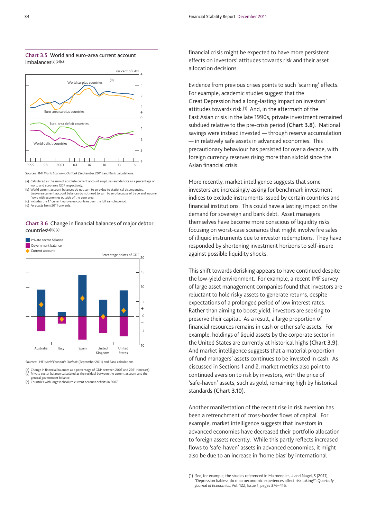



Sources: IMF *World Economic Outlook* (September 2011) and Bank calculations.

(a) Calculated as the sum of absolute current account surpluses and deficits as a percentage of world and euro-area GDP respectively. (b) World current account balances do not sum to zero due to statistical discrepancies. Euro-area current account balances do not need to sum to zero because of trade and income

flows with economies outside of the euro area.

Includes the 17 current euro-area countries over the full sample period. (d) Forecasts from 2011 onwards.

#### **Chart 3.6** Change in financial balances of major debtor countries(a)(b)(c)

**Private sector balance** Government balance



Sources: IMF *World Economic Outlook* (September 2011) and Bank calculations.

(a) Change in financial balances as a percentage of GDP between 2007 and 2011 (forecast). (b) Private sector balance calculated as the residual between the current account and the general government balance.

(c) Countries with largest absolute current account deficits in 2007.

financial crisis might be expected to have more persistent effects on investors' attitudes towards risk and their asset allocation decisions.

Evidence from previous crises points to such 'scarring' effects. For example, academic studies suggest that the Great Depression had a long-lasting impact on investors' attitudes towards risk.(1) And, in the aftermath of the East Asian crisis in the late 1990s, private investment remained subdued relative to the pre-crisis period (**Chart 3.8**). National savings were instead invested — through reserve accumulation — in relatively safe assets in advanced economies. This precautionary behaviour has persisted for over a decade, with foreign currency reserves rising more than sixfold since the Asian financial crisis.

More recently, market intelligence suggests that some investors are increasingly asking for benchmark investment indices to exclude instruments issued by certain countries and financial institutions. This could have a lasting impact on the demand for sovereign and bank debt. Asset managers themselves have become more conscious of liquidity risks, focusing on worst-case scenarios that might involve fire sales of illiquid instruments due to investor redemptions. They have responded by shortening investment horizons to self-insure against possible liquidity shocks.

This shift towards derisking appears to have continued despite the low-yield environment. For example, a recent IMF survey of large asset management companies found that investors are reluctant to hold risky assets to generate returns, despite expectations of a prolonged period of low interest rates. Rather than aiming to boost yield, investors are seeking to preserve their capital. As a result, a large proportion of financial resources remains in cash or other safe assets. For example, holdings of liquid assets by the corporate sector in the United States are currently at historical highs (**Chart 3.9**). And market intelligence suggests that a material proportion of fund managers' assets continues to be invested in cash. As discussed in Sections 1 and 2, market metrics also point to continued aversion to risk by investors, with the price of 'safe-haven' assets, such as gold, remaining high by historical standards (**Chart 3.10**).

Another manifestation of the recent rise in risk aversion has been a retrenchment of cross-border flows of capital. For example, market intelligence suggests that investors in advanced economies have decreased their portfolio allocation to foreign assets recently. While this partly reflects increased flows to 'safe-haven' assets in advanced economies, it might also be due to an increase in 'home bias' by international

<sup>(1)</sup> See, for example, the studies referenced in Malmendier, U and Nagel, S (2011), 'Depression babies: do macroeconomic experiences affect risk taking?', *Quarterly Journal of Economics*, Vol. 122, Issue 1, pages 376–416.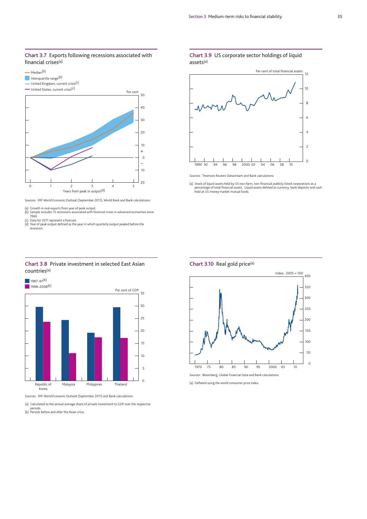#### **Chart 3.7** Exports following recessions associated with financial crises(a)



Sources: IMF *World Economic Outlook* (September 2011), World Bank and Bank calculations.

(a) Growth in real exports from year of peak output. (b) Sample includes 15 recessions associated with financial crises in advanced economies since 1960. (c) Data for 2011 represent a forecast.

(d) Year of peak output defined as the year in which quarterly output peaked before the recession.



#### **Chart 3.8** Private investment in selected East Asian countries(a)

Sources: IMF *World Economic Outlook* (September 2011) and Bank calculations.

(a) Calculated as the annual average share of private investment to GDP over the respective

periods. (b) Periods before and after the Asian crisis.

#### **Chart 3.9** US corporate sector holdings of liquid assets(a)



Sources: Thomson Reuters Datastream and Bank calculations.

(a) Stock of liquid assets held by US non-farm, non-financial publicly listed corporations as a percentage of total financial assets. Liquid assets defined as currency, bank deposits and cash held at US money market mutual funds.



Sources: Bloomberg, Global Financial Data and Bank calculations.

(a) Deflated using the world consumer price index.

**Chart 3.10** Real gold price(a)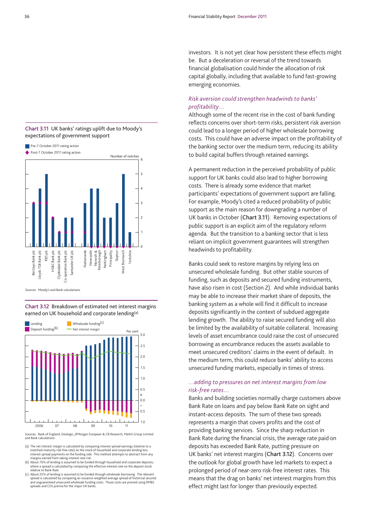#### **Chart 3.11** UK banks' ratings uplift due to Moody's expectations of government support



Sources: Moody's and Bank calculations.

**Chart 3.12** Breakdown of estimated net interest margins earned on UK household and corporate lending(a)



Sources: Bank of England, Dealogic, JPMorgan European & CB Research, Markit Group Limited and Bank calculations.

(a) The net interest margin is calculated by comparing interest spread earnings (relative to a matched-maturity risk-free rate) on the stock of household and corporate lending less interest spread payments on the funding side. This method attempts to abstract from any margins earned from taking interest rate risk.

- (b) About 70% of lending is assumed to be funded through household and corporate deposits, where a spread is calculated by comparing the effective interest rate on the deposit stock relative to Bank Rate.
- (c) About 25% of lending is assumed to be funded through wholesale borrowing. The relevant spread is calculated by comparing an issuance-weighted average spread of historical secured and unguaranteed unsecured wholesale funding costs. Those costs are proxied using RMBS spreads and CDS premia for the major UK banks.

investors. It is not yet clear how persistent these effects might be. But a deceleration or reversal of the trend towards financial globalisation could hinder the allocation of risk capital globally, including that available to fund fast-growing emerging economies.

### *Risk aversion could strengthen headwinds to banks' profitability…*

Although some of the recent rise in the cost of bank funding reflects concerns over short-term risks, persistent risk aversion could lead to a longer period of higher wholesale borrowing costs. This could have an adverse impact on the profitability of the banking sector over the medium term, reducing its ability to build capital buffers through retained earnings.

A permanent reduction in the perceived probability of public support for UK banks could also lead to higher borrowing costs. There is already some evidence that market participants' expectations of government support are falling. For example, Moody's cited a reduced probability of public support as the main reason for downgrading a number of UK banks in October (**Chart 3.11**). Removing expectations of public support is an explicit aim of the regulatory reform agenda. But the transition to a banking sector that is less reliant on implicit government guarantees will strengthen headwinds to profitability.

Banks could seek to restore margins by relying less on unsecured wholesale funding. But other stable sources of funding, such as deposits and secured funding instruments, have also risen in cost (Section 2). And while individual banks may be able to increase their market share of deposits, the banking system as a whole will find it difficult to increase deposits significantly in the context of subdued aggregate lending growth. The ability to raise secured funding will also be limited by the availability of suitable collateral. Increasing levels of asset encumbrance could raise the cost of unsecured borrowing as encumbrance reduces the assets available to meet unsecured creditors' claims in the event of default. In the medium term, this could reduce banks' ability to access unsecured funding markets, especially in times of stress.

#### *…adding to pressures on net interest margins from low risk-free rates…*

Banks and building societies normally charge customers above Bank Rate on loans and pay below Bank Rate on sight and instant-access deposits. The sum of these two spreads represents a margin that covers profits and the cost of providing banking services. Since the sharp reduction in Bank Rate during the financial crisis, the average rate paid on deposits has exceeded Bank Rate, putting pressure on UK banks' net interest margins (**Chart 3.12**). Concerns over the outlook for global growth have led markets to expect a prolonged period of near-zero risk-free interest rates. This means that the drag on banks' net interest margins from this effect might last for longer than previously expected.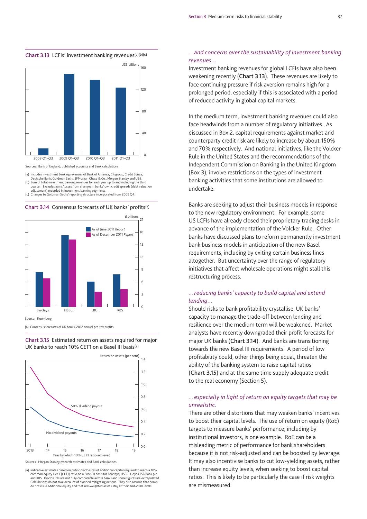



Sources: Bank of England, published accounts and Bank calculations.

(a) Includes investment banking revenues of Bank of America, Citigroup, Credit Suisse, Deutsche Bank, Goldman Sachs, JPMorgan Chase & Co., Morgan Stanley and UBS. (b) Sum of total investment banking revenues for each year up to and including the third

quarter. Excludes gains/losses from changes in banks' own credit spreads (debt valuation adjustment) recorded in investment banking segments.

(c) Changes to Goldman Sachs' reporting structure incorporated from 2009 Q4.





(a) Consensus forecasts of UK banks' 2012 annual pre-tax profits.

**Chart 3.15** Estimated return on assets required for major UK banks to reach 10% CET1 on a Basel III basis(a)



Sources: Morgan Stanley research estimates and Bank calculations.

(a) Indicative estimates based on public disclosures of additional capital required to reach a 10% common equity Tier 1 (CET1) ratio on a Basel III basis for Barclays, HSBC, Lloyds TSB Bank plc and RBS. Disclosures are not fully comparable across banks and some figures are extrapolated. Calculations do not take account of planned mitigating actions. They also assume that banks do not issue additional equity and that risk-weighted assets stay at their end-2010 levels.

#### *…and concerns over the sustainability of investment banking revenues…*

Investment banking revenues for global LCFIs have also been weakening recently (**Chart 3.13**). These revenues are likely to face continuing pressure if risk aversion remains high for a prolonged period, especially if this is associated with a period of reduced activity in global capital markets.

In the medium term, investment banking revenues could also face headwinds from a number of regulatory initiatives. As discussed in Box 2, capital requirements against market and counterparty credit risk are likely to increase by about 150% and 70% respectively. And national initiatives, like the Volcker Rule in the United States and the recommendations of the Independent Commission on Banking in the United Kingdom (Box 3), involve restrictions on the types of investment banking activities that some institutions are allowed to undertake.

Banks are seeking to adjust their business models in response to the new regulatory environment. For example, some US LCFIs have already closed their proprietary trading desks in advance of the implementation of the Volcker Rule. Other banks have discussed plans to reform permanently investment bank business models in anticipation of the new Basel requirements, including by exiting certain business lines altogether. But uncertainty over the range of regulatory initiatives that affect wholesale operations might stall this restructuring process.

#### *…reducing banks' capacity to build capital and extend lending…*

Should risks to bank profitability crystallise, UK banks' capacity to manage the trade-off between lending and resilience over the medium term will be weakened. Market analysts have recently downgraded their profit forecasts for major UK banks (**Chart 3.14**). And banks are transitioning towards the new Basel III requirements. A period of low profitability could, other things being equal, threaten the ability of the banking system to raise capital ratios (**Chart 3.15**) and at the same time supply adequate credit to the real economy (Section 5).

#### *…especially in light of return on equity targets that may be unrealistic.*

There are other distortions that may weaken banks' incentives to boost their capital levels. The use of return on equity (RoE) targets to measure banks' performance, including by institutional investors, is one example. RoE can be a misleading metric of performance for bank shareholders because it is not risk-adjusted and can be boosted by leverage. It may also incentivise banks to cut low-yielding assets, rather than increase equity levels, when seeking to boost capital ratios. This is likely to be particularly the case if risk weights are mismeasured.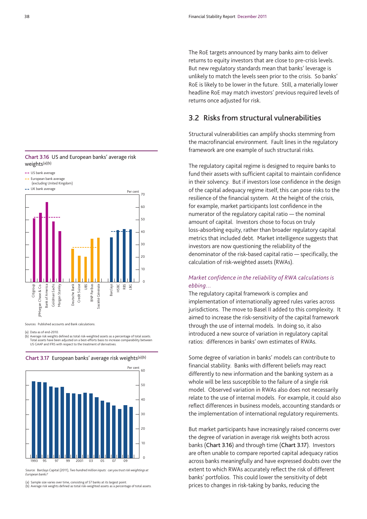The RoE targets announced by many banks aim to deliver returns to equity investors that are close to pre-crisis levels. But new regulatory standards mean that banks' leverage is unlikely to match the levels seen prior to the crisis. So banks' RoE is likely to be lower in the future. Still, a materially lower headline RoE may match investors' previous required levels of returns once adjusted for risk.

### **3.2 Risks from structural vulnerabilities**

Structural vulnerabilities can amplify shocks stemming from the macrofinancial environment. Fault lines in the regulatory framework are one example of such structural risks.

The regulatory capital regime is designed to require banks to fund their assets with sufficient capital to maintain confidence in their solvency. But if investors lose confidence in the design of the capital adequacy regime itself, this can pose risks to the resilience of the financial system. At the height of the crisis, for example, market participants lost confidence in the numerator of the regulatory capital ratio — the nominal amount of capital. Investors chose to focus on truly loss-absorbing equity, rather than broader regulatory capital metrics that included debt. Market intelligence suggests that investors are now questioning the reliability of the denominator of the risk-based capital ratio — specifically, the calculation of risk-weighted assets (RWAs).

#### *Market confidence in the reliability of RWA calculations is ebbing…*

The regulatory capital framework is complex and implementation of internationally agreed rules varies across jurisdictions. The move to Basel II added to this complexity. It aimed to increase the risk-sensitivity of the capital framework through the use of internal models. In doing so, it also introduced a new source of variation in regulatory capital ratios: differences in banks' own estimates of RWAs.

Some degree of variation in banks' models can contribute to financial stability. Banks with different beliefs may react differently to new information and the banking system as a whole will be less susceptible to the failure of a single risk model. Observed variation in RWAs also does not necessarily relate to the use of internal models. For example, it could also reflect differences in business models, accounting standards or the implementation of international regulatory requirements.

But market participants have increasingly raised concerns over the degree of variation in average risk weights both across banks (**Chart 3.16**) and through time (**Chart 3.17**). Investors are often unable to compare reported capital adequacy ratios across banks meaningfully and have expressed doubts over the extent to which RWAs accurately reflect the risk of different banks' portfolios. This could lower the sensitivity of debt prices to changes in risk-taking by banks, reducing the





Sources: Published accounts and Bank calculations.

(a) Data as of end-2010.

*European banks?*

**Chart 3.17** European banks' average risk weights(a)(b)





1993 97 2001 05 09

95 97 99 2001 03 05 07 Source: Barclays Capital (2011), *Two hundred million inputs: can you trust risk weightings at*

(b) Average risk weights defined as total risk-weighted assets as a percentage of total assets.

0

10

 $\overline{20}$ 

30

40

 $50$ 

60

Per cent

<sup>(</sup>b) Average risk weights defined as total risk-weighted assets as a percentage of total assets. Total assets have been adjusted on a best-efforts basis to increase comparability between US GAAP and IFRS with respect to the treatment of derivatives.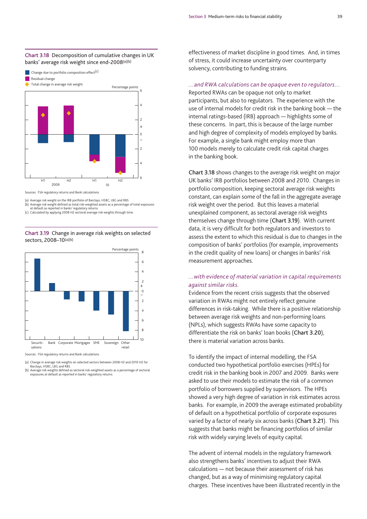

2009 10

Sources: FSA regulatory returns and Bank calculations.

(a) Average risk weight on the IRB portfolio of Barclays, HSBC, LBG and RBS. (b) Average risk weight defined as total risk-weighted assets as a percentage of total exposures at default as reported in banks' regulatory returns.

6

4

(c) Calculated by applying 2008 H2 sectoral average risk weights through time.

H1 H2 H1 H2

**Chart 3.19** Change in average risk weights on selected sectors, 2008–10(a)(b)



(a) Change in average risk weights on selected sectors between 2008 H2 and 2010 H2 for Barclays, HSBC, LBG and RBS.

(b) Average risk weights defined as sectoral risk-weighted assets as a percentage of sectoral exposures at default as reported in banks' regulatory returns.

effectiveness of market discipline in good times. And, in times of stress, it could increase uncertainty over counterparty solvency, contributing to funding strains.

#### *…and RWA calculations can be opaque even to regulators…*

Reported RWAs can be opaque not only to market participants, but also to regulators. The experience with the use of internal models for credit risk in the banking book — the internal ratings-based (IRB) approach — highlights some of these concerns. In part, this is because of the large number and high degree of complexity of models employed by banks. For example, a single bank might employ more than 100 models merely to calculate credit risk capital charges in the banking book.

**Chart 3.18** shows changes to the average risk weight on major UK banks' IRB portfolios between 2008 and 2010. Changes in portfolio composition, keeping sectoral average risk weights constant, can explain some of the fall in the aggregate average risk weight over the period. But this leaves a material unexplained component, as sectoral average risk weights themselves change through time (**Chart 3.19**). With current data, it is very difficult for both regulators and investors to assess the extent to which this residual is due to changes in the composition of banks' portfolios (for example, improvements in the credit quality of new loans) or changes in banks' risk measurement approaches.

#### *…with evidence of material variation in capital requirements against similar risks.*

Evidence from the recent crisis suggests that the observed variation in RWAs might not entirely reflect genuine differences in risk-taking. While there is a positive relationship between average risk weights and non-performing loans (NPLs), which suggests RWAs have some capacity to differentiate the risk on banks' loan books (**Chart 3.20**), there is material variation across banks.

To identify the impact of internal modelling, the FSA conducted two hypothetical portfolio exercises (HPEs) for credit risk in the banking book in 2007 and 2009. Banks were asked to use their models to estimate the risk of a common portfolio of borrowers supplied by supervisors. The HPEs showed a very high degree of variation in risk estimates across banks. For example, in 2009 the average estimated probability of default on a hypothetical portfolio of corporate exposures varied by a factor of nearly six across banks (**Chart 3.21**). This suggests that banks might be financing portfolios of similar risk with widely varying levels of equity capital.

The advent of internal models in the regulatory framework also strengthens banks' incentives to adjust their RWA calculations — not because their assessment of risk has changed, but as a way of minimising regulatory capital charges. These incentives have been illustrated recently in the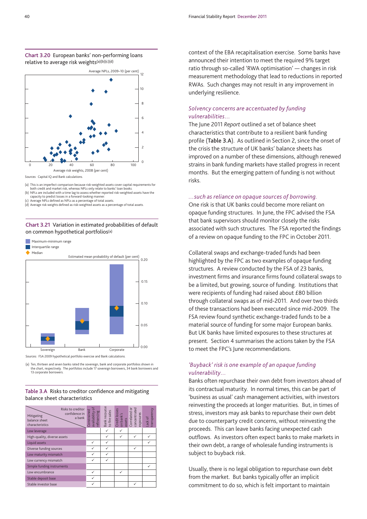



(a) This is an imperfect comparison because risk-weighted assets cover capital requirements for both credit and market risk, whereas NPLs only relate to banks' loan books.

(b) NPLs are included with a time lag to assess whether reported risk-weighted assets have the<br>capacity to predict losses in a forward-looking manner.<br>(c) Average NPLs defined as NPLs as a percentage of total assets.

(d) Average risk weights defined as risk-weighted assets as a percentage of total assets.

#### **Chart 3.21** Variation in estimated probabilities of default on common hypothetical portfolios(a)





(a) Ten, thirteen and seven banks rated the sovereign, bank and corporate portfolios shown in the chart, respectively. The portfolios include 17 sovereign borrowers, 34 bank borrowers and 13 corporate borrowers.

#### **Table 3.A** Risks to creditor confidence and mitigating balance sheet characteristics

| Risks to creditor<br>confidence in<br>Mitigating<br>a bank<br>balance sheet<br>characteristics | ৳<br>Constrained<br>availability of<br>refinancing | Bank recourse<br>to fire sales | on bank's<br>assets<br>Correlated or<br>concentrated<br>Credit losses | exposures | Lack of<br>transparency |
|------------------------------------------------------------------------------------------------|----------------------------------------------------|--------------------------------|-----------------------------------------------------------------------|-----------|-------------------------|
| Low leverage                                                                                   |                                                    | ✓                              | ✓                                                                     |           |                         |
| High-quality, diverse assets                                                                   |                                                    | ✓                              | ✓                                                                     |           |                         |
| Liquid assets                                                                                  | ✓                                                  | ✓                              |                                                                       |           |                         |
| Diverse funding sources                                                                        | ✓                                                  | ✓                              |                                                                       |           |                         |
| Low maturity mismatch                                                                          | ✓                                                  | ✓                              |                                                                       |           |                         |
| Low currency mismatch                                                                          | ✓                                                  | ✓                              |                                                                       |           |                         |
| Simple funding instruments                                                                     |                                                    |                                |                                                                       |           |                         |
| Low encumbrance                                                                                | ✓                                                  |                                | ✓                                                                     |           |                         |
| Stable deposit base                                                                            | ✓                                                  |                                |                                                                       |           |                         |
| Stable investor base                                                                           | ✓                                                  |                                |                                                                       | ✓         |                         |

context of the EBA recapitalisation exercise. Some banks have announced their intention to meet the required 9% target ratio through so-called 'RWA optimisation' — changes in risk measurement methodology that lead to reductions in reported RWAs. Such changes may not result in any improvement in underlying resilience.

#### *Solvency concerns are accentuated by funding vulnerabilities…*

The June 2011 *Report* outlined a set of balance sheet characteristics that contribute to a resilient bank funding profile (**Table 3.A**). As outlined in Section 2, since the onset of the crisis the structure of UK banks' balance sheets has improved on a number of these dimensions, although renewed strains in bank funding markets have stalled progress in recent months. But the emerging pattern of funding is not without risks.

#### *…such as reliance on opaque sources of borrowing.*

One risk is that UK banks could become more reliant on opaque funding structures. In June, the FPC advised the FSA that bank supervisors should monitor closely the risks associated with such structures. The FSA reported the findings of a review on opaque funding to the FPC in October 2011.

Collateral swaps and exchange-traded funds had been highlighted by the FPC as two examples of opaque funding structures. A review conducted by the FSA of 23 banks, investment firms and insurance firms found collateral swaps to be a limited, but growing, source of funding. Institutions that were recipients of funding had raised about £80 billion through collateral swaps as of mid-2011. And over two thirds of these transactions had been executed since mid-2009. The FSA review found synthetic exchange-traded funds to be a material source of funding for some major European banks. But UK banks have limited exposures to these structures at present. Section 4 summarises the actions taken by the FSA to meet the FPC's June recommendations.

#### *'Buyback' risk is one example of an opaque funding vulnerability…*

Banks often repurchase their own debt from investors ahead of its contractual maturity. In normal times, this can be part of 'business as usual' cash management activities, with investors reinvesting the proceeds at longer maturities. But, in times of stress, investors may ask banks to repurchase their own debt due to counterparty credit concerns, without reinvesting the proceeds. This can leave banks facing unexpected cash outflows. As investors often expect banks to make markets in their own debt, a range of wholesale funding instruments is subject to buyback risk.

Usually, there is no legal obligation to repurchase own debt from the market. But banks typically offer an implicit commitment to do so, which is felt important to maintain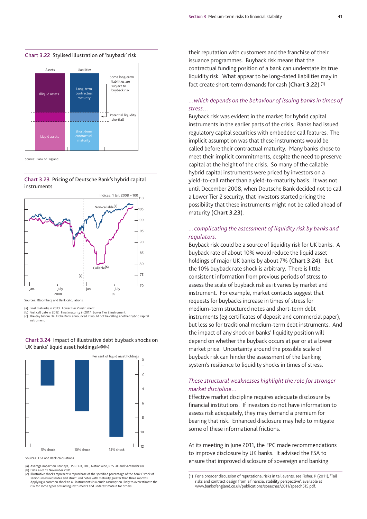#### **Chart 3.22** Stylised illustration of 'buyback' risk



Source: Bank of England.





Sources: Bloomberg and Bank calculations.

(a) Final maturity in 2013. Lower Tier 2 instrument.<br>(b) First call date in 2012. Final maturity in 2017, Le

(b) First call date in 2012. Final maturity in 2017. Lower Tier 2 instrument. (c) The day before Deutsche Bank announced it would not be calling another hybrid capital instrument.

#### **Chart 3.24** Impact of illustrative debt buyback shocks on UK banks' liquid asset holdings(a)(b)(c)



Sources: FSA and Bank calculations.

- (a) Average impact on Barclays, HSBC UK, LBG, Nationwide, RBS UK and Santander UK.
- 
- (b) Data as of 11 November 2011. (c) Illustrative shocks represent a repurchase of the specified percentage of the banks' stock of senior unsecured notes and structured notes with maturity greater than three months. Applying a common shock to all instruments is a crude assumption likely to overestimate the risk for some types of funding instruments and underestimate it for others.

their reputation with customers and the franchise of their issuance programmes. Buyback risk means that the contractual funding position of a bank can understate its true liquidity risk. What appear to be long-dated liabilities may in fact create short-term demands for cash (**Chart 3.22**).(1)

#### *…which depends on the behaviour of issuing banks in times of stress…*

Buyback risk was evident in the market for hybrid capital instruments in the earlier parts of the crisis. Banks had issued regulatory capital securities with embedded call features. The implicit assumption was that these instruments would be called before their contractual maturity. Many banks chose to meet their implicit commitments, despite the need to preserve capital at the height of the crisis. So many of the callable hybrid capital instruments were priced by investors on a yield-to-call rather than a yield-to-maturity basis. It was not until December 2008, when Deutsche Bank decided not to call a Lower Tier 2 security, that investors started pricing the possibility that these instruments might not be called ahead of maturity (**Chart 3.23**).

#### *…complicating the assessment of liquidity risk by banks and regulators.*

Buyback risk could be a source of liquidity risk for UK banks. A buyback rate of about 10% would reduce the liquid asset holdings of major UK banks by about 7% (**Chart 3.24**). But the 10% buyback rate shock is arbitrary. There is little consistent information from previous periods of stress to assess the scale of buyback risk as it varies by market and instrument. For example, market contacts suggest that requests for buybacks increase in times of stress for medium-term structured notes and short-term debt instruments (eg certificates of deposit and commercial paper), but less so for traditional medium-term debt instruments. And the impact of any shock on banks' liquidity position will depend on whether the buyback occurs at par or at a lower market price. Uncertainty around the possible scale of buyback risk can hinder the assessment of the banking system's resilience to liquidity shocks in times of stress.

#### *These structural weaknesses highlight the role for stronger market discipline…*

Effective market discipline requires adequate disclosure by financial institutions. If investors do not have information to assess risk adequately, they may demand a premium for bearing that risk. Enhanced disclosure may help to mitigate some of these informational frictions.

At its meeting in June 2011, the FPC made recommendations to improve disclosure by UK banks. It advised the FSA to ensure that improved disclosure of sovereign and banking

<sup>(1)</sup> For a broader discussion of reputational risks in tail events, see Fisher, P (2011), 'Tail risks and contract design from a financial stability perspective', available at www.bankofengland.co.uk/publications/speeches/2011/speech515.pdf.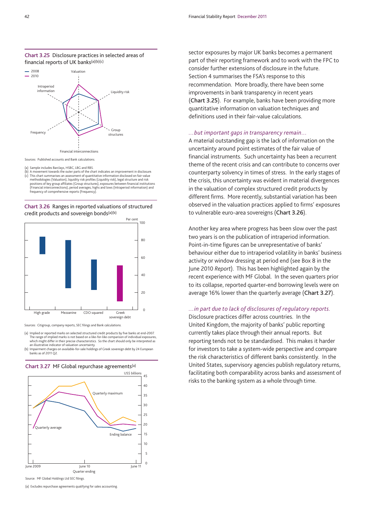



(a) Sample includes Barclays, HSBC, LBG and RBS.

(b) A movement towards the outer parts of the chart indicates an improvement in disclosure. (c) This chart summarises an assessment of quantitative information disclosed on fair-value<br>methodologies (Valuation), liquidity risk profiles (Liquidity risk), legal structure and risk<br>positions of key group affiliates (G (Financial interconnections), period averages, highs and lows (Intraperiod information) and frequency of comprehensive reports (Frequency).

**Chart 3.26** Ranges in reported valuations of structured credit products and sovereign bonds(a)(b)



Sources: Citigroup, company reports, SEC filings and Bank calculations.

(a) Implied or reported marks on selected structured credit products by five banks at end-2007. The range of implied marks is not based on a like-for-like comparison of individual exposures, it is not based on a like-for-like comparison which might differ in their precise characteristics. So the chart should only be interpreted as an illustrative indicator of valuation uncertainty.

(b) Impairment charges on available-for-sale holdings of Greek sovereign debt by 24 European banks as of 2011 Q2.



**Chart 3.27** MF Global repurchase agreements(a)

Source: MF Global Holdings Ltd SEC filings.

(a) Excludes repurchase agreements qualifying for sales accounting.

sector exposures by major UK banks becomes a permanent part of their reporting framework and to work with the FPC to consider further extensions of disclosure in the future. Section 4 summarises the FSA's response to this recommendation. More broadly, there have been some improvements in bank transparency in recent years (**Chart 3.25**). For example, banks have been providing more quantitative information on valuation techniques and definitions used in their fair-value calculations.

#### *…but important gaps in transparency remain…*

A material outstanding gap is the lack of information on the uncertainty around point estimates of the fair value of financial instruments. Such uncertainty has been a recurrent theme of the recent crisis and can contribute to concerns over counterparty solvency in times of stress. In the early stages of the crisis, this uncertainty was evident in material divergences in the valuation of complex structured credit products by different firms. More recently, substantial variation has been observed in the valuation practices applied to firms' exposures to vulnerable euro-area sovereigns (**Chart 3.26**).

Another key area where progress has been slow over the past two years is on the publication of intraperiod information. Point-in-time figures can be unrepresentative of banks' behaviour either due to intraperiod volatility in banks' business activity or window dressing at period end (see Box 8 in the June 2010 *Report*). This has been highlighted again by the recent experience with MF Global. In the seven quarters prior to its collapse, reported quarter-end borrowing levels were on average 16% lower than the quarterly average (**Chart 3.27**).

#### *…in part due to lack of disclosures of regulatory reports.*

Disclosure practices differ across countries. In the United Kingdom, the majority of banks' public reporting currently takes place through their annual reports. But reporting tends not to be standardised. This makes it harder for investors to take a system-wide perspective and compare the risk characteristics of different banks consistently. In the United States, supervisory agencies publish regulatory returns, facilitating both comparability across banks and assessment of risks to the banking system as a whole through time.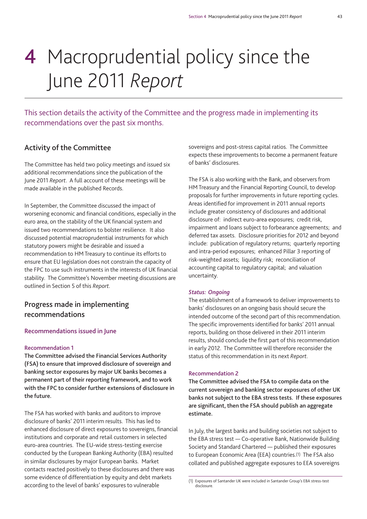# **4** Macroprudential policy since the June 2011 *Report*

This section details the activity of the Committee and the progress made in implementing its recommendations over the past six months.

## **Activity of the Committee**

The Committee has held two policy meetings and issued six additional recommendations since the publication of the June 2011 *Report*. A full account of these meetings will be made available in the published Records.

In September, the Committee discussed the impact of worsening economic and financial conditions, especially in the euro area, on the stability of the UK financial system and issued two recommendations to bolster resilience. It also discussed potential macroprudential instruments for which statutory powers might be desirable and issued a recommendation to HM Treasury to continue its efforts to ensure that EU legislation does not constrain the capacity of the FPC to use such instruments in the interests of UK financial stability. The Committee's November meeting discussions are outlined in Section 5 of this *Report*.

## **Progress made in implementing recommendations**

#### **Recommendations issued in June**

#### **Recommendation 1**

**The Committee advised the Financial Services Authority (FSA) to ensure that improved disclosure of sovereign and banking sector exposures by major UK banks becomes a permanent part of their reporting framework, and to work with the FPC to consider further extensions of disclosure in the future.**

The FSA has worked with banks and auditors to improve disclosure of banks' 2011 interim results. This has led to enhanced disclosure of direct exposures to sovereigns, financial institutions and corporate and retail customers in selected euro-area countries. The EU-wide stress-testing exercise conducted by the European Banking Authority (EBA) resulted in similar disclosures by major European banks. Market contacts reacted positively to these disclosures and there was some evidence of differentiation by equity and debt markets according to the level of banks' exposures to vulnerable

sovereigns and post-stress capital ratios. The Committee expects these improvements to become a permanent feature of banks' disclosures.

The FSA is also working with the Bank, and observers from HM Treasury and the Financial Reporting Council, to develop proposals for further improvements in future reporting cycles. Areas identified for improvement in 2011 annual reports include greater consistency of disclosures and additional disclosure of: indirect euro-area exposures; credit risk, impairment and loans subject to forbearance agreements; and deferred tax assets. Disclosure priorities for 2012 and beyond include: publication of regulatory returns; quarterly reporting and intra-period exposures; enhanced Pillar 3 reporting of risk-weighted assets; liquidity risk; reconciliation of accounting capital to regulatory capital; and valuation uncertainty.

#### *Status: Ongoing*

The establishment of a framework to deliver improvements to banks' disclosures on an ongoing basis should secure the intended outcome of the second part of this recommendation. The specific improvements identified for banks' 2011 annual reports, building on those delivered in their 2011 interim results, should conclude the first part of this recommendation in early 2012. The Committee will therefore reconsider the status of this recommendation in its next *Report*.

#### **Recommendation 2**

**The Committee advised the FSA to compile data on the current sovereign and banking sector exposures of other UK banks not subject to the EBA stress tests. If these exposures are significant, then the FSA should publish an aggregate estimate.**

In July, the largest banks and building societies not subject to the EBA stress test — Co-operative Bank, Nationwide Building Society and Standard Chartered — published their exposures to European Economic Area (EEA) countries.(1) The FSA also collated and published aggregate exposures to EEA sovereigns

<sup>(1)</sup> Exposures of Santander UK were included in Santander Group's EBA stress-test disclosure.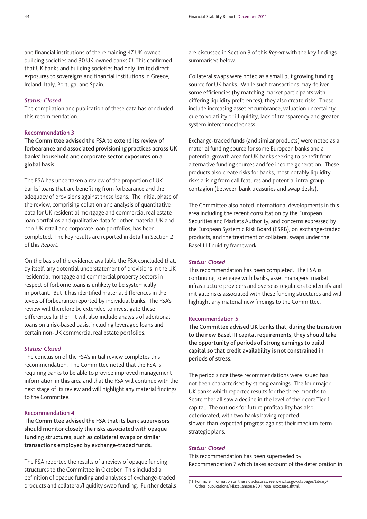and financial institutions of the remaining 47 UK-owned building societies and 30 UK-owned banks.(1) This confirmed that UK banks and building societies had only limited direct exposures to sovereigns and financial institutions in Greece, Ireland, Italy, Portugal and Spain.

#### *Status: Closed*

The compilation and publication of these data has concluded this recommendation.

### **Recommendation 3**

**The Committee advised the FSA to extend its review of forbearance and associated provisioning practices across UK banks' household and corporate sector exposures on a global basis.**

The FSA has undertaken a review of the proportion of UK banks' loans that are benefiting from forbearance and the adequacy of provisions against these loans. The initial phase of the review, comprising collation and analysis of quantitative data for UK residential mortgage and commercial real estate loan portfolios and qualitative data for other material UK and non-UK retail and corporate loan portfolios, has been completed. The key results are reported in detail in Section 2 of this *Report*.

On the basis of the evidence available the FSA concluded that, by itself, any potential understatement of provisions in the UK residential mortgage and commercial property sectors in respect of forborne loans is unlikely to be systemically important. But it has identified material differences in the levels of forbearance reported by individual banks. The FSA's review will therefore be extended to investigate these differences further. It will also include analysis of additional loans on a risk-based basis, including leveraged loans and certain non-UK commercial real estate portfolios.

#### *Status: Closed*

The conclusion of the FSA's initial review completes this recommendation. The Committee noted that the FSA is requiring banks to be able to provide improved management information in this area and that the FSA will continue with the next stage of its review and will highlight any material findings to the Committee.

#### **Recommendation 4**

**The Committee advised the FSA that its bank supervisors should monitor closely the risks associated with opaque funding structures, such as collateral swaps or similar transactions employed by exchange-traded funds.**

The FSA reported the results of a review of opaque funding structures to the Committee in October. This included a definition of opaque funding and analyses of exchange-traded products and collateral/liquidity swap funding. Further details are discussed in Section 3 of this *Report* with the key findings summarised below.

Collateral swaps were noted as a small but growing funding source for UK banks. While such transactions may deliver some efficiencies (by matching market participants with differing liquidity preferences), they also create risks. These include increasing asset encumbrance, valuation uncertainty due to volatility or illiquidity, lack of transparency and greater system interconnectedness.

Exchange-traded funds (and similar products) were noted as a material funding source for some European banks and a potential growth area for UK banks seeking to benefit from alternative funding sources and fee income generation. These products also create risks for banks, most notably liquidity risks arising from call features and potential intra-group contagion (between bank treasuries and swap desks).

The Committee also noted international developments in this area including the recent consultation by the European Securities and Markets Authority, and concerns expressed by the European Systemic Risk Board (ESRB), on exchange-traded products, and the treatment of collateral swaps under the Basel III liquidity framework.

#### *Status: Closed*

This recommendation has been completed. The FSA is continuing to engage with banks, asset managers, market infrastructure providers and overseas regulators to identify and mitigate risks associated with these funding structures and will highlight any material new findings to the Committee.

#### **Recommendation 5**

**The Committee advised UK banks that, during the transition to the new Basel III capital requirements, they should take the opportunity of periods of strong earnings to build capital so that credit availability is not constrained in periods of stress.**

The period since these recommendations were issued has not been characterised by strong earnings. The four major UK banks which reported results for the three months to September all saw a decline in the level of their core Tier 1 capital. The outlook for future profitability has also deteriorated, with two banks having reported slower-than-expected progress against their medium-term strategic plans.

#### *Status: Closed*

This recommendation has been superseded by Recommendation 7 which takes account of the deterioration in

<sup>(1)</sup> For more information on these disclosures, see www.fsa.gov.uk/pages/Library/ Other\_publications/Miscellaneous/2011/eea\_exposure.shtml.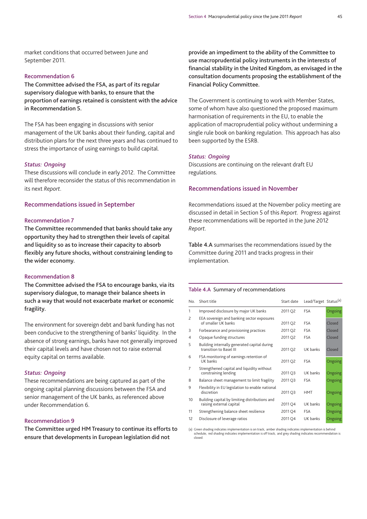market conditions that occurred between June and September 2011.

#### **Recommendation 6**

**The Committee advised the FSA, as part of its regular supervisory dialogue with banks, to ensure that the proportion of earnings retained is consistent with the advice in Recommendation 5.**

The FSA has been engaging in discussions with senior management of the UK banks about their funding, capital and distribution plans for the next three years and has continued to stress the importance of using earnings to build capital.

#### *Status: Ongoing*

These discussions will conclude in early 2012. The Committee will therefore reconsider the status of this recommendation in its next *Report*.

#### **Recommendations issued in September**

#### **Recommendation 7**

**The Committee recommended that banks should take any opportunity they had to strengthen their levels of capital and liquidity so as to increase their capacity to absorb flexibly any future shocks, without constraining lending to the wider economy.**

#### **Recommendation 8**

**The Committee advised the FSA to encourage banks, via its supervisory dialogue, to manage their balance sheets in such a way that would not exacerbate market or economic fragility.**

The environment for sovereign debt and bank funding has not been conducive to the strengthening of banks' liquidity. In the absence of strong earnings, banks have not generally improved their capital levels and have chosen not to raise external equity capital on terms available.

#### *Status: Ongoing*

These recommendations are being captured as part of the ongoing capital planning discussions between the FSA and senior management of the UK banks, as referenced above under Recommendation 6.

#### **Recommendation 9**

**The Committee urged HM Treasury to continue its efforts to ensure that developments in European legislation did not**

**provide an impediment to the ability of the Committee to use macroprudential policy instruments in the interests of financial stability in the United Kingdom, as envisaged in the consultation documents proposing the establishment of the Financial Policy Committee.**

The Government is continuing to work with Member States, some of whom have also questioned the proposed maximum harmonisation of requirements in the EU, to enable the application of macroprudential policy without undermining a single rule book on banking regulation. This approach has also been supported by the ESRB.

#### *Status: Ongoing*

Discussions are continuing on the relevant draft EU regulations.

#### **Recommendations issued in November**

Recommendations issued at the November policy meeting are discussed in detail in Section 5 of this *Report*. Progress against these recommendations will be reported in the June 2012 *Report*.

**Table 4.A** summarises the recommendations issued by the Committee during 2011 and tracks progress in their implementation.

#### **Table 4.A** Summary of recommendations

| No.            | Short title                                                                | Start date | Lead/Target Status <sup>(a)</sup> |                |
|----------------|----------------------------------------------------------------------------|------------|-----------------------------------|----------------|
| 1              | Improved disclosure by major UK banks                                      | 2011 Q2    | <b>FSA</b>                        | Ongoing        |
| 2              | EEA sovereign and banking sector exposures<br>of smaller UK banks          | 2011 Q2    | <b>FSA</b>                        | Closed         |
| 3              | Forbearance and provisioning practices                                     | 2011 Q2    | <b>FSA</b>                        | Closed         |
| 4              | Opaque funding structures                                                  | 2011 Q2    | <b>FSA</b>                        | Closed         |
| 5              | Building internally generated capital during<br>transition to Basel III    | 2011 Q2    | UK banks                          | Closed         |
| 6              | FSA monitoring of earnings retention of<br>UK banks                        | 2011 Q2    | <b>FSA</b>                        | <b>Ongoing</b> |
| $\overline{7}$ | Strengthened capital and liquidity without<br>constraining lending         | 2011 Q3    | UK banks                          | Ongoing        |
| 8              | Balance sheet management to limit fragility                                | 2011 Q3    | <b>FSA</b>                        | Ongoing        |
| 9              | Flexibility in EU legislation to enable national<br>discretion             | 2011 Q3    | <b>HMT</b>                        | Ongoing        |
| 10             | Building capital by limiting distributions and<br>raising external capital | 2011 Q4    | UK banks                          | <b>Ongoing</b> |
| 11             | Strengthening balance sheet resilience                                     | 2011 Q4    | <b>FSA</b>                        | Ongoing        |
| 12             | Disclosure of leverage ratios                                              | 2011 Q4    | UK banks                          | Ongoing        |

(a) Green shading indicates implementation is on track; amber shading indicates implementation is behind schedule; red shading indicates implementation is off track; and grey shading indicates recommendation is closed.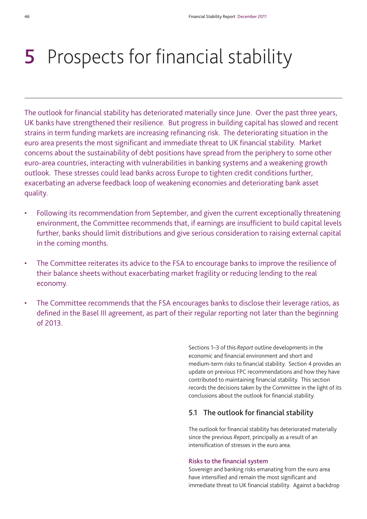# **5** Prospects for financial stability

The outlook for financial stability has deteriorated materially since June. Over the past three years, UK banks have strengthened their resilience. But progress in building capital has slowed and recent strains in term funding markets are increasing refinancing risk. The deteriorating situation in the euro area presents the most significant and immediate threat to UK financial stability. Market concerns about the sustainability of debt positions have spread from the periphery to some other euro-area countries, interacting with vulnerabilities in banking systems and a weakening growth outlook. These stresses could lead banks across Europe to tighten credit conditions further, exacerbating an adverse feedback loop of weakening economies and deteriorating bank asset quality.

- Following its recommendation from September, and given the current exceptionally threatening environment, the Committee recommends that, if earnings are insufficient to build capital levels further, banks should limit distributions and give serious consideration to raising external capital in the coming months.
- The Committee reiterates its advice to the FSA to encourage banks to improve the resilience of their balance sheets without exacerbating market fragility or reducing lending to the real economy.
- The Committee recommends that the FSA encourages banks to disclose their leverage ratios, as defined in the Basel III agreement, as part of their regular reporting not later than the beginning of 2013.

Sections 1–3 of this *Report* outline developments in the economic and financial environment and short and medium-term risks to financial stability. Section 4 provides an update on previous FPC recommendations and how they have contributed to maintaining financial stability. This section records the decisions taken by the Committee in the light of its conclusions about the outlook for financial stability.

### **5.1 The outlook for financial stability**

The outlook for financial stability has deteriorated materially since the previous *Report*, principally as a result of an intensification of stresses in the euro area.

#### **Risks to the financial system**

Sovereign and banking risks emanating from the euro area have intensified and remain the most significant and immediate threat to UK financial stability. Against a backdrop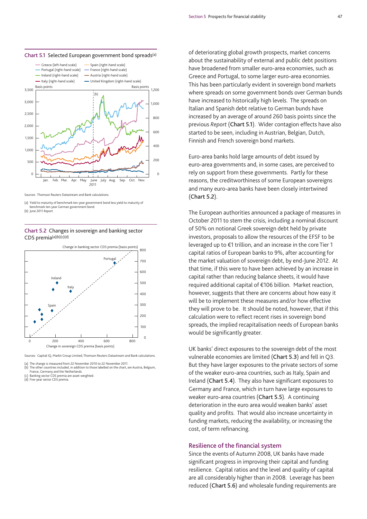



Sources: Thomson Reuters Datastream and Bank calculations.

#### **Chart 5.2** Changes in sovereign and banking sector CDS premia(a)(b)(c)(d)



Sources: Capital IQ, Markit Group Limited, Thomson Reuters Datastream and Bank calculations.

(a) The change is measured from 22 November 2010 to 22 November 2011.

(b) The other countries included, in addition to those labelled on the chart, are Austria, Belgium,

France, Germany and the Netherlands. (c) Banking sector CDS premia are asset-weighted.

(d) Five-year senior CDS premia.

of deteriorating global growth prospects, market concerns about the sustainability of external and public debt positions have broadened from smaller euro-area economies, such as Greece and Portugal, to some larger euro-area economies. This has been particularly evident in sovereign bond markets where spreads on some government bonds over German bunds have increased to historically high levels. The spreads on Italian and Spanish debt relative to German bunds have increased by an average of around 260 basis points since the previous *Report* (**Chart 5.1**). Wider contagion effects have also started to be seen, including in Austrian, Belgian, Dutch, Finnish and French sovereign bond markets.

Euro-area banks hold large amounts of debt issued by euro-area governments and, in some cases, are perceived to rely on support from these governments. Partly for these reasons, the creditworthiness of some European sovereigns and many euro-area banks have been closely intertwined (**Chart 5.2**).

The European authorities announced a package of measures in October 2011 to stem the crisis, including a nominal discount of 50% on notional Greek sovereign debt held by private investors, proposals to allow the resources of the EFSF to be leveraged up to €1 trillion, and an increase in the core Tier 1 capital ratios of European banks to 9%, after accounting for the market valuation of sovereign debt, by end-June 2012. At that time, if this were to have been achieved by an increase in capital rather than reducing balance sheets, it would have required additional capital of €106 billion. Market reaction, however, suggests that there are concerns about how easy it will be to implement these measures and/or how effective they will prove to be. It should be noted, however, that if this calculation were to reflect recent rises in sovereign bond spreads, the implied recapitalisation needs of European banks would be significantly greater.

UK banks' direct exposures to the sovereign debt of the most vulnerable economies are limited (**Chart 5.3**) and fell in Q3. But they have larger exposures to the private sectors of some of the weaker euro-area countries, such as Italy, Spain and Ireland (**Chart 5.4**). They also have significant exposures to Germany and France, which in turn have large exposures to weaker euro-area countries (**Chart 5.5**). A continuing deterioration in the euro area would weaken banks' asset quality and profits. That would also increase uncertainty in funding markets, reducing the availability, or increasing the cost, of term refinancing.

#### **Resilience of the financial system**

Since the events of Autumn 2008, UK banks have made significant progress in improving their capital and funding resilience. Capital ratios and the level and quality of capital are all considerably higher than in 2008. Leverage has been reduced (**Chart 5.6**) and wholesale funding requirements are

<sup>(</sup>a) Yield to maturity of benchmark ten-year government bond less yield to maturity of hark ten-year German government bond. (b) June 2011 *Report*.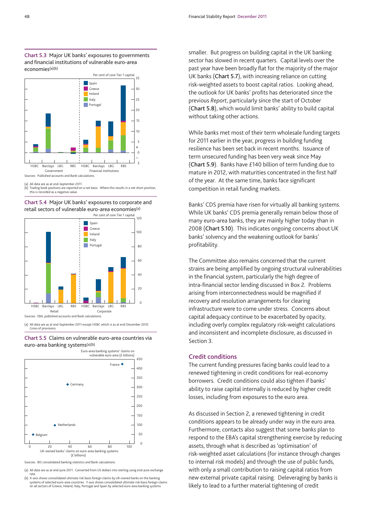



(a) All data are as at end-September 2011.<br>(b) Trading book positions are reported or

<sup>(</sup>b) Trading book positions are reported on a net basis. Where this results in a net short position, this is recorded as a negative value.





(a) All data are as at end-September 2011 except HSBC which is as at end-December 2010. Gross of provisions.

**Chart 5.5** Claims on vulnerable euro-area countries via euro-area banking systems(a)(b)



Sources: BIS consolidated banking statistics and Bank calculations.

(a) All data are as at end-June 2011. Converted from US dollars into sterling using end-June exchange

rate. (b) X-axis shows consolidated ultimate risk basis foreign claims by UK-owned banks on the banking systems of selected euro-area countries. Y-axis shows consolidated ultimate risk basis foreign claims on all sectors of Greece, Ireland, Italy, Portugal and Spain by selected euro-area banking systems. smaller. But progress on building capital in the UK banking sector has slowed in recent quarters. Capital levels over the past year have been broadly flat for the majority of the major UK banks (**Chart 5.7**), with increasing reliance on cutting risk-weighted assets to boost capital ratios. Looking ahead, the outlook for UK banks' profits has deteriorated since the previous *Report*, particularly since the start of October (**Chart 5.8**), which would limit banks' ability to build capital without taking other actions.

While banks met most of their term wholesale funding targets for 2011 earlier in the year, progress in building funding resilience has been set back in recent months. Issuance of term unsecured funding has been very weak since May (**Chart 5.9**). Banks have £140 billion of term funding due to mature in 2012, with maturities concentrated in the first half of the year. At the same time, banks face significant competition in retail funding markets.

Banks' CDS premia have risen for virtually all banking systems. While UK banks' CDS premia generally remain below those of many euro-area banks, they are mainly higher today than in 2008 (**Chart 5.10**). This indicates ongoing concerns about UK banks' solvency and the weakening outlook for banks' profitability.

The Committee also remains concerned that the current strains are being amplified by ongoing structural vulnerabilities in the financial system, particularly the high degree of intra-financial sector lending discussed in Box 2. Problems arising from interconnectedness would be magnified if recovery and resolution arrangements for clearing infrastructure were to come under stress. Concerns about capital adequacy continue to be exacerbated by opacity, including overly complex regulatory risk-weight calculations and inconsistent and incomplete disclosure, as discussed in Section 3.

#### **Credit conditions**

The current funding pressures facing banks could lead to a renewed tightening in credit conditions for real-economy borrowers. Credit conditions could also tighten if banks' ability to raise capital internally is reduced by higher credit losses, including from exposures to the euro area.

As discussed in Section 2, a renewed tightening in credit conditions appears to be already under way in the euro area. Furthermore, contacts also suggest that some banks plan to respond to the EBA's capital strengthening exercise by reducing assets, through what is described as 'optimisation' of risk-weighted asset calculations (for instance through changes to internal risk models) and through the use of public funds, with only a small contribution to raising capital ratios from new external private capital raising. Deleveraging by banks is likely to lead to a further material tightening of credit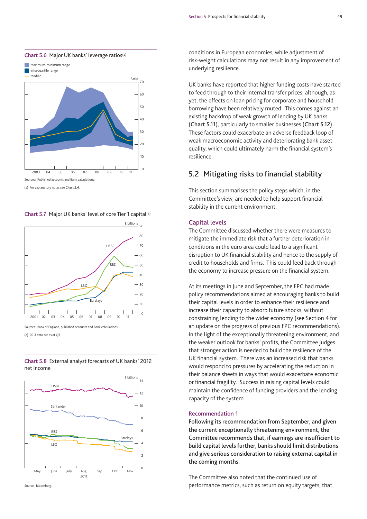

(a) For explanatory notes see **Chart 2.4**.

**Chart 5.7** Major UK banks' level of core Tier 1 capital(a)



Sources: Bank of England, published accounts and Bank calculations. (a) 2011 data are as at Q3.

**Chart 5.8** External analyst forecasts of UK banks' 2012 net income





conditions in European economies, while adjustment of risk-weight calculations may not result in any improvement of underlying resilience.

UK banks have reported that higher funding costs have started to feed through to their internal transfer prices, although, as yet, the effects on loan pricing for corporate and household borrowing have been relatively muted. This comes against an existing backdrop of weak growth of lending by UK banks (**Chart 5.11**), particularly to smaller businesses (**Chart 5.12**). These factors could exacerbate an adverse feedback loop of weak macroeconomic activity and deteriorating bank asset quality, which could ultimately harm the financial system's resilience.

## **5.2 Mitigating risks to financial stability**

This section summarises the policy steps which, in the Committee's view, are needed to help support financial stability in the current environment.

#### **Capital levels**

The Committee discussed whether there were measures to mitigate the immediate risk that a further deterioration in conditions in the euro area could lead to a significant disruption to UK financial stability and hence to the supply of credit to households and firms. This could feed back through the economy to increase pressure on the financial system.

At its meetings in June and September, the FPC had made policy recommendations aimed at encouraging banks to build their capital levels in order to enhance their resilience and increase their capacity to absorb future shocks, without constraining lending to the wider economy (see Section 4 for an update on the progress of previous FPC recommendations). In the light of the exceptionally threatening environment, and the weaker outlook for banks' profits, the Committee judges that stronger action is needed to build the resilience of the UK financial system. There was an increased risk that banks would respond to pressures by accelerating the reduction in their balance sheets in ways that would exacerbate economic or financial fragility. Success in raising capital levels could maintain the confidence of funding providers and the lending capacity of the system.

#### **Recommendation 1**

**Following its recommendation from September, and given the current exceptionally threatening environment, the Committee recommends that, if earnings are insufficient to build capital levels further, banks should limit distributions and give serious consideration to raising external capital in the coming months.** 

The Committee also noted that the continued use of performance metrics, such as return on equity targets, that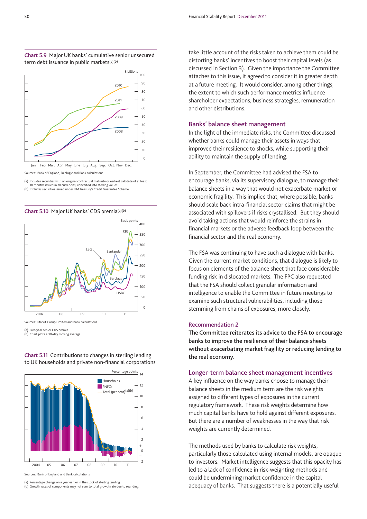



Sources: Bank of England, Dealogic and Bank calculations.

(a) Includes securities with an original contractual maturity or earliest call date of at least 18 months issued in all currencies, converted into sterling values.

(b) Excludes securities issued under HM Treasury's Credit Guarantee Scheme.



**Chart 5.10** Major UK banks' CDS premia(a)(b)

**Chart 5.11** Contributions to changes in sterling lending to UK households and private non-financial corporations



Sources: Bank of England and Bank calculations.

(a) Five-year senior CDS premia. (b) Chart plots a 30-day moving average.

(a) Percentage change on a year earlier in the stock of sterling lending. (b) Growth rates of components may not sum to total growth rate due to rounding. take little account of the risks taken to achieve them could be distorting banks' incentives to boost their capital levels (as discussed in Section 3). Given the importance the Committee attaches to this issue, it agreed to consider it in greater depth at a future meeting. It would consider, among other things, the extent to which such performance metrics influence shareholder expectations, business strategies, remuneration and other distributions.

#### **Banks' balance sheet management**

In the light of the immediate risks, the Committee discussed whether banks could manage their assets in ways that improved their resilience to shocks, while supporting their ability to maintain the supply of lending.

In September, the Committee had advised the FSA to encourage banks, via its supervisory dialogue, to manage their balance sheets in a way that would not exacerbate market or economic fragility. This implied that, where possible, banks should scale back intra-financial sector claims that might be associated with spillovers if risks crystallised. But they should avoid taking actions that would reinforce the strains in financial markets or the adverse feedback loop between the financial sector and the real economy.

The FSA was continuing to have such a dialogue with banks. Given the current market conditions, that dialogue is likely to focus on elements of the balance sheet that face considerable funding risk in dislocated markets. The FPC also requested that the FSA should collect granular information and intelligence to enable the Committee in future meetings to examine such structural vulnerabilities, including those stemming from chains of exposures, more closely.

#### **Recommendation 2**

**The Committee reiterates its advice to the FSA to encourage banks to improve the resilience of their balance sheets without exacerbating market fragility or reducing lending to the real economy.** 

#### **Longer-term balance sheet management incentives**

A key influence on the way banks choose to manage their balance sheets in the medium term are the risk weights assigned to different types of exposures in the current regulatory framework. These risk weights determine how much capital banks have to hold against different exposures. But there are a number of weaknesses in the way that risk weights are currently determined.

The methods used by banks to calculate risk weights, particularly those calculated using internal models, are opaque to investors. Market intelligence suggests that this opacity has led to a lack of confidence in risk-weighting methods and could be undermining market confidence in the capital adequacy of banks. That suggests there is a potentially useful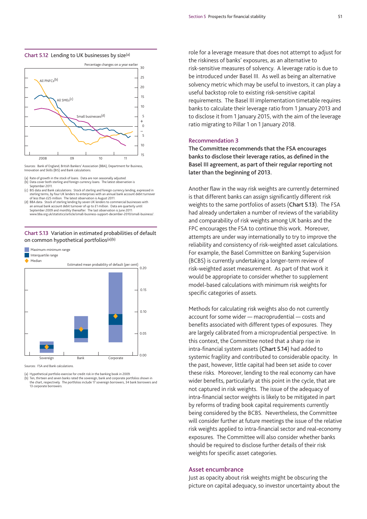#### **Chart 5.12** Lending to UK businesses by size(a)



Sources: Bank of England, British Bankers' Association (BBA), Department for Business, Innovation and Skills (BIS) and Bank calculations.

- Rate of growth in the stock of loans. Data are non seasonally adjusted
- (b) Data cover both sterling and foreign currency loans. The latest observation is September 2011.
- (c) BIS data and Bank calculations. Stock of sterling and foreign currency lending, expressed in sterling terms, by four UK lenders to enterprises with an annual bank account debit turnover of less than £25 million. The latest observation is August 2011. (d) BBA data. Stock of sterling lending by seven UK lenders to commercial businesses with
- an annual bank account debit turnover of up to £1 million. Data are quarterly until September 2009 and monthly thereafter. The last observation is June 2011: www.bba.org.uk/statistics/article/small-business-support-december-2010/small-business/.

#### **Chart 5.13** Variation in estimated probabilities of default on common hypothetical portfolios(a)(b)



Sources: FSA and Bank calculations.

(a) Hypothetical portfolio exercise for credit risk in the banking book in 2009.

(b) Ten, thirteen and seven banks rated the sovereign, bank and corporate portfolios shown in the chart, respectively. The portfolios include 17 sovereign borrowers, 34 bank borrowers and 13 corporate borrowers.

role for a leverage measure that does not attempt to adjust for the riskiness of banks' exposures, as an alternative to risk-sensitive measures of solvency. A leverage ratio is due to be introduced under Basel III. As well as being an alternative solvency metric which may be useful to investors, it can play a useful backstop role to existing risk-sensitive capital requirements. The Basel III implementation timetable requires banks to calculate their leverage ratio from 1 January 2013 and to disclose it from 1 January 2015, with the aim of the leverage ratio migrating to Pillar 1 on 1 January 2018.

#### **Recommendation 3**

**The Committee recommends that the FSA encourages banks to disclose their leverage ratios, as defined in the Basel III agreement, as part of their regular reporting not later than the beginning of 2013.**

Another flaw in the way risk weights are currently determined is that different banks can assign significantly different risk weights to the same portfolios of assets (**Chart 5.13**). The FSA had already undertaken a number of reviews of the variability and comparability of risk weights among UK banks and the FPC encourages the FSA to continue this work. Moreover, attempts are under way internationally to try to improve the reliability and consistency of risk-weighted asset calculations. For example, the Basel Committee on Banking Supervision (BCBS) is currently undertaking a longer-term review of risk-weighted asset measurement. As part of that work it would be appropriate to consider whether to supplement model-based calculations with minimum risk weights for specific categories of assets.

Methods for calculating risk weights also do not currently account for some wider — macroprudential — costs and benefits associated with different types of exposures. They are largely calibrated from a microprudential perspective. In this context, the Committee noted that a sharp rise in intra-financial system assets (**Chart 5.14**) had added to systemic fragility and contributed to considerable opacity. In the past, however, little capital had been set aside to cover these risks. Moreover, lending to the real economy can have wider benefits, particularly at this point in the cycle, that are not captured in risk weights. The issue of the adequacy of intra-financial sector weights is likely to be mitigated in part by reforms of trading book capital requirements currently being considered by the BCBS. Nevertheless, the Committee will consider further at future meetings the issue of the relative risk weights applied to intra-financial sector and real-economy exposures. The Committee will also consider whether banks should be required to disclose further details of their risk weights for specific asset categories.

#### **Asset encumbrance**

Just as opacity about risk weights might be obscuring the picture on capital adequacy, so investor uncertainty about the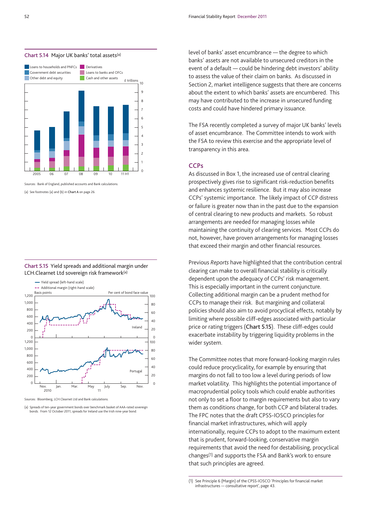

#### **Chart 5.14** Major UK banks' total assets(a)

Sources: Bank of England, published accounts and Bank calculations.

(a) See footnotes (a) and (b) in **Chart A** on page 26.





Sources: Bloomberg, LCH.Clearnet Ltd and Bank calculations.

(a) Spreads of ten-year government bonds over benchmark basket of AAA-rated sovereign onds. From 12 October 2011, spreads for Ireland use the Irish nine-year bond

level of banks' asset encumbrance — the degree to which banks' assets are not available to unsecured creditors in the event of a default — could be hindering debt investors' ability to assess the value of their claim on banks. As discussed in Section 2, market intelligence suggests that there are concerns about the extent to which banks' assets are encumbered. This may have contributed to the increase in unsecured funding costs and could have hindered primary issuance.

The FSA recently completed a survey of major UK banks' levels of asset encumbrance. The Committee intends to work with the FSA to review this exercise and the appropriate level of transparency in this area.

#### **CCPs**

As discussed in Box 1, the increased use of central clearing prospectively gives rise to significant risk-reduction benefits and enhances systemic resilience. But it may also increase CCPs' systemic importance. The likely impact of CCP distress or failure is greater now than in the past due to the expansion of central clearing to new products and markets. So robust arrangements are needed for managing losses while maintaining the continuity of clearing services. Most CCPs do not, however, have proven arrangements for managing losses that exceed their margin and other financial resources.

Previous *Reports* have highlighted that the contribution central clearing can make to overall financial stability is critically dependent upon the adequacy of CCPs' risk management. This is especially important in the current conjuncture. Collecting additional margin can be a prudent method for CCPs to manage their risk. But margining and collateral policies should also aim to avoid procyclical effects, notably by limiting where possible cliff-edges associated with particular price or rating triggers (**Chart 5.15**). These cliff-edges could exacerbate instability by triggering liquidity problems in the wider system.

The Committee notes that more forward-looking margin rules could reduce procyclicality, for example by ensuring that margins do not fall to too low a level during periods of low market volatility. This highlights the potential importance of macroprudential policy tools which could enable authorities not only to set a floor to margin requirements but also to vary them as conditions change, for both CCP and bilateral trades. The FPC notes that the draft CPSS-IOSCO principles for financial market infrastructures, which will apply internationally, require CCPs to adopt to the maximum extent that is prudent, forward-looking, conservative margin requirements that avoid the need for destabilising, procyclical changes(1) and supports the FSA and Bank's work to ensure that such principles are agreed.

<sup>(1)</sup> See Principle 6 (Margin) of the CPSS-IOSCO 'Principles for financial market infrastructures — consultative report', page 43.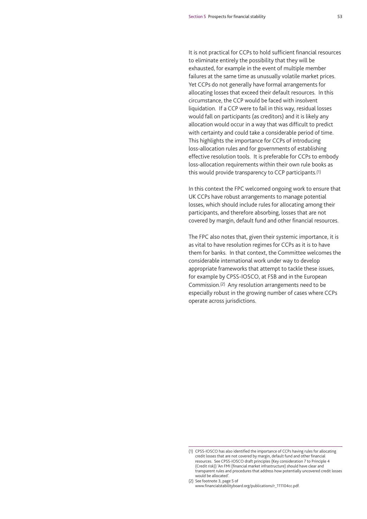It is not practical for CCPs to hold sufficient financial resources to eliminate entirely the possibility that they will be exhausted, for example in the event of multiple member failures at the same time as unusually volatile market prices. Yet CCPs do not generally have formal arrangements for allocating losses that exceed their default resources. In this circumstance, the CCP would be faced with insolvent liquidation. If a CCP were to fail in this way, residual losses would fall on participants (as creditors) and it is likely any allocation would occur in a way that was difficult to predict with certainty and could take a considerable period of time. This highlights the importance for CCPs of introducing loss-allocation rules and for governments of establishing effective resolution tools. It is preferable for CCPs to embody loss-allocation requirements within their own rule books as this would provide transparency to CCP participants.(1)

In this context the FPC welcomed ongoing work to ensure that UK CCPs have robust arrangements to manage potential losses, which should include rules for allocating among their participants, and therefore absorbing, losses that are not covered by margin, default fund and other financial resources.

The FPC also notes that, given their systemic importance, it is as vital to have resolution regimes for CCPs as it is to have them for banks. In that context, the Committee welcomes the considerable international work under way to develop appropriate frameworks that attempt to tackle these issues, for example by CPSS-IOSCO, at FSB and in the European Commission.(2) Any resolution arrangements need to be especially robust in the growing number of cases where CCPs operate across jurisdictions.

<sup>(1)</sup> CPSS-IOSCO has also identified the importance of CCPs having rules for allocating credit losses that are not covered by margin, default fund and other financial resources. See CPSS-IOSCO draft principles (Key consideration 7 to Principle 4 (Credit risk)) 'An FMI (financial market infrastructure) should have clear and transparent rules and procedures that address how potentially uncovered credit losses would be allocated'.

<sup>(2)</sup> See footnote 3, page 5 of www.financialstabilityboard.org/publications/r\_111104cc.pdf.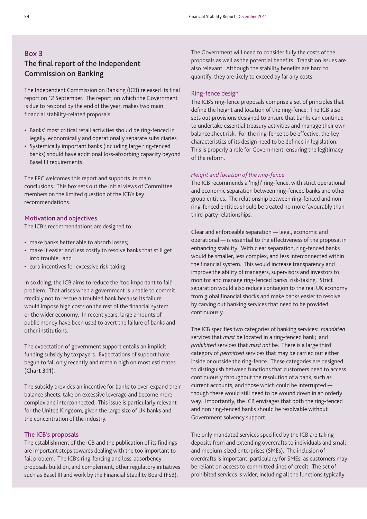## **Box 3 The final report of the Independent Commission on Banking**

The Independent Commission on Banking (ICB) released its final report on 12 September. The report, on which the Government is due to respond by the end of the year, makes two main financial stability-related proposals:

- Banks' most critical retail activities should be ring-fenced in legally, economically and operationally separate subsidiaries.
- Systemically important banks (including large ring-fenced banks) should have additional loss-absorbing capacity beyond Basel III requirements.

The FPC welcomes this report and supports its main conclusions. This box sets out the initial views of Committee members on the limited question of the ICB's key recommendations.

#### **Motivation and objectives**

The ICB's recommendations are designed to:

- make banks better able to absorb losses;
- make it easier and less costly to resolve banks that still get into trouble; and
- curb incentives for excessive risk-taking.

In so doing, the ICB aims to reduce the 'too important to fail' problem. That arises when a government is unable to commit credibly not to rescue a troubled bank because its failure would impose high costs on the rest of the financial system or the wider economy. In recent years, large amounts of public money have been used to avert the failure of banks and other institutions.

The expectation of government support entails an implicit funding subsidy by taxpayers. Expectations of support have begun to fall only recently and remain high on most estimates (**Chart 3.11**).

The subsidy provides an incentive for banks to over-expand their balance sheets, take on excessive leverage and become more complex and interconnected. This issue is particularly relevant for the United Kingdom, given the large size of UK banks and the concentration of the industry.

#### **The ICB's proposals**

The establishment of the ICB and the publication of its findings are important steps towards dealing with the too important to fail problem. The ICB's ring-fencing and loss-absorbency proposals build on, and complement, other regulatory initiatives such as Basel III and work by the Financial Stability Board (FSB).

The Government will need to consider fully the costs of the proposals as well as the potential benefits. Transition issues are also relevant. Although the stability benefits are hard to quantify, they are likely to exceed by far any costs.

#### Ring-fence design

The ICB's ring-fence proposals comprise a set of principles that define the height and location of the ring-fence. The ICB also sets out provisions designed to ensure that banks can continue to undertake essential treasury activities and manage their own balance sheet risk. For the ring-fence to be effective, the key characteristics of its design need to be defined in legislation. This is properly a role for Government, ensuring the legitimacy of the reform.

#### *Height and location of the ring-fence*

The ICB recommends a 'high' ring-fence, with strict operational and economic separation between ring-fenced banks and other group entities. The relationship between ring-fenced and non ring-fenced entities should be treated no more favourably than third-party relationships.

Clear and enforceable separation — legal, economic and operational — is essential to the effectiveness of the proposal in enhancing stability. With clear separation, ring-fenced banks would be smaller, less complex, and less interconnected within the financial system. This would increase transparency and improve the ability of managers, supervisors and investors to monitor and manage ring-fenced banks' risk-taking. Strict separation would also reduce contagion to the real UK economy from global financial shocks and make banks easier to resolve by carving out banking services that need to be provided continuously.

The ICB specifies two categories of banking services: *mandated* services that *must* be located in a ring-fenced bank; and *prohibited* services that *must not* be. There is a large third category of *permitted* services that may be carried out either inside or outside the ring-fence. These categories are designed to distinguish between functions that customers need to access continuously throughout the resolution of a bank, such as current accounts, and those which could be interrupted though these would still need to be wound down in an orderly way. Importantly, the ICB envisages that both the ring-fenced and non ring-fenced banks should be resolvable without Government solvency support.

The only mandated services specified by the ICB are taking deposits from and extending overdrafts to individuals and small and medium-sized enterprises (SMEs). The inclusion of overdrafts is important, particularly for SMEs, as customers may be reliant on access to committed lines of credit. The set of prohibited services is wider, including all the functions typically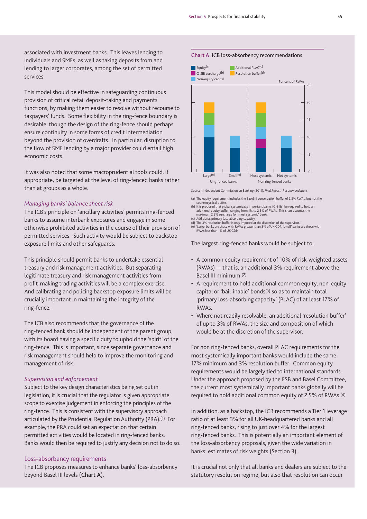associated with investment banks. This leaves lending to individuals and SMEs, as well as taking deposits from and lending to larger corporates, among the set of permitted services.

This model should be effective in safeguarding continuous provision of critical retail deposit-taking and payments functions, by making them easier to resolve without recourse to taxpayers' funds. Some flexibility in the ring-fence boundary is desirable, though the design of the ring-fence should perhaps ensure continuity in some forms of credit intermediation beyond the provision of overdrafts. In particular, disruption to the flow of SME lending by a major provider could entail high economic costs.

It was also noted that some macroprudential tools could, if appropriate, be targeted at the level of ring-fenced banks rather than at groups as a whole.

#### *Managing banks' balance sheet risk*

The ICB's principle on 'ancillary activities' permits ring-fenced banks to assume interbank exposures and engage in some otherwise prohibited activities in the course of their provision of permitted services. Such activity would be subject to backstop exposure limits and other safeguards.

This principle should permit banks to undertake essential treasury and risk management activities. But separating legitimate treasury and risk management activities from profit-making trading activities will be a complex exercise. And calibrating and policing backstop exposure limits will be crucially important in maintaining the integrity of the ring-fence.

The ICB also recommends that the governance of the ring-fenced bank should be independent of the parent group, with its board having a specific duty to uphold the 'spirit' of the ring-fence. This is important, since separate governance and risk management should help to improve the monitoring and management of risk.

#### *Supervision and enforcement*

Subject to the key design characteristics being set out in legislation, it is crucial that the regulator is given appropriate scope to exercise judgement in enforcing the principles of the ring-fence. This is consistent with the supervisory approach articulated by the Prudential Regulation Authority (PRA).(1) For example, the PRA could set an expectation that certain permitted activities would be located in ring-fenced banks. Banks would then be required to justify any decision not to do so.

#### Loss-absorbency requirements

The ICB proposes measures to enhance banks' loss-absorbency beyond Basel III levels (**Chart A**).

#### **Chart A** ICB loss-absorbency recommendations



Source: Independent Commission on Banking (2011), *Final Report: Recommendations*.

- (a) The equity requirement includes the Basel III conservation buffer of 2.5% RWAs, but not the countercyclical buffer.
- (b) It is proposed that global systemically important banks (G-SIBs) be required to hold an additional equity buffer, ranging from 1% to 2.5% of RWAs. This chart assumes the maximum 2.5% surcharge for 'most systemic' banks.
- 
- (c) Additional primary loss-absorbing capacity. (d) The 3% resolution buffer is only imposed at the discretion of the supervisor. (e) 'Large' banks are those with RWAs greater than 3% of UK GDP, 'small' banks are those with

RWAs less than 1% of UK GDP.

The largest ring-fenced banks would be subject to:

- A common equity requirement of 10% of risk-weighted assets (RWAs) — that is, an additional 3% requirement above the Basel III minimum.(2)
- A requirement to hold additional common equity, non-equity capital or 'bail-inable' bonds(3) so as to maintain total 'primary loss-absorbing capacity' (PLAC) of at least 17% of RWAs.
- Where not readily resolvable, an additional 'resolution buffer' of up to 3% of RWAs, the size and composition of which would be at the discretion of the supervisor.

For non ring-fenced banks, overall PLAC requirements for the most systemically important banks would include the same 17% minimum and 3% resolution buffer. Common equity requirements would be largely tied to international standards. Under the approach proposed by the FSB and Basel Committee, the current most systemically important banks globally will be required to hold additional common equity of 2.5% of RWAs.(4)

In addition, as a backstop, the ICB recommends a Tier 1 leverage ratio of at least 3% for all UK-headquartered banks and all ring-fenced banks, rising to just over 4% for the largest ring-fenced banks. This is potentially an important element of the loss-absorbency proposals, given the wide variation in banks' estimates of risk weights (Section 3).

It is crucial not only that all banks and dealers are subject to the statutory resolution regime, but also that resolution can occur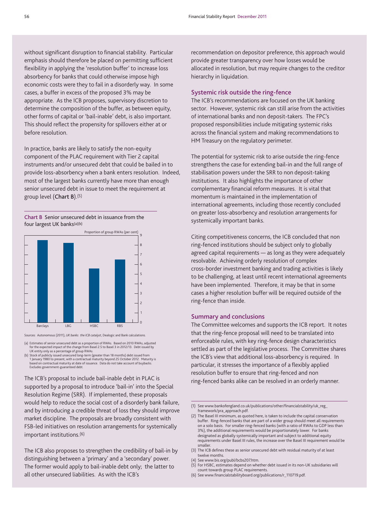without significant disruption to financial stability. Particular emphasis should therefore be placed on permitting sufficient flexibility in applying the 'resolution buffer' to increase loss absorbency for banks that could otherwise impose high economic costs were they to fail in a disorderly way. In some cases, a buffer in excess of the proposed 3% may be appropriate. As the ICB proposes, supervisory discretion to determine the composition of the buffer, as between equity, other forms of capital or 'bail-inable' debt, is also important. This should reflect the propensity for spillovers either at or before resolution.

In practice, banks are likely to satisfy the non-equity component of the PLAC requirement with Tier 2 capital instruments and/or unsecured debt that could be bailed in to provide loss-absorbency when a bank enters resolution. Indeed, most of the largest banks currently have more than enough senior unsecured debt in issue to meet the requirement at group level (**Chart B**).(5)

**Chart B** Senior unsecured debt in issuance from the four largest UK banks(a)(b)



rces: Autonomous (2011), *UK banks: the ICB catalyst*, Dealogic and Bank calculation

(a) Estimates of senior unsecured debt as a proportion of RWAs. Based on 2010 RWAs, adjusted for the expected impact of the change from Basel 2.5 to Basel 3 in 2012/13. Debt issued by<br>UK entity only as a percentage of group RWAs.<br>(b) Stock of publicly issued unsecured long-term (greater than 18 months) debt issued

1 January 1980 to present, with a contractual maturity beyond 25 October 2012. Maturity is based on contractual maturity at date of issuance. Data do not take account of buybacks. Excludes government-guaranteed debt.

The ICB's proposal to include bail-inable debt in PLAC is supported by a proposal to introduce 'bail-in' into the Special Resolution Regime (SRR). If implemented, these proposals would help to reduce the social cost of a disorderly bank failure, and by introducing a credible threat of loss they should improve market discipline. The proposals are broadly consistent with FSB-led initiatives on resolution arrangements for systemically important institutions.(6)

The ICB also proposes to strengthen the credibility of bail-in by distinguishing between a 'primary' and a 'secondary' power. The former would apply to bail-inable debt only; the latter to all other unsecured liabilities. As with the ICB's

recommendation on depositor preference, this approach would provide greater transparency over how losses would be allocated in resolution, but may require changes to the creditor hierarchy in liquidation.

#### **Systemic risk outside the ring-fence**

The ICB's recommendations are focused on the UK banking sector. However, systemic risk can still arise from the activities of international banks and non deposit-takers. The FPC's proposed responsibilities include mitigating systemic risks across the financial system and making recommendations to HM Treasury on the regulatory perimeter.

The potential for systemic risk to arise outside the ring-fence strengthens the case for extending bail-in and the full range of stabilisation powers under the SRR to non deposit-taking institutions. It also highlights the importance of other complementary financial reform measures. It is vital that momentum is maintained in the implementation of international agreements, including those recently concluded on greater loss-absorbency and resolution arrangements for systemically important banks.

Citing competitiveness concerns, the ICB concluded that non ring-fenced institutions should be subject only to globally agreed capital requirements — as long as they were adequately resolvable. Achieving orderly resolution of complex cross-border investment banking and trading activities is likely to be challenging, at least until recent international agreements have been implemented. Therefore, it may be that in some cases a higher resolution buffer will be required outside of the ring-fence than inside.

#### **Summary and conclusions**

The Committee welcomes and supports the ICB report. It notes that the ring-fence proposal will need to be translated into enforceable rules, with key ring-fence design characteristics settled as part of the legislative process. The Committee shares the ICB's view that additional loss-absorbency is required. In particular, it stresses the importance of a flexibly applied resolution buffer to ensure that ring-fenced and non ring-fenced banks alike can be resolved in an orderly manner.

(4) See www.bis.org/publ/bcbs207.htm.

(6) See www.financialstabilityboard.org/publications/r\_110719.pdf.

<sup>(1)</sup> [See www.bankofengland.co.uk/publications/other/financialstability/uk\\_reg\\_](www.bankofengland.co.uk/publications/other/financialstability/uk_reg_framework/pra_approach.pdf) framework/pra\_approach.pdf.

<sup>(2)</sup> The Basel III minimum, as quoted here, is taken to include the capital conservation buffer. Ring-fenced banks that are part of a wider group should meet all requirements on a solo basis. For smaller ring-fenced banks (with a ratio of RWAs to GDP less than 3%), the additional requirements would be proportionately lower. For banks designated as globally systemically important and subject to additional equity requirements under Basel III rules, the increase over the Basel III requirement would be smaller.

<sup>(3)</sup> The ICB defines these as senior unsecured debt with residual maturity of at least twelve months.

<sup>(5)</sup> For HSBC, estimates depend on whether debt issued in its non-UK subsidiaries will count towards group PLAC requirements.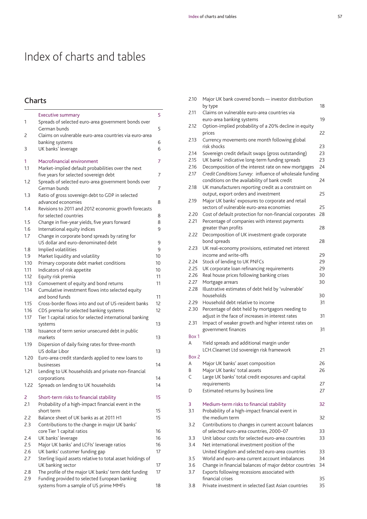# Index of charts and tables

## **Charts**

|            | <b>Executive summary</b>                                                                              | 5  |
|------------|-------------------------------------------------------------------------------------------------------|----|
| 1          | Spreads of selected euro-area government bonds over<br>German bunds                                   | 5  |
| 2          | Claims on vulnerable euro-area countries via euro-area<br>banking systems                             | 6  |
| 3          | UK banks' leverage                                                                                    | 6  |
| 1<br>1.1   | Macrofinancial environment<br>Market-implied default probabilities over the next                      | 7  |
|            | five years for selected sovereign debt                                                                | 7  |
| 1.2        | Spreads of selected euro-area government bonds over<br>German bunds                                   | 7  |
| 1.3        | Ratio of gross sovereign debt to GDP in selected<br>advanced economies                                | 8  |
| 1.4        | Revisions to 2011 and 2012 economic growth forecasts<br>for selected countries                        | 8  |
| 1.5        | Change in five-year yields, five years forward                                                        | 8  |
| 1.6        | International equity indices                                                                          | 9  |
| 1.7        | Change in corporate bond spreads by rating for                                                        |    |
|            | US dollar and euro-denominated debt                                                                   | 9  |
| 1.8        | Implied volatilities                                                                                  | 9  |
| 1.9        | Market liquidity and volatility                                                                       | 10 |
| 1.10       | Primary corporate debt market conditions                                                              | 10 |
| 1.11       | Indicators of risk appetite                                                                           | 10 |
| 1.12       | Equity risk premia                                                                                    | 11 |
| 1.13       | Comovement of equity and bond returns                                                                 | 11 |
| 1.14       | Cumulative investment flows into selected equity<br>and bond funds                                    | 11 |
| 1.15       | Cross-border flows into and out of US-resident banks                                                  | 12 |
| 1.16       | CDS premia for selected banking systems                                                               | 12 |
| 1.17       | Tier 1 capital ratios for selected international banking<br>systems                                   | 13 |
| 1.18       | Issuance of term senior unsecured debt in public<br>markets                                           | 13 |
| 1.19       | Dispersion of daily fixing rates for three-month<br>US dollar Libor                                   | 13 |
| 1.20       | Euro-area credit standards applied to new loans to                                                    |    |
| 1.21       | businesses<br>Lending to UK households and private non-financial                                      | 14 |
|            | corporations                                                                                          | 14 |
| 1.22       | Spreads on lending to UK households                                                                   | 14 |
| 2<br>2.1   | Short-term risks to financial stability<br>Probability of a high-impact financial event in the        | 15 |
|            | short term                                                                                            | 15 |
| 2.2        | Balance sheet of UK banks as at 2011 H1                                                               | 15 |
| 2.3        | Contributions to the change in major UK banks'<br>core Tier 1 capital ratios                          | 16 |
| 2.4        | UK banks' leverage                                                                                    | 16 |
| 2.5        | Major UK banks' and LCFIs' leverage ratios                                                            | 16 |
| 2.6        | UK banks' customer funding gap                                                                        | 17 |
| 2.7        | Sterling liquid assets relative to total asset holdings of                                            |    |
|            | UK banking sector                                                                                     | 17 |
| 2.8<br>2.9 | The profile of the major UK banks' term debt funding<br>Funding provided to selected European banking | 17 |
|            | systems from a sample of US prime MMFs                                                                | 18 |

| 2.10         | Major UK bank covered bonds - investor distribution            |          |
|--------------|----------------------------------------------------------------|----------|
|              | by type                                                        | 18       |
| 2.11         | Claims on vulnerable euro-area countries via                   |          |
|              | euro-area banking systems                                      | 19       |
| 2.12         | Option-implied probability of a 20% decline in equity          |          |
|              | prices                                                         | 22       |
| 2.13         | Currency movements one month following global<br>risk shocks   | 23       |
| 2.14         | Sovereign credit default swaps (gross outstanding)             | 23       |
| 2.15         | UK banks' indicative long-term funding spreads                 | 23       |
| 2.16         | Decomposition of the interest rate on new mortgages            | 24       |
| 2.17         | Credit Conditions Survey: influence of wholesale funding       |          |
|              | conditions on the availability of bank credit                  | 24       |
| 2.18         | UK manufacturers reporting credit as a constraint on           |          |
|              | output, export orders and investment                           | 25       |
| 2.19         | Major UK banks' exposures to corporate and retail              |          |
|              | sectors of vulnerable euro-area economies                      | 25       |
| 2.20         | Cost of default protection for non-financial corporates        | 28       |
| 2.21         | Percentage of companies with interest payments                 |          |
|              | greater than profits                                           | 28       |
| 2.22         | Decomposition of UK investment-grade corporate                 |          |
|              | bond spreads                                                   | 28       |
| 2.23         | UK real-economy provisions, estimated net interest             |          |
|              | income and write-offs                                          | 29       |
| 2.24         | Stock of lending to UK PNFCs                                   | 29       |
| 2.25         | UK corporate loan refinancing requirements                     | 29       |
| 2.26<br>2.27 | Real house prices following banking crises<br>Mortgage arrears | 30<br>30 |
| 2.28         | Illustrative estimates of debt held by 'vulnerable'            |          |
|              | households                                                     | 30       |
| 2.29         | Household debt relative to income                              | 31       |
| 2.30         | Percentage of debt held by mortgagors needing to               |          |
|              | adjust in the face of increases in interest rates              | 31       |
| 2.31         | Impact of weaker growth and higher interest rates on           |          |
|              | government finances                                            | 31       |
| Box 1        |                                                                |          |
| A            | Yield spreads and additional margin under                      |          |
|              | LCH.Clearnet Ltd sovereign risk framework                      | 21       |
| Box 2        |                                                                |          |
| A            | Major UK banks' asset composition                              | 26       |
| R            | Major UK banks' total assets                                   | 26       |
| С            | Large UK banks' total credit exposures and capital             |          |
|              | requirements                                                   | 27       |
| D            | Estimated returns by business line                             | 27       |
| 3            | Medium-term risks to financial stability                       | 32       |
| 3.1          | Probability of a high-impact financial event in                |          |
|              | the medium term                                                | 32       |
| 3.2          | Contributions to changes in current account balances           |          |
|              | of selected euro-area countries, 2000-07                       | 33       |
| 3.3          | Unit labour costs for selected euro-area countries             | 33       |
| 3.4          | Net international investment position of the                   |          |
|              | United Kingdom and selected euro-area countries                | 33       |
| 3.5          | World and euro-area current account imbalances                 | 34       |
| 3.6          | Change in financial balances of major debtor countries         | 34       |
| 3.7          | Exports following recessions associated with                   |          |
|              | financial crises                                               | 35       |
| 3.8          | Private investment in selected East Asian countries            | 35       |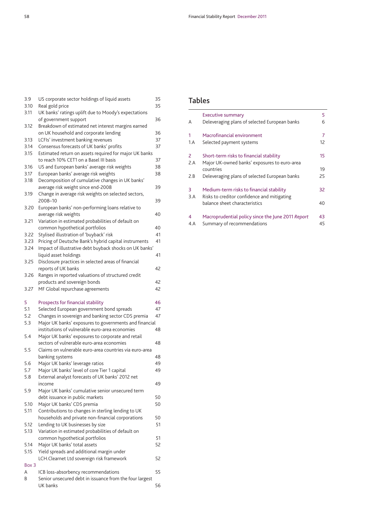| 3.9   | US corporate sector holdings of liquid assets           | 35 |
|-------|---------------------------------------------------------|----|
| 3.10  | Real gold price                                         | 35 |
| 3.11  | UK banks' ratings uplift due to Moody's expectations    |    |
|       | of government support                                   | 36 |
| 3.12  | Breakdown of estimated net interest margins earned      |    |
|       | on UK household and corporate lending                   | 36 |
| 3.13  | LCFIs' investment banking revenues                      | 37 |
| 3.14  | Consensus forecasts of UK banks' profits                | 37 |
| 3.15  | Estimated return on assets required for major UK banks  |    |
|       | to reach 10% CET1 on a Basel III basis                  | 37 |
| 3.16  | US and European banks' average risk weights             | 38 |
| 3.17  | European banks' average risk weights                    | 38 |
| 3.18  | Decomposition of cumulative changes in UK banks'        |    |
|       | average risk weight since end-2008                      | 39 |
| 3.19  | Change in average risk weights on selected sectors,     |    |
|       | 2008-10                                                 | 39 |
| 3.20  | European banks' non-performing loans relative to        |    |
|       | average risk weights                                    | 40 |
| 3.21  | Variation in estimated probabilities of default on      |    |
|       | common hypothetical portfolios                          | 40 |
| 3.22  | Stylised illustration of 'buyback' risk                 | 41 |
| 3.23  | Pricing of Deutsche Bank's hybrid capital instruments   | 41 |
| 3.24  | Impact of illustrative debt buyback shocks on UK banks' |    |
|       | liquid asset holdings                                   | 41 |
| 3.25  | Disclosure practices in selected areas of financial     |    |
|       | reports of UK banks                                     | 42 |
|       |                                                         |    |
| 3.26  | Ranges in reported valuations of structured credit      |    |
|       | products and sovereign bonds                            | 42 |
| 3.27  | MF Global repurchase agreements                         | 42 |
|       |                                                         |    |
| 5     |                                                         | 46 |
| 5.1   | Prospects for financial stability                       | 47 |
| 5.2   | Selected European government bond spreads               | 47 |
|       | Changes in sovereign and banking sector CDS premia      |    |
| 5.3   | Major UK banks' exposures to governments and financial  |    |
|       | institutions of vulnerable euro-area economies          | 48 |
| 5.4   | Major UK banks' exposures to corporate and retail       |    |
|       | sectors of vulnerable euro-area economies               | 48 |
| 5.5   | Claims on vulnerable euro-area countries via euro-area  |    |
|       | banking systems                                         | 48 |
| 5.6   | Major UK banks' leverage ratios                         | 49 |
| 5.7   | Major UK banks' level of core Tier 1 capital            | 49 |
| 5.8   | External analyst forecasts of UK banks' 2012 net        |    |
|       | income                                                  | 49 |
| 5.9   | Major UK banks' cumulative senior unsecured term        |    |
|       | debt issuance in public markets                         | 50 |
| 5.10  | Major UK banks' CDS premia                              | 50 |
| 5.11  | Contributions to changes in sterling lending to UK      |    |
|       | households and private non-financial corporations       | 50 |
| 5.12  | Lending to UK businesses by size                        | 51 |
| 5.13  | Variation in estimated probabilities of default on      |    |
|       | common hypothetical portfolios                          | 51 |
| 5.14  | Major UK banks' total assets                            | 52 |
| 5.15  | Yield spreads and additional margin under               |    |
|       | LCH.Clearnet Ltd sovereign risk framework               | 52 |
| Box 3 |                                                         |    |
| A     | ICB loss-absorbency recommendations                     | 55 |
| B     | Senior unsecured debt in issuance from the four largest |    |

## **Tables**

|               | <b>Executive summary</b>                                                                | 5  |
|---------------|-----------------------------------------------------------------------------------------|----|
| A             | Deleveraging plans of selected European banks                                           | 6  |
| 1             | Macrofinancial environment                                                              | 7  |
| 1.A           | Selected payment systems                                                                | 12 |
| $\mathcal{P}$ | Short-term risks to financial stability                                                 | 15 |
| 2.A           | Major UK-owned banks' exposures to euro-area                                            |    |
|               | countries                                                                               | 19 |
| 2.B           | Deleveraging plans of selected European banks                                           | 25 |
| 3<br>3.A      | Medium-term risks to financial stability<br>Risks to creditor confidence and mitigating | 32 |
|               | balance sheet characteristics                                                           | 40 |
| 4             | Macroprudential policy since the June 2011 Report                                       | 43 |
| 4.A           | Summary of recommendations                                                              | 45 |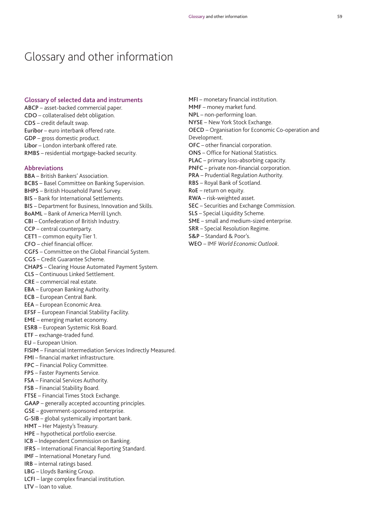**MFI** – monetary financial institution.

**MMF** – money market fund. **NPL** – non-performing loan. **NYSE** – New York Stock Exchange.

## Glossary and other information

#### **Glossary of selected data and instruments**

**ABCP** – asset-backed commercial paper. **CDO** – collateralised debt obligation. **CDS** – credit default swap. **Euribor** – euro interbank offered rate. **GDP** – gross domestic product. **Libor** – London interbank offered rate. **RMBS** – residential mortgage-backed security.

#### **Abbreviations**

- **BBA** British Bankers' Association. **BCBS** – Basel Committee on Banking Supervision. **BHPS** – British Household Panel Survey. **BIS** – Bank for International Settlements. **BIS** – Department for Business, Innovation and Skills. **BoAML** – Bank of America Merrill Lynch. **CBI** – Confederation of British Industry. **CCP** – central counterparty. **CET1** – common equity Tier 1. **CFO** – chief financial officer. **CGFS** – Committee on the Global Financial System. **CGS** – Credit Guarantee Scheme. **CHAPS** – Clearing House Automated Payment System. **CLS** – Continuous Linked Settlement. **CRE** – commercial real estate. **EBA** – European Banking Authority. **ECB** – European Central Bank. **EEA** – European Economic Area. **EFSF** – European Financial Stability Facility. **EME** – emerging market economy. **ESRB** – European Systemic Risk Board. **ETF** – exchange-traded fund. **EU** – European Union. **FISIM** – Financial Intermediation Services Indirectly Measured. **FMI** – financial market infrastructure. **FPC** – Financial Policy Committee. **FPS** – Faster Payments Service. **FSA** – Financial Services Authority. **FSB** – Financial Stability Board. **FTSE** – Financial Times Stock Exchange. **GAAP** – generally accepted accounting principles. **GSE** – government-sponsored enterprise. **G-SIB** – global systemically important bank. **HMT** – Her Majesty's Treasury. **HPE** – hypothetical portfolio exercise. **ICB** – Independent Commission on Banking. **IFRS** – International Financial Reporting Standard. **IMF** – International Monetary Fund. **IRB** – internal ratings based. **LBG** – Lloyds Banking Group. **LCFI** – large complex financial institution. **LTV** – loan to value.
- **OECD** Organisation for Economic Co-operation and Development. **OFC** – other financial corporation. **ONS** – Office for National Statistics. **PLAC** – primary loss-absorbing capacity. **PNFC** – private non-financial corporation. **PRA** – Prudential Regulation Authority. **RBS** – Royal Bank of Scotland. **RoE** – return on equity. **RWA** – risk-weighted asset. **SEC** – Securities and Exchange Commission. **SLS** – Special Liquidity Scheme. **SME** – small and medium-sized enterprise. **SRR** – Special Resolution Regime. **S&P** – Standard & Poor's. **WEO** – IMF *World Economic Outlook*.